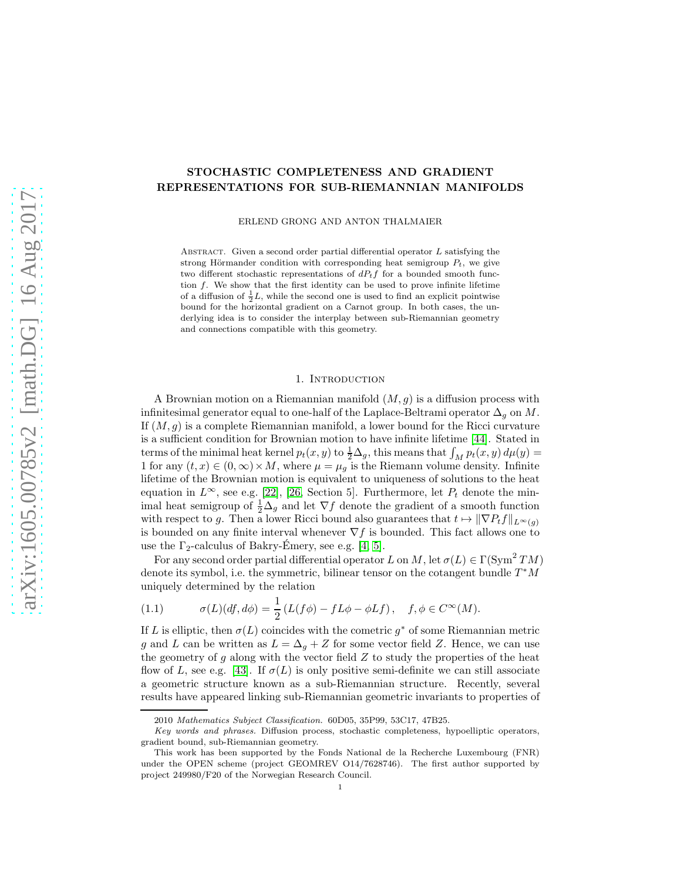# STOCHASTIC COMPLETENESS AND GRADIENT REPRESENTATIONS FOR SUB-RIEMANNIAN MANIFOLDS

ERLEND GRONG AND ANTON THALMAIER

ABSTRACT. Given a second order partial differential operator  $L$  satisfying the strong Hörmander condition with corresponding heat semigroup  $P_t$ , we give two different stochastic representations of  $dP_tf$  for a bounded smooth function f. We show that the first identity can be used to prove infinite lifetime of a diffusion of  $\frac{1}{2}L$ , while the second one is used to find an explicit pointwise bound for the horizontal gradient on a Carnot group. In both cases, the underlying idea is to consider the interplay between sub-Riemannian geometry and connections compatible with this geometry.

## 1. INTRODUCTION

A Brownian motion on a Riemannian manifold  $(M, g)$  is a diffusion process with infinitesimal generator equal to one-half of the Laplace-Beltrami operator  $\Delta_q$  on M. If  $(M, g)$  is a complete Riemannian manifold, a lower bound for the Ricci curvature is a sufficient condition for Brownian motion to have infinite lifetime [\[44\]](#page-33-0). Stated in terms of the minimal heat kernel  $p_t(x, y)$  to  $\frac{1}{2}\Delta_g$ , this means that  $\int_M p_t(x, y) d\mu(y) =$ 1 for any  $(t, x) \in (0, \infty) \times M$ , where  $\mu = \mu_q$  is the Riemann volume density. Infinite lifetime of the Brownian motion is equivalent to uniqueness of solutions to the heat equation in  $L^{\infty}$ , see e.g. [\[22\]](#page-32-0), [\[26,](#page-32-1) Section 5]. Furthermore, let  $P_t$  denote the minimal heat semigroup of  $\frac{1}{2}\Delta_g$  and let  $\nabla f$  denote the gradient of a smooth function with respect to g. Then a lower Ricci bound also guarantees that  $t \mapsto ||\nabla P_t f||_{L^{\infty}(g)}$ is bounded on any finite interval whenever  $\nabla f$  is bounded. This fact allows one to use the  $\Gamma_2$ -calculus of Bakry-Emery, see e.g. [\[4,](#page-31-0) [5\]](#page-31-1).

For any second order partial differential operator L on M, let  $\sigma(L) \in \Gamma(\text{Sym}^2 TM)$ denote its symbol, i.e. the symmetric, bilinear tensor on the cotangent bundle  $T^*M$ uniquely determined by the relation

<span id="page-0-0"></span>(1.1) 
$$
\sigma(L)(df, d\phi) = \frac{1}{2} (L(f\phi) - fL\phi - \phi Lf), \quad f, \phi \in C^{\infty}(M).
$$

If L is elliptic, then  $\sigma(L)$  coincides with the cometric  $g^*$  of some Riemannian metric g and L can be written as  $L = \Delta_g + Z$  for some vector field Z. Hence, we can use the geometry of  $g$  along with the vector field  $Z$  to study the properties of the heat flow of L, see e.g. [\[43\]](#page-33-1). If  $\sigma(L)$  is only positive semi-definite we can still associate a geometric structure known as a sub-Riemannian structure. Recently, several results have appeared linking sub-Riemannian geometric invariants to properties of

<sup>2010</sup> Mathematics Subject Classification. 60D05, 35P99, 53C17, 47B25.

Key words and phrases. Diffusion process, stochastic completeness, hypoelliptic operators, gradient bound, sub-Riemannian geometry.

This work has been supported by the Fonds National de la Recherche Luxembourg (FNR) under the OPEN scheme (project GEOMREV O14/7628746). The first author supported by project 249980/F20 of the Norwegian Research Council.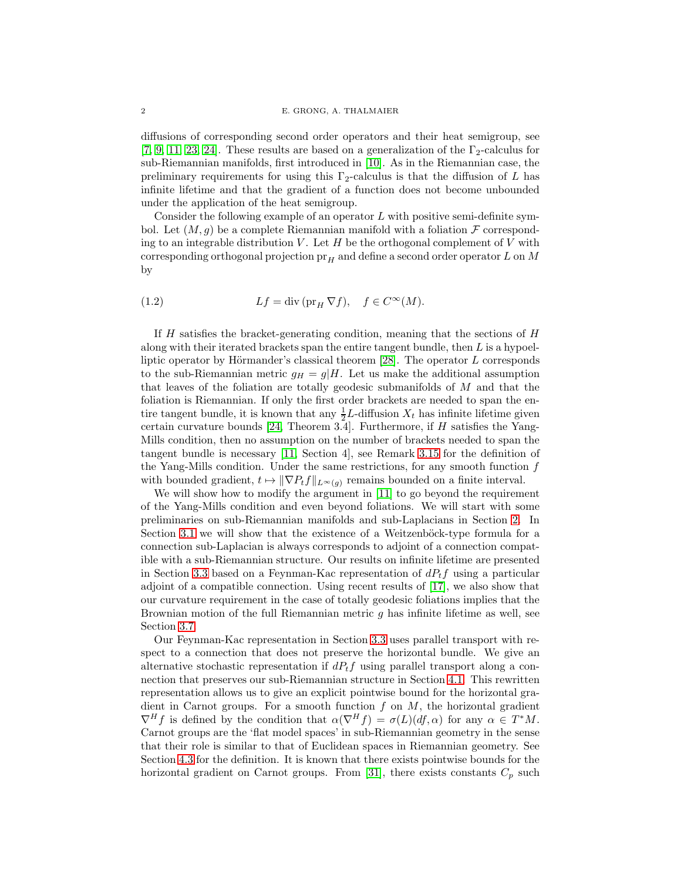#### 2 E. GRONG, A. THALMAIER

diffusions of corresponding second order operators and their heat semigroup, see [\[7,](#page-31-2) [9,](#page-31-3) [11,](#page-31-4) [23,](#page-32-2) [24\]](#page-32-3). These results are based on a generalization of the  $\Gamma_2$ -calculus for sub-Riemannian manifolds, first introduced in [\[10\]](#page-31-5). As in the Riemannian case, the preliminary requirements for using this  $\Gamma_2$ -calculus is that the diffusion of L has infinite lifetime and that the gradient of a function does not become unbounded under the application of the heat semigroup.

Consider the following example of an operator  $L$  with positive semi-definite symbol. Let  $(M, g)$  be a complete Riemannian manifold with a foliation  $\mathcal F$  corresponding to an integrable distribution  $V$ . Let  $H$  be the orthogonal complement of  $V$  with corresponding orthogonal projection  $pr_H$  and define a second order operator L on M by

(1.2) 
$$
Lf = \operatorname{div} (\operatorname{pr}_H \nabla f), \quad f \in C^{\infty}(M).
$$

If  $H$  satisfies the bracket-generating condition, meaning that the sections of  $H$ along with their iterated brackets span the entire tangent bundle, then  $L$  is a hypoelliptic operator by Hörmander's classical theorem  $[28]$ . The operator L corresponds to the sub-Riemannian metric  $g_H = g/H$ . Let us make the additional assumption that leaves of the foliation are totally geodesic submanifolds of M and that the foliation is Riemannian. If only the first order brackets are needed to span the entire tangent bundle, it is known that any  $\frac{1}{2}L$ -diffusion  $X_t$  has infinite lifetime given certain curvature bounds  $[24,$  Theorem 3.4]. Furthermore, if H satisfies the Yang-Mills condition, then no assumption on the number of brackets needed to span the tangent bundle is necessary [\[11,](#page-31-4) Section 4], see Remark 3.15 for the definition of the Yang-Mills condition. Under the same restrictions, for any smooth function  $f$ with bounded gradient,  $t \mapsto \|\nabla P_t f\|_{L^\infty(g)}$  remains bounded on a finite interval.

We will show how to modify the argument in [\[11\]](#page-31-4) to go beyond the requirement of the Yang-Mills condition and even beyond foliations. We will start with some preliminaries on sub-Riemannian manifolds and sub-Laplacians in Section [2.](#page-2-0) In Section [3.1](#page-5-0) we will show that the existence of a Weitzenböck-type formula for a connection sub-Laplacian is always corresponds to adjoint of a connection compatible with a sub-Riemannian structure. Our results on infinite lifetime are presented in Section [3.3](#page-11-0) based on a Feynman-Kac representation of  $dP_tf$  using a particular adjoint of a compatible connection. Using recent results of [\[17\]](#page-32-5), we also show that our curvature requirement in the case of totally geodesic foliations implies that the Brownian motion of the full Riemannian metric  $q$  has infinite lifetime as well, see Section [3.7.](#page-17-0)

Our Feynman-Kac representation in Section [3.3](#page-11-0) uses parallel transport with respect to a connection that does not preserve the horizontal bundle. We give an alternative stochastic representation if  $dP_tf$  using parallel transport along a connection that preserves our sub-Riemannian structure in Section [4.1.](#page-21-0) This rewritten representation allows us to give an explicit pointwise bound for the horizontal gradient in Carnot groups. For a smooth function  $f$  on  $M$ , the horizontal gradient  $\nabla^H f$  is defined by the condition that  $\alpha(\nabla^H f) = \sigma(L)(df, \alpha)$  for any  $\alpha \in T^*M$ . Carnot groups are the 'flat model spaces' in sub-Riemannian geometry in the sense that their role is similar to that of Euclidean spaces in Riemannian geometry. See Section [4.3](#page-24-0) for the definition. It is known that there exists pointwise bounds for the horizontal gradient on Carnot groups. From [\[31\]](#page-32-6), there exists constants  $C_p$  such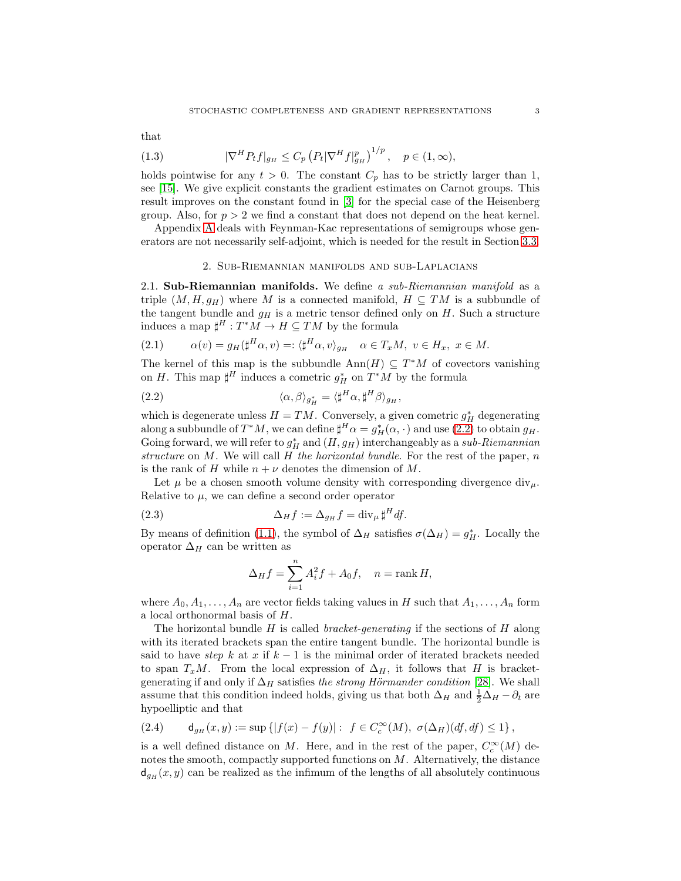$$
_{\rm that}
$$

(1.3) 
$$
|\nabla^H P_t f|_{g_H} \le C_p \left( P_t |\nabla^H f|_{g_H}^p \right)^{1/p}, \quad p \in (1, \infty),
$$

holds pointwise for any  $t > 0$ . The constant  $C_p$  has to be strictly larger than 1, see [\[15\]](#page-32-7). We give explicit constants the gradient estimates on Carnot groups. This result improves on the constant found in [\[3\]](#page-31-6) for the special case of the Heisenberg group. Also, for  $p > 2$  we find a constant that does not depend on the heat kernel.

<span id="page-2-0"></span>Appendix [A](#page-29-0) deals with Feynman-Kac representations of semigroups whose generators are not necessarily self-adjoint, which is needed for the result in Section [3.3.](#page-11-0)

#### 2. Sub-Riemannian manifolds and sub-Laplacians

2.1. Sub-Riemannian manifolds. We define a sub-Riemannian manifold as a triple  $(M, H, g_H)$  where M is a connected manifold,  $H \subseteq TM$  is a subbundle of the tangent bundle and  $g_H$  is a metric tensor defined only on H. Such a structure induces a map  $\sharp^H : T^*M \to H \subseteq TM$  by the formula

(2.1) 
$$
\alpha(v) = g_H(\sharp^H \alpha, v) =: \langle \sharp^H \alpha, v \rangle_{g_H} \quad \alpha \in T_xM, \ v \in H_x, \ x \in M.
$$

The kernel of this map is the subbundle  $\text{Ann}(H) \subseteq T^*M$  of covectors vanishing on H. This map  $\sharp^H$  induces a cometric  $g_H^*$  on  $T^*M$  by the formula

<span id="page-2-1"></span>(2.2) 
$$
\langle \alpha, \beta \rangle_{g_H^*} = \langle \sharp^H \alpha, \sharp^H \beta \rangle_{g_H},
$$

which is degenerate unless  $H = TM$ . Conversely, a given cometric  $g_H^*$  degenerating along a subbundle of  $T^*M$ , we can define  $\sharp^H \alpha = g_H^*(\alpha, \cdot)$  and use [\(2.2\)](#page-2-1) to obtain  $g_H$ . Going forward, we will refer to  $g_H^*$  and  $(H, g_H)$  interchangeably as a sub-Riemannian structure on  $M$ . We will call  $H$  the horizontal bundle. For the rest of the paper,  $n$ is the rank of H while  $n + \nu$  denotes the dimension of M.

Let  $\mu$  be a chosen smooth volume density with corresponding divergence div<sub>u</sub>. Relative to  $\mu$ , we can define a second order operator

(2.3) 
$$
\Delta_H f := \Delta_{g_H} f = \text{div}_{\mu} \sharp^H df.
$$

By means of definition [\(1.1\)](#page-0-0), the symbol of  $\Delta_H$  satisfies  $\sigma(\Delta_H) = g_H^*$ . Locally the operator  $\Delta_H$  can be written as

<span id="page-2-2"></span>
$$
\Delta_H f = \sum_{i=1}^n A_i^2 f + A_0 f, \quad n = \text{rank } H,
$$

where  $A_0, A_1, \ldots, A_n$  are vector fields taking values in H such that  $A_1, \ldots, A_n$  form a local orthonormal basis of H.

The horizontal bundle  $H$  is called *bracket-generating* if the sections of  $H$  along with its iterated brackets span the entire tangent bundle. The horizontal bundle is said to have step k at x if  $k-1$  is the minimal order of iterated brackets needed to span  $T_xM$ . From the local expression of  $\Delta_H$ , it follows that H is bracketgenerating if and only if  $\Delta_H$  satisfies the strong Hörmander condition [\[28\]](#page-32-4). We shall assume that this condition indeed holds, giving us that both  $\Delta_H$  and  $\frac{1}{2}\Delta_H - \partial_t$  are hypoelliptic and that

$$
(2.4) \qquad \mathsf{d}_{g_H}(x,y) := \sup \left\{ |f(x) - f(y)| : f \in C_c^{\infty}(M), \ \sigma(\Delta_H)(df, df) \le 1 \right\},
$$

is a well defined distance on M. Here, and in the rest of the paper,  $C_c^{\infty}(M)$  denotes the smooth, compactly supported functions on M. Alternatively, the distance  $d_{g_H}(x, y)$  can be realized as the infimum of the lengths of all absolutely continuous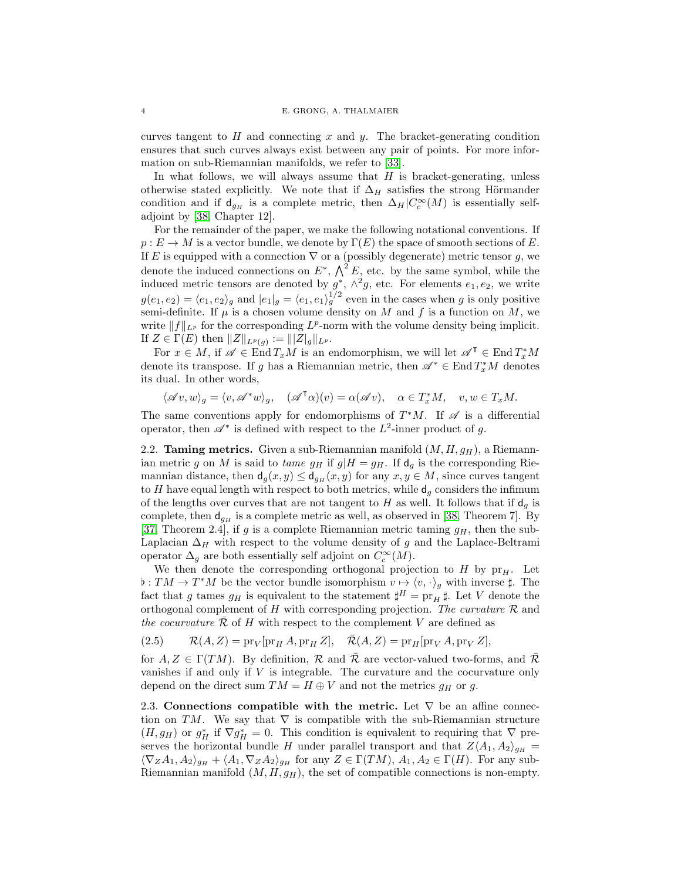curves tangent to  $H$  and connecting  $x$  and  $y$ . The bracket-generating condition ensures that such curves always exist between any pair of points. For more information on sub-Riemannian manifolds, we refer to [\[33\]](#page-32-8).

In what follows, we will always assume that  $H$  is bracket-generating, unless otherwise stated explicitly. We note that if  $\Delta_H$  satisfies the strong Hörmander condition and if  $\mathsf{d}_{g_H}$  is a complete metric, then  $\Delta_H | C_c^{\infty}(M)$  is essentially selfadjoint by [\[38,](#page-32-9) Chapter 12].

For the remainder of the paper, we make the following notational conventions. If  $p: E \to M$  is a vector bundle, we denote by  $\Gamma(E)$  the space of smooth sections of E. If E is equipped with a connection  $\nabla$  or a (possibly degenerate) metric tensor g, we denote the induced connections on  $E^*$ ,  $\bigwedge^2 E$ , etc. by the same symbol, while the induced metric tensors are denoted by  $g^*, \wedge^2 g$ , etc. For elements  $e_1, e_2$ , we write  $g(e_1, e_2) = \langle e_1, e_2 \rangle_g$  and  $|e_1|_g = \langle e_1, e_1 \rangle_g^{1/2}$  even in the cases when g is only positive semi-definite. If  $\mu$  is a chosen volume density on M and f is a function on M, we write  $||f||_{L^p}$  for the corresponding  $L^p$ -norm with the volume density being implicit. If  $Z \in \Gamma(E)$  then  $||Z||_{L^p(g)} := |||Z|_g||_{L^p}$ .

For  $x \in M$ , if  $\mathscr{A} \in \text{End} T_xM$  is an endomorphism, we will let  $\mathscr{A}^{\mathsf{T}} \in \text{End} T_x^*M$ denote its transpose. If g has a Riemannian metric, then  $\mathscr{A}^* \in \text{End}\, T_x^*M$  denotes its dual. In other words,

 $\langle \mathscr{A} v, w \rangle_g = \langle v, \mathscr{A}^* w \rangle_g, \quad (\mathscr{A}^\mathsf{T} \alpha)(v) = \alpha(\mathscr{A} v), \quad \alpha \in T_x^*M, \quad v, w \in T_xM.$ 

The same conventions apply for endomorphisms of  $T^*M$ . If  $\mathscr A$  is a differential operator, then  $\mathscr{A}^*$  is defined with respect to the  $L^2$ -inner product of g.

2.2. **Taming metrics.** Given a sub-Riemannian manifold  $(M, H, g_H)$ , a Riemannian metric g on M is said to tame  $g_H$  if  $g|H = g_H$ . If  $d_g$  is the corresponding Riemannian distance, then  $d_g(x, y) \leq d_{g_H}(x, y)$  for any  $x, y \in M$ , since curves tangent to H have equal length with respect to both metrics, while  $d_q$  considers the infimum of the lengths over curves that are not tangent to H as well. It follows that if  $d_g$  is complete, then  $d_{g_H}$  is a complete metric as well, as observed in [\[38,](#page-32-9) Theorem 7]. By [\[37,](#page-32-10) Theorem 2.4], if g is a complete Riemannian metric taming  $g_H$ , then the sub-Laplacian  $\Delta_H$  with respect to the volume density of g and the Laplace-Beltrami operator  $\Delta_g$  are both essentially self adjoint on  $C_c^{\infty}(M)$ .

We then denote the corresponding orthogonal projection to  $H$  by  $pr_H$ . Let  $\flat: TM \to T^*M$  be the vector bundle isomorphism  $v \mapsto \langle v, \cdot \rangle_g$  with inverse  $\sharp$ . The fact that g tames  $g_H$  is equivalent to the statement  $\sharp^H = \text{pr}_H \sharp$ . Let V denote the orthogonal complement of H with corresponding projection. The curvature  $R$  and the cocurvature  $R$  of H with respect to the complement V are defined as

<span id="page-3-0"></span>(2.5) 
$$
\mathcal{R}(A, Z) = \text{pr}_V[\text{pr}_H A, \text{pr}_H Z], \quad \overline{\mathcal{R}}(A, Z) = \text{pr}_H[\text{pr}_V A, \text{pr}_V Z],
$$

for  $A, Z \in \Gamma(TM)$ . By definition,  $\mathcal R$  and  $\bar{\mathcal R}$  are vector-valued two-forms, and  $\bar{\mathcal R}$ vanishes if and only if  $V$  is integrable. The curvature and the cocurvature only depend on the direct sum  $TM = H \oplus V$  and not the metrics  $g_H$  or g.

2.3. Connections compatible with the metric. Let  $\nabla$  be an affine connection on TM. We say that  $\nabla$  is compatible with the sub-Riemannian structure  $(H, g_H)$  or  $g_H^*$  if  $\nabla g_H^* = 0$ . This condition is equivalent to requiring that  $\nabla$  preserves the horizontal bundle H under parallel transport and that  $Z\langle A_1, A_2\rangle_{g_H} =$  $\langle \nabla_Z A_1, A_2 \rangle_{g_H} + \langle A_1, \nabla_Z A_2 \rangle_{g_H}$  for any  $Z \in \Gamma(TM)$ ,  $A_1, A_2 \in \Gamma(H)$ . For any sub-Riemannian manifold  $(M, H, g_H)$ , the set of compatible connections is non-empty.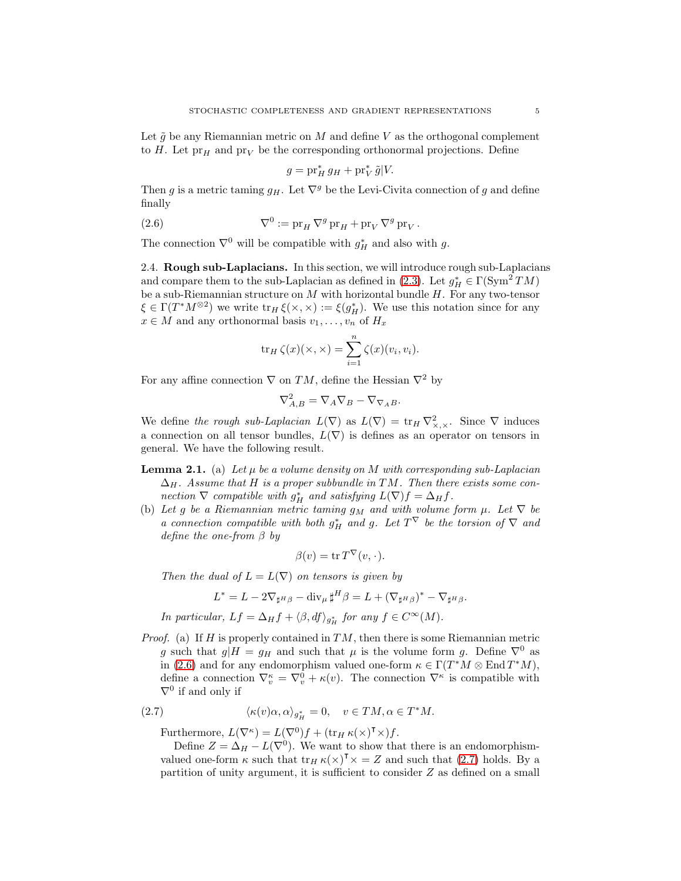Let  $\tilde{g}$  be any Riemannian metric on M and define V as the orthogonal complement to H. Let  $pr_H$  and  $pr_V$  be the corresponding orthonormal projections. Define

<span id="page-4-0"></span>
$$
g = \operatorname{pr}_H^* g_H + \operatorname{pr}_V^* \tilde{g}|V.
$$

Then g is a metric taming  $g_H$ . Let  $\nabla^g$  be the Levi-Civita connection of g and define finally

(2.6) 
$$
\nabla^0 := \operatorname{pr}_H \nabla^g \operatorname{pr}_H + \operatorname{pr}_V \nabla^g \operatorname{pr}_V.
$$

The connection  $\nabla^0$  will be compatible with  $g_H^*$  and also with g.

2.4. Rough sub-Laplacians. In this section, we will introduce rough sub-Laplacians and compare them to the sub-Laplacian as defined in [\(2.3\)](#page-2-2). Let  $g_H^* \in \Gamma(\mathrm{Sym}^2 TM)$ be a sub-Riemannian structure on  $M$  with horizontal bundle  $H$ . For any two-tensor  $\xi \in \Gamma(T^*M^{\otimes 2})$  we write  $\text{tr}_H \xi(\times, \times) := \xi(g_H^*)$ . We use this notation since for any  $x \in M$  and any orthonormal basis  $v_1, \ldots, v_n$  of  $H_x$ 

$$
\operatorname{tr}_H \zeta(x)(\times,\times) = \sum_{i=1}^n \zeta(x)(v_i,v_i).
$$

For any affine connection  $\nabla$  on TM, define the Hessian  $\nabla^2$  by

$$
\nabla_{A,B}^2 = \nabla_A \nabla_B - \nabla_{\nabla_A B}.
$$

We define the rough sub-Laplacian  $L(\nabla)$  as  $L(\nabla) = \text{tr}_H \nabla^2_{\times, \times}$ . Since  $\nabla$  induces a connection on all tensor bundles,  $L(\nabla)$  is defines as an operator on tensors in general. We have the following result.

- **Lemma 2.1.** (a) Let  $\mu$  be a volume density on M with corresponding sub-Laplacian  $\Delta_H$ . Assume that H is a proper subbundle in TM. Then there exists some connection  $\nabla$  compatible with  $g_H^*$  and satisfying  $L(\nabla)f = \Delta_H f$ .
- (b) Let g be a Riemannian metric taming  $g_M$  and with volume form  $\mu$ . Let  $\nabla$  be a connection compatible with both  $g_H^*$  and g. Let  $T^{\vee}$  be the torsion of  $\nabla$  and define the one-from  $\beta$  by

$$
\beta(v) = \operatorname{tr} T^{\nabla}(v, \cdot).
$$

Then the dual of  $L = L(\nabla)$  on tensors is given by

$$
L^* = L - 2\nabla_{\sharp^H\beta} - \text{div}_{\mu} \sharp^H \beta = L + (\nabla_{\sharp^H\beta})^* - \nabla_{\sharp^H\beta}.
$$

In particular,  $Lf = \Delta_H f + \langle \beta, df \rangle_{g_H^*}$  for any  $f \in C^{\infty}(M)$ .

*Proof.* (a) If H is properly contained in  $TM$ , then there is some Riemannian metric g such that  $g|H = g_H$  and such that  $\mu$  is the volume form g. Define  $\nabla^0$  as in [\(2.6\)](#page-4-0) and for any endomorphism valued one-form  $\kappa \in \Gamma(T^*M \otimes \text{End }T^*M)$ , define a connection  $\nabla_v^{\kappa} = \nabla_v^0 + \kappa(v)$ . The connection  $\nabla^{\kappa}$  is compatible with  $\nabla^0$  if and only if

(2.7) 
$$
\langle \kappa(v)\alpha, \alpha \rangle_{g_H^*} = 0, \quad v \in TM, \alpha \in T^*M.
$$

<span id="page-4-1"></span>Furthermore,  $L(\nabla^{\kappa}) = L(\nabla^0)f + (\text{tr}_H \kappa(\times)^\mathsf{T} \times)f.$ 

Define  $Z = \Delta_H - L(\nabla^0)$ . We want to show that there is an endomorphismvalued one-form  $\kappa$  such that  $\text{tr}_H \kappa(\times)^\mathsf{T} \times Z = Z$  and such that [\(2.7\)](#page-4-1) holds. By a partition of unity argument, it is sufficient to consider Z as defined on a small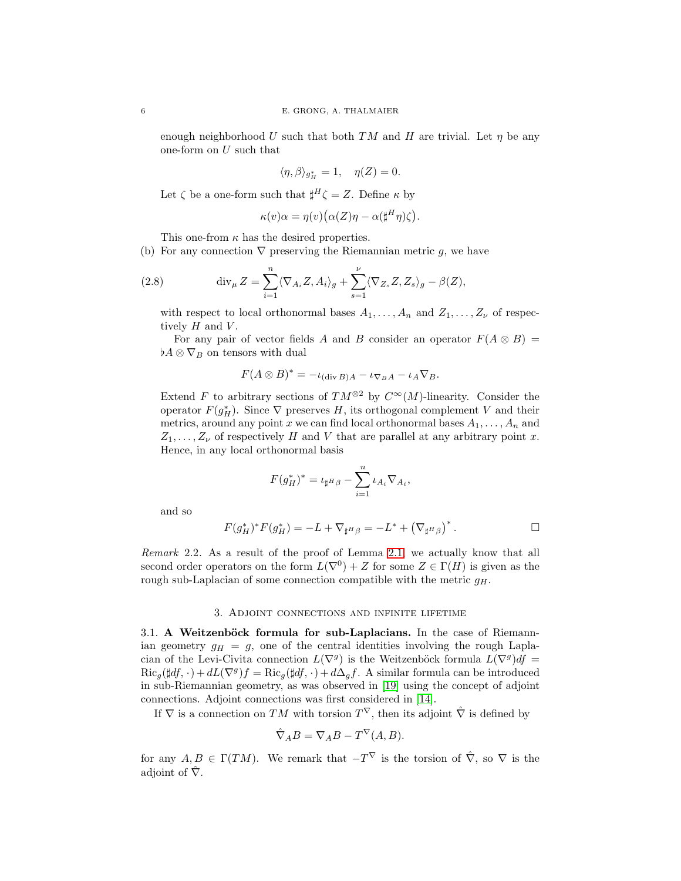enough neighborhood U such that both TM and H are trivial. Let  $\eta$  be any one-form on  $U$  such that

$$
\langle \eta, \beta \rangle_{g_H^*} = 1, \quad \eta(Z) = 0.
$$

Let  $\zeta$  be a one-form such that  $\sharp^H \zeta = Z$ . Define  $\kappa$  by

$$
\kappa(v)\alpha = \eta(v)\big(\alpha(Z)\eta - \alpha(\sharp^H\eta)\zeta\big).
$$

This one-from  $\kappa$  has the desired properties.

(b) For any connection  $\nabla$  preserving the Riemannian metric g, we have

(2.8) 
$$
\operatorname{div}_{\mu} Z = \sum_{i=1}^{n} \langle \nabla_{A_i} Z, A_i \rangle_g + \sum_{s=1}^{\nu} \langle \nabla_{Z_s} Z, Z_s \rangle_g - \beta(Z),
$$

with respect to local orthonormal bases  $A_1, \ldots, A_n$  and  $Z_1, \ldots, Z_{\nu}$  of respectively  $H$  and  $V$ .

For any pair of vector fields A and B consider an operator  $F(A \otimes B) =$  $\flat A \otimes \nabla_B$  on tensors with dual

$$
F(A \otimes B)^* = -\iota_{(\text{div }B)A} - \iota_{\nabla_B A} - \iota_A \nabla_B.
$$

Extend F to arbitrary sections of  $TM^{\otimes 2}$  by  $C^{\infty}(M)$ -linearity. Consider the operator  $F(g_H^*)$ . Since  $\nabla$  preserves H, its orthogonal complement V and their metrics, around any point x we can find local orthonormal bases  $A_1, \ldots, A_n$  and  $Z_1, \ldots, Z_{\nu}$  of respectively H and V that are parallel at any arbitrary point x. Hence, in any local orthonormal basis

$$
F(g_H^*)^* = \iota_{\sharp^H\beta} - \sum_{i=1}^n \iota_{A_i} \nabla_{A_i},
$$

and so

$$
F(g_H^*)^*F(g_H^*)=-L+\nabla_{\sharp^H\beta}=-L^*+\left(\nabla_{\sharp^H\beta}\right)^*.
$$

Remark 2.2. As a result of the proof of Lemma 2.1, we actually know that all second order operators on the form  $L(\nabla^0) + Z$  for some  $Z \in \Gamma(H)$  is given as the rough sub-Laplacian of some connection compatible with the metric  $g_H$ .

#### 3. Adjoint connections and infinite lifetime

<span id="page-5-0"></span> $3.1.$  A Weitzenböck formula for sub-Laplacians. In the case of Riemannian geometry  $g_H = g$ , one of the central identities involving the rough Laplacian of the Levi-Civita connection  $L(\nabla^g)$  is the Weitzenböck formula  $L(\nabla^g)df =$  $\text{Ric}_g(\sharp df, \cdot) + dL(\nabla^g)f = \text{Ric}_g(\sharp df, \cdot) + d\Delta_g f.$  A similar formula can be introduced in sub-Riemannian geometry, as was observed in [\[19\]](#page-32-11) using the concept of adjoint connections. Adjoint connections was first considered in [\[14\]](#page-31-7).

If  $\nabla$  is a connection on  $TM$  with torsion  $T^{\nabla}$ , then its adjoint  $\hat{\nabla}$  is defined by

$$
\hat{\nabla}_A B = \nabla_A B - T^{\nabla}(A, B).
$$

for any  $A, B \in \Gamma(TM)$ . We remark that  $-T^{\nabla}$  is the torsion of  $\hat{\nabla}$ , so  $\nabla$  is the adjoint of  $\hat{\nabla}$ .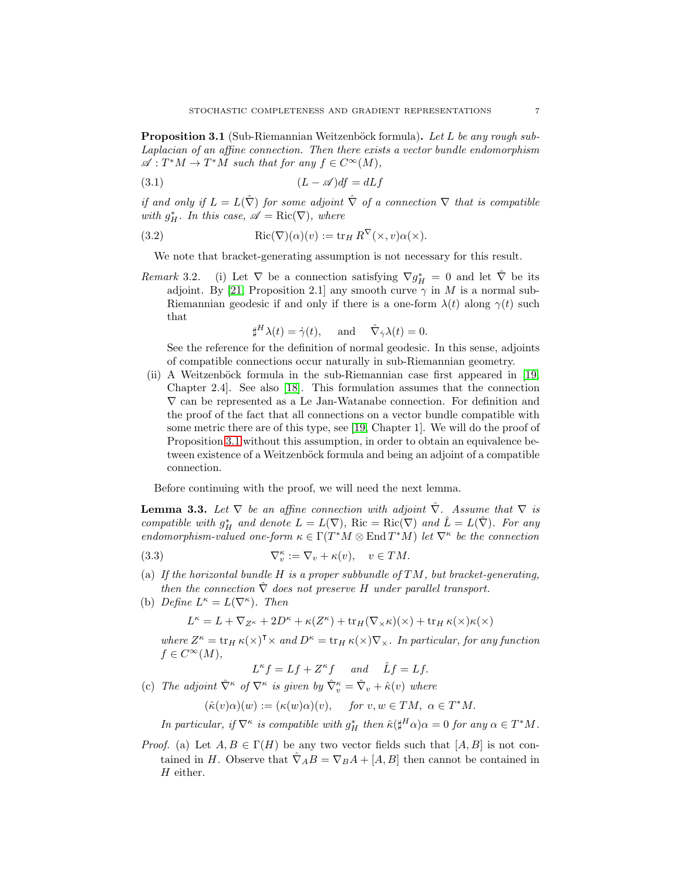<span id="page-6-0"></span>**Proposition 3.1** (Sub-Riemannian Weitzenböck formula). Let L be any rough sub-Laplacian of an affine connection. Then there exists a vector bundle endomorphism  $\mathscr{A}: T^*M \to T^*M$  such that for any  $f \in C^{\infty}(M)$ ,

$$
(3.1)\t\t\t (L - \mathscr{A})df = dLf
$$

if and only if  $L = L(\hat{\nabla})$  for some adjoint  $\hat{\nabla}$  of a connection  $\nabla$  that is compatible with  $g_H^*$ . In this case,  $\mathscr{A} = \text{Ric}(\nabla)$ , where

(3.2) 
$$
Ric(\nabla)(\alpha)(v) := \text{tr}_H R^{\nabla}(\times, v)\alpha(\times).
$$

We note that bracket-generating assumption is not necessary for this result.

Remark 3.2. (i) Let  $\nabla$  be a connection satisfying  $\nabla g_H^* = 0$  and let  $\hat{\nabla}$  be its adjoint. By [\[21,](#page-32-12) Proposition 2.1] any smooth curve  $\gamma$  in M is a normal sub-Riemannian geodesic if and only if there is a one-form  $\lambda(t)$  along  $\gamma(t)$  such that

<span id="page-6-1"></span>
$$
\sharp^H \lambda(t) = \dot{\gamma}(t), \quad \text{and} \quad \hat{\nabla}_{\dot{\gamma}} \lambda(t) = 0.
$$

See the reference for the definition of normal geodesic. In this sense, adjoints of compatible connections occur naturally in sub-Riemannian geometry.

(ii) A Weitzenböck formula in the sub-Riemannian case first appeared in  $[19]$ , Chapter 2.4]. See also [\[18\]](#page-32-13). This formulation assumes that the connection  $\nabla$  can be represented as a Le Jan-Watanabe connection. For definition and the proof of the fact that all connections on a vector bundle compatible with some metric there are of this type, see [\[19,](#page-32-11) Chapter 1]. We will do the proof of Proposition [3.1](#page-6-0) without this assumption, in order to obtain an equivalence between existence of a Weitzenböck formula and being an adjoint of a compatible connection.

Before continuing with the proof, we will need the next lemma.

<span id="page-6-4"></span>**Lemma 3.3.** Let  $\nabla$  be an affine connection with adjoint  $\nabla$ . Assume that  $\nabla$  is compatible with  $g_H^*$  and denote  $L = L(\nabla)$ , Ric = Ric( $\nabla$ ) and  $\hat{L} = L(\hat{\nabla})$ . For any endomorphism-valued one-form  $\kappa \in \Gamma(T^*M \otimes \text{End }T^*M)$  let  $\nabla^{\kappa}$  be the connection

(3.3) 
$$
\nabla_v^{\kappa} := \nabla_v + \kappa(v), \quad v \in TM.
$$

- (a) If the horizontal bundle  $H$  is a proper subbundle of  $TM$ , but bracket-generating, then the connection  $\hat{\nabla}$  does not preserve H under parallel transport.
- <span id="page-6-3"></span>(b) Define  $L^{\kappa} = L(\nabla^{\kappa})$ . Then

<span id="page-6-2"></span> $L^{\kappa} = L + \nabla_{Z^{\kappa}} + 2D^{\kappa} + \kappa(Z^{\kappa}) + \text{tr}_H(\nabla_{\times} \kappa)(\times) + \text{tr}_H \kappa(\times) \kappa(\times)$ 

where  $Z^{\kappa} = \text{tr}_H \kappa(\times)^\intercal \times$  and  $D^{\kappa} = \text{tr}_H \kappa(\times) \nabla_{\times}$ . In particular, for any function  $f \in C^{\infty}(M),$ 

- $L^{\kappa} f = Lf + Z^{\kappa} f$  and  $\hat{L} f = Lf$ .
- (c) The adjoint  $\hat{\nabla}^{\kappa}$  of  $\nabla^{\kappa}$  is given by  $\hat{\nabla}_{v}^{\kappa} = \hat{\nabla}_{v} + \hat{\kappa}(v)$  where

 $(\hat{\kappa}(v)\alpha)(w) := (\kappa(w)\alpha)(v), \quad \text{for } v, w \in TM, \ \alpha \in T^*M.$ 

In particular, if  $\nabla^{\kappa}$  is compatible with  $g_H^*$  then  $\hat{\kappa}(\sharp^H \alpha) \alpha = 0$  for any  $\alpha \in T^*M$ .

*Proof.* (a) Let  $A, B \in \Gamma(H)$  be any two vector fields such that  $[A, B]$  is not contained in H. Observe that  $\hat{\nabla}_A B = \nabla_B A + [A, B]$  then cannot be contained in H either.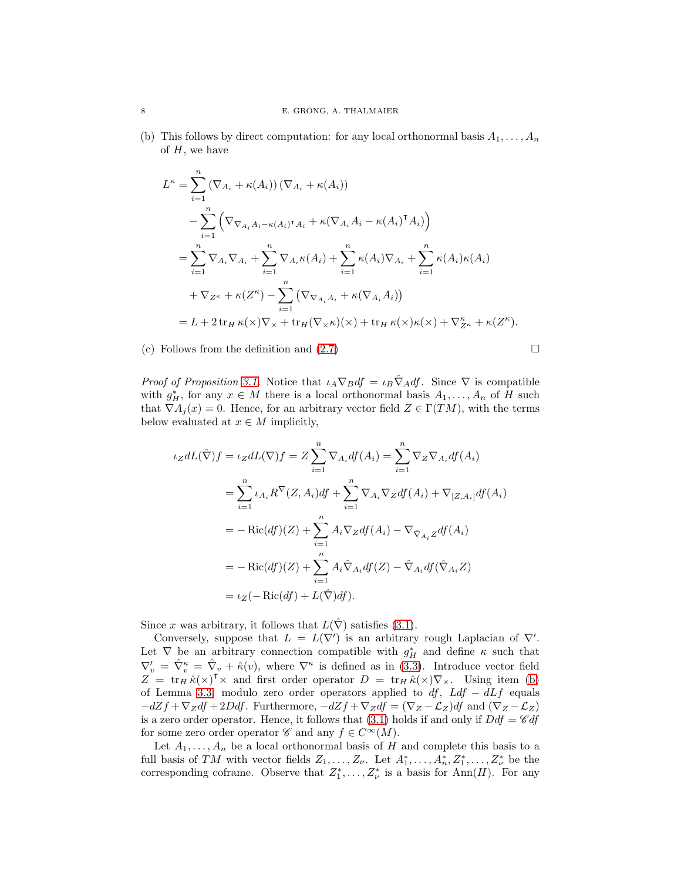(b) This follows by direct computation: for any local orthonormal basis  $A_1, \ldots, A_n$ of  $H$ , we have

$$
L^{\kappa} = \sum_{i=1}^{n} (\nabla_{A_i} + \kappa(A_i)) (\nabla_{A_i} + \kappa(A_i))
$$
  
\n
$$
- \sum_{i=1}^{n} (\nabla_{\nabla_{A_i} A_i - \kappa(A_i)^{\mathsf{T}} A_i} + \kappa(\nabla_{A_i} A_i - \kappa(A_i)^{\mathsf{T}} A_i))
$$
  
\n
$$
= \sum_{i=1}^{n} \nabla_{A_i} \nabla_{A_i} + \sum_{i=1}^{n} \nabla_{A_i} \kappa(A_i) + \sum_{i=1}^{n} \kappa(A_i) \nabla_{A_i} + \sum_{i=1}^{n} \kappa(A_i) \kappa(A_i)
$$
  
\n
$$
+ \nabla_{Z^{\kappa}} + \kappa(Z^{\kappa}) - \sum_{i=1}^{n} (\nabla_{\nabla_{A_i} A_i} + \kappa(\nabla_{A_i} A_i))
$$
  
\n
$$
= L + 2 \operatorname{tr}_{H} \kappa(\times) \nabla_{\times} + \operatorname{tr}_{H} (\nabla_{\times} \kappa)(\times) + \operatorname{tr}_{H} \kappa(\times) \kappa(\times) + \nabla_{Z^{\kappa}}^{\kappa} + \kappa(Z^{\kappa}).
$$

(c) Follows from the definition and [\(2.7\)](#page-4-1)

$$
\qquad \qquad \Box
$$

*Proof of Proposition [3.1.](#page-6-0)* Notice that  $\iota_A \nabla_B df = \iota_B \nabla_A df$ . Since  $\nabla$  is compatible with  $g_H^*$ , for any  $x \in M$  there is a local orthonormal basis  $A_1, \ldots, A_n$  of H such that  $\nabla A_j(x) = 0$ . Hence, for an arbitrary vector field  $Z \in \Gamma(TM)$ , with the terms below evaluated at  $x \in M$  implicitly,

$$
\iota_Z dL(\hat{\nabla}) f = \iota_Z dL(\nabla) f = Z \sum_{i=1}^n \nabla_{A_i} df(A_i) = \sum_{i=1}^n \nabla_Z \nabla_{A_i} df(A_i)
$$
  
\n
$$
= \sum_{i=1}^n \iota_{A_i} R^{\nabla} (Z, A_i) df + \sum_{i=1}^n \nabla_{A_i} \nabla_Z df(A_i) + \nabla_{[Z, A_i]} df(A_i)
$$
  
\n
$$
= -\operatorname{Ric}(df)(Z) + \sum_{i=1}^n A_i \nabla_Z df(A_i) - \nabla_{\hat{\nabla}_{A_i} Z} df(A_i)
$$
  
\n
$$
= -\operatorname{Ric}(df)(Z) + \sum_{i=1}^n A_i \hat{\nabla}_{A_i} df(Z) - \hat{\nabla}_{A_i} df(\hat{\nabla}_{A_i} Z)
$$
  
\n
$$
= \iota_Z(-\operatorname{Ric}(df) + L(\hat{\nabla}) df).
$$

Since x was arbitrary, it follows that  $L(\hat{\nabla})$  satisfies [\(3.1\)](#page-6-1).

Conversely, suppose that  $L = L(\nabla')$  is an arbitrary rough Laplacian of  $\nabla'$ . Let  $\nabla$  be an arbitrary connection compatible with  $g_H^*$  and define  $\kappa$  such that  $\nabla'_v = \hat{\nabla}_v^{\kappa} = \hat{\nabla}_v + \hat{\kappa}(v)$ , where  $\nabla^{\kappa}$  is defined as in [\(3.3\)](#page-6-2). Introduce vector field  $Z = \text{tr}_H \hat{\kappa}(\times)^\mathsf{T} \times \text{ and first order operator } D = \text{tr}_H \hat{\kappa}(\times) \nabla_\times.$  Using item [\(b\)](#page-6-3) of Lemma [3.3,](#page-6-4) modulo zero order operators applied to  $df$ ,  $Ldf - dLf$  equals  $-dZf + \nabla_Z df + 2Ddf$ . Furthermore,  $-dZf + \nabla_Z df = (\nabla_Z - \mathcal{L}_Z)df$  and  $(\nabla_Z - \mathcal{L}_Z)$ is a zero order operator. Hence, it follows that  $(3.1)$  holds if and only if  $Ddf = \mathscr{C}df$ for some zero order operator  $\mathscr{C}$  and any  $f \in C^{\infty}(M)$ .

Let  $A_1, \ldots, A_n$  be a local orthonormal basis of H and complete this basis to a full basis of TM with vector fields  $Z_1, \ldots, Z_{\nu}$ . Let  $A_1^*, \ldots, A_n^*, Z_1^*, \ldots, Z_{\nu}^*$  be the corresponding coframe. Observe that  $Z_1^*, \ldots, Z_{\nu}^*$  is a basis for Ann(H). For any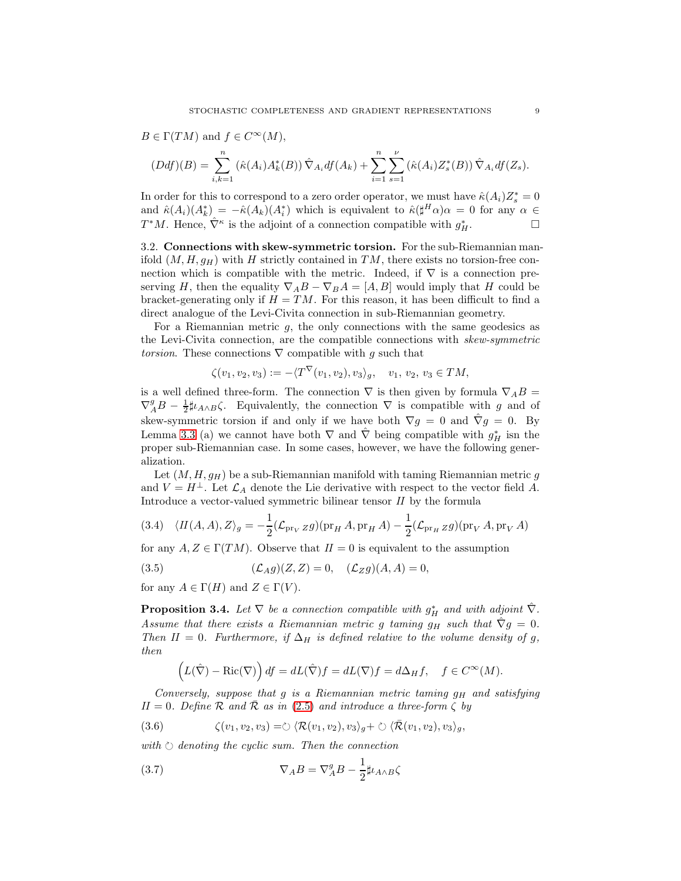$$
B \in \Gamma(TM) \text{ and } f \in C^{\infty}(M),
$$
  
\n
$$
(Ddf)(B) = \sum_{i,k=1}^{n} (\hat{\kappa}(A_i)A_k^*(B)) \hat{\nabla}_{A_i} df(A_k) + \sum_{i=1}^{n} \sum_{s=1}^{\nu} (\hat{\kappa}(A_i)Z_s^*(B)) \hat{\nabla}_{A_i} df(Z_s).
$$

In order for this to correspond to a zero order operator, we must have  $\hat{\kappa}(A_i)Z_s^* = 0$ and  $\hat{\kappa}(A_i)(A_k^*) = -\hat{\kappa}(A_k)(A_i^*)$  which is equivalent to  $\hat{\kappa}(\sharp^H \alpha) \alpha = 0$  for any  $\alpha \in$  $T^*M$ . Hence,  $\hat{\nabla}^{\kappa}$  is the adjoint of a connection compatible with  $g_H^*$ .

<span id="page-8-5"></span>3.2. Connections with skew-symmetric torsion. For the sub-Riemannian manifold  $(M, H, g_H)$  with H strictly contained in TM, there exists no torsion-free connection which is compatible with the metric. Indeed, if  $\nabla$  is a connection preserving H, then the equality  $\nabla_A B - \nabla_B A = [A, B]$  would imply that H could be bracket-generating only if  $H = TM$ . For this reason, it has been difficult to find a direct analogue of the Levi-Civita connection in sub-Riemannian geometry.

For a Riemannian metric  $g$ , the only connections with the same geodesics as the Levi-Civita connection, are the compatible connections with skew-symmetric torsion. These connections  $\nabla$  compatible with g such that

$$
\zeta(v_1, v_2, v_3) := -\langle T^{\vee}(v_1, v_2), v_3 \rangle_g, \quad v_1, v_2, v_3 \in TM,
$$

is a well defined three-form. The connection  $\nabla$  is then given by formula  $\nabla_A B =$  $\nabla_A^g B - \frac{1}{2} \sharp \iota_{A \wedge B} \zeta$ . Equivalently, the connection  $\nabla$  is compatible with g and of skew-symmetric torsion if and only if we have both  $\nabla g = 0$  and  $\nabla g = 0$ . By Lemma [3.3](#page-6-4) (a) we cannot have both  $\nabla$  and  $\hat{\nabla}$  being compatible with  $g_H^*$  isn the proper sub-Riemannian case. In some cases, however, we have the following generalization.

Let  $(M, H, g_H)$  be a sub-Riemannian manifold with taming Riemannian metric g and  $V = H^{\perp}$ . Let  $\mathcal{L}_A$  denote the Lie derivative with respect to the vector field A. Introduce a vector-valued symmetric bilinear tensor II by the formula

<span id="page-8-3"></span>(3.4) 
$$
\langle H(A, A), Z \rangle_{g} = -\frac{1}{2} (\mathcal{L}_{\text{pr}_{V}} g) (\text{pr}_{H} A, \text{pr}_{H} A) - \frac{1}{2} (\mathcal{L}_{\text{pr}_{H}} g) (\text{pr}_{V} A, \text{pr}_{V} A)
$$

for any  $A, Z \in \Gamma(TM)$ . Observe that  $II = 0$  is equivalent to the assumption

<span id="page-8-2"></span>(3.5) 
$$
(\mathcal{L}_A g)(Z, Z) = 0, \quad (\mathcal{L}_Z g)(A, A) = 0,
$$

for any  $A \in \Gamma(H)$  and  $Z \in \Gamma(V)$ .

<span id="page-8-0"></span>**Proposition 3.4.** Let  $\nabla$  be a connection compatible with  $g_H^*$  and with adjoint  $\hat{\nabla}$ . Assume that there exists a Riemannian metric g taming  $g_H$  such that  $\hat{\nabla}g = 0$ . Then II = 0. Furthermore, if  $\Delta_H$  is defined relative to the volume density of g, then

<span id="page-8-4"></span>
$$
(L(\hat{\nabla}) - \text{Ric}(\nabla)) df = dL(\hat{\nabla})f = dL(\nabla)f = d\Delta_H f, \quad f \in C^{\infty}(M).
$$

Conversely, suppose that q is a Riemannian metric taming  $q_H$  and satisfying  $II = 0$ . Define R and R as in [\(2.5\)](#page-3-0) and introduce a three-form  $\zeta$  by

(3.6) 
$$
\zeta(v_1,v_2,v_3)=\circlearrowright \langle \mathcal{R}(v_1,v_2),v_3 \rangle_g + \circlearrowright \langle \bar{\mathcal{R}}(v_1,v_2),v_3 \rangle_g,
$$

with  $\circlearrowright$  denoting the cyclic sum. Then the connection

<span id="page-8-1"></span>(3.7) 
$$
\nabla_A B = \nabla_A^g B - \frac{1}{2} \sharp \iota_{A \wedge B} \zeta
$$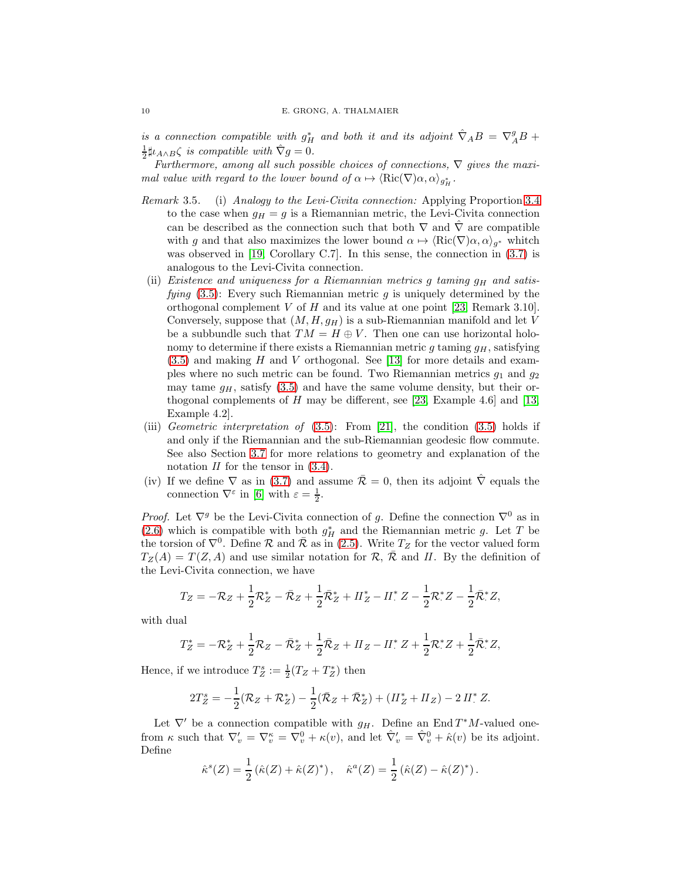is a connection compatible with  $g_H^*$  and both it and its adjoint  $\hat{\nabla}_A B = \nabla_A^g B +$  $\frac{1}{2}\sharp\iota_{A\wedge B}\zeta$  is compatible with  $\hat{\nabla}g=0$ .

Furthermore, among all such possible choices of connections,  $\nabla$  gives the maximal value with regard to the lower bound of  $\alpha \mapsto \langle \text{Ric}(\nabla) \alpha, \alpha \rangle_{g_H^*}$ .

- Remark 3.5. (i) Analogy to the Levi-Civita connection: Applying Proportion [3.4](#page-8-0) to the case when  $q_H = q$  is a Riemannian metric, the Levi-Civita connection can be described as the connection such that both  $\nabla$  and  $\nabla$  are compatible with g and that also maximizes the lower bound  $\alpha \mapsto \langle \text{Ric}(\nabla) \alpha, \alpha \rangle_{q^*}$  whitch was observed in [\[19,](#page-32-11) Corollary C.7]. In this sense, the connection in  $(3.7)$  is analogous to the Levi-Civita connection.
- (ii) Existence and uniqueness for a Riemannian metrics g taming  $g_H$  and satisfying  $(3.5)$ : Every such Riemannian metric g is uniquely determined by the orthogonal complement  $V$  of  $H$  and its value at one point [\[23,](#page-32-2) Remark 3.10]. Conversely, suppose that  $(M, H, g_H)$  is a sub-Riemannian manifold and let V be a subbundle such that  $TM = H \oplus V$ . Then one can use horizontal holonomy to determine if there exists a Riemannian metric  $g$  taming  $g_H$ , satisfying  $(3.5)$  and making H and V orthogonal. See [\[13\]](#page-31-8) for more details and examples where no such metric can be found. Two Riemannian metrics  $g_1$  and  $g_2$ may tame  $q_H$ , satisfy [\(3.5\)](#page-8-2) and have the same volume density, but their orthogonal complements of  $H$  may be different, see [\[23,](#page-32-2) Example 4.6] and [\[13,](#page-31-8) Example 4.2].
- (iii) Geometric interpretation of  $(3.5)$ : From [\[21\]](#page-32-12), the condition  $(3.5)$  holds if and only if the Riemannian and the sub-Riemannian geodesic flow commute. See also Section [3.7](#page-17-0) for more relations to geometry and explanation of the notation  $II$  for the tensor in  $(3.4)$ .
- (iv) If we define  $\nabla$  as in [\(3.7\)](#page-8-1) and assume  $\overline{\mathcal{R}}=0$ , then its adjoint  $\hat{\nabla}$  equals the connection  $\nabla^{\varepsilon}$  in [\[6\]](#page-31-9) with  $\varepsilon = \frac{1}{2}$ .

*Proof.* Let  $\nabla^g$  be the Levi-Civita connection of g. Define the connection  $\nabla^0$  as in [\(2.6\)](#page-4-0) which is compatible with both  $g_H^*$  and the Riemannian metric g. Let T be the torsion of  $\nabla^0$ . Define R and R as in [\(2.5\)](#page-3-0). Write  $T_Z$  for the vector valued form  $T_Z(A) = T(Z, A)$  and use similar notation for  $\mathcal{R}, \overline{\mathcal{R}}$  and II. By the definition of the Levi-Civita connection, we have

$$
T_Z = -\mathcal{R}_Z + \frac{1}{2}\mathcal{R}_Z^* - \bar{\mathcal{R}}_Z + \frac{1}{2}\bar{\mathcal{R}}_Z^* + II_Z^* - II_Z^* Z - \frac{1}{2}\mathcal{R}_Z^* Z - \frac{1}{2}\bar{\mathcal{R}}_Z^* Z,
$$

with dual

$$
T_Z^* = -\mathcal{R}_Z^* + \frac{1}{2}\mathcal{R}_Z - \bar{\mathcal{R}}_Z^* + \frac{1}{2}\bar{\mathcal{R}}_Z + H_Z - H^*Z + \frac{1}{2}\mathcal{R}^*Z + \frac{1}{2}\bar{\mathcal{R}}^*Z,
$$

Hence, if we introduce  $T_Z^s := \frac{1}{2}(T_Z + T_Z^*)$  then

$$
2T_Z^s = -\frac{1}{2}(\mathcal{R}_Z + \mathcal{R}_Z^*) - \frac{1}{2}(\bar{\mathcal{R}}_Z + \bar{\mathcal{R}}_Z^*) + (H_Z^* + H_Z) - 2 H^* Z.
$$

Let  $\nabla'$  be a connection compatible with  $g_H$ . Define an End  $T^*M$ -valued onefrom  $\kappa$  such that  $\nabla'_v = \nabla_v^{\kappa} = \nabla_v^0 + \kappa(v)$ , and let  $\hat{\nabla}'_v = \hat{\nabla}_v^0 + \hat{\kappa}(v)$  be its adjoint. Define

$$
\hat{\kappa}^s(Z) = \frac{1}{2} (\hat{\kappa}(Z) + \hat{\kappa}(Z)^*), \quad \hat{\kappa}^a(Z) = \frac{1}{2} (\hat{\kappa}(Z) - \hat{\kappa}(Z)^*).
$$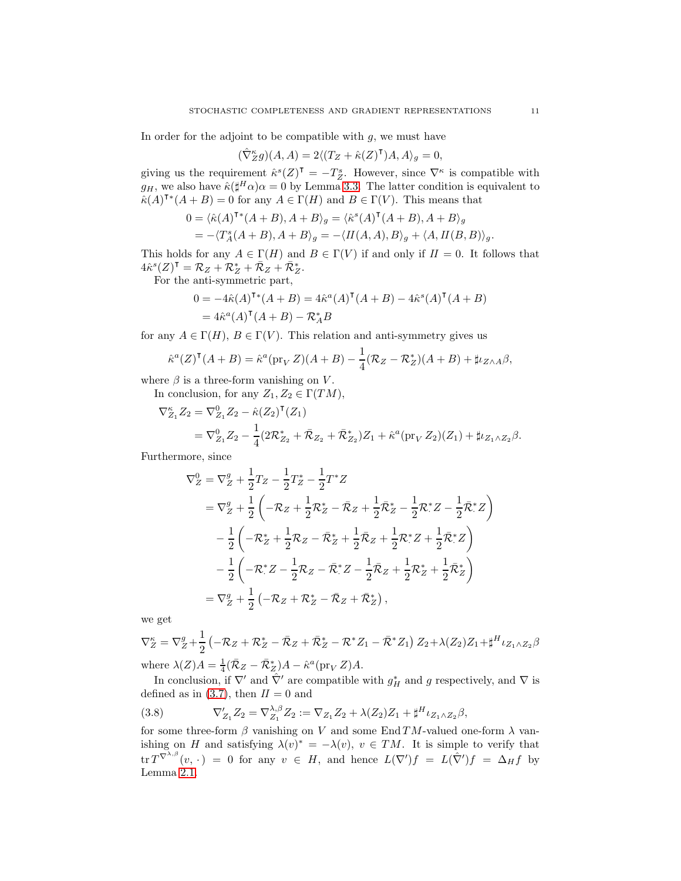In order for the adjoint to be compatible with  $g$ , we must have

$$
(\hat{\nabla}_Z^{\kappa} g)(A, A) = 2\langle (T_Z + \hat{\kappa}(Z)^{\mathsf{T}})A, A \rangle_g = 0,
$$

giving us the requirement  $\hat{\kappa}^s(Z)^{\mathsf{T}} = -T_Z^s$ . However, since  $\nabla^{\kappa}$  is compatible with  $g_H$ , we also have  $\hat{\kappa}(\sharp^H \alpha) \alpha = 0$  by Lemma [3.3.](#page-6-4) The latter condition is equivalent to  $\hat{\kappa}(A)^{\mathsf{T} *} (A + B) = 0$  for any  $A \in \Gamma(H)$  and  $B \in \Gamma(V)$ . This means that

$$
0 = \langle \hat{\kappa}(A)^{\mathsf{T}*}(A+B), A+B \rangle_g = \langle \hat{\kappa}^s(A)^{\mathsf{T}}(A+B), A+B \rangle_g
$$
  
= -\langle T\_A^s(A+B), A+B \rangle\_g = -\langle II(A,A), B \rangle\_g + \langle A, I(B,B) \rangle\_g.

This holds for any  $A \in \Gamma(H)$  and  $B \in \Gamma(V)$  if and only if  $II = 0$ . It follows that  $4\hat{\kappa}^{s}(Z)^{\mathsf{T}} = \mathcal{R}_{Z} + \mathcal{R}_{Z}^{*} + \bar{\mathcal{R}}_{Z} + \bar{\mathcal{R}}_{Z}^{*}.$ 

For the anti-symmetric part,

$$
0 = -4\hat{\kappa}(A)^{\mathsf{T} *}(A + B) = 4\hat{\kappa}^{a}(A)^{\mathsf{T}}(A + B) - 4\hat{\kappa}^{s}(A)^{\mathsf{T}}(A + B)
$$
  
=  $4\hat{\kappa}^{a}(A)^{\mathsf{T}}(A + B) - \mathcal{R}_{A}^{*}B$ 

for any  $A \in \Gamma(H)$ ,  $B \in \Gamma(V)$ . This relation and anti-symmetry gives us

$$
\hat{\kappa}^a(Z)^{\mathsf{T}}(A+B) = \hat{\kappa}^a(\text{pr}_V Z)(A+B) - \frac{1}{4}(\mathcal{R}_Z - \mathcal{R}_Z^*)(A+B) + \sharp \iota_{Z \wedge A} \beta,
$$

where  $\beta$  is a three-form vanishing on V.

In conclusion, for any  $Z_1, Z_2 \in \Gamma(TM)$ ,

$$
\nabla_{Z_1}^{\kappa} Z_2 = \nabla_{Z_1}^0 Z_2 - \hat{\kappa}(Z_2)^{\mathsf{T}}(Z_1)
$$
  
= 
$$
\nabla_{Z_1}^0 Z_2 - \frac{1}{4} (2\mathcal{R}_{Z_2}^* + \bar{\mathcal{R}}_{Z_2} + \bar{\mathcal{R}}_{Z_2}^*) Z_1 + \hat{\kappa}^a(\text{pr}_V Z_2)(Z_1) + \mu_{Z_1 \wedge Z_2} \beta.
$$

Furthermore, since

$$
\nabla_Z^0 = \nabla_Z^g + \frac{1}{2} T_Z - \frac{1}{2} T_Z^* - \frac{1}{2} T^* Z
$$
  
\n
$$
= \nabla_Z^g + \frac{1}{2} \left( -\mathcal{R}_Z + \frac{1}{2} \mathcal{R}_Z^* - \bar{\mathcal{R}}_Z + \frac{1}{2} \bar{\mathcal{R}}_Z^* - \frac{1}{2} \mathcal{R}_Z^* Z - \frac{1}{2} \bar{\mathcal{R}}_Z^* Z \right)
$$
  
\n
$$
- \frac{1}{2} \left( -\mathcal{R}_Z^* + \frac{1}{2} \mathcal{R}_Z - \bar{\mathcal{R}}_Z^* + \frac{1}{2} \bar{\mathcal{R}}_Z + \frac{1}{2} \mathcal{R}_Z^* Z + \frac{1}{2} \bar{\mathcal{R}}_Z^* Z \right)
$$
  
\n
$$
- \frac{1}{2} \left( -\mathcal{R}_Z^* Z - \frac{1}{2} \mathcal{R}_Z - \bar{\mathcal{R}}_Z^* Z - \frac{1}{2} \bar{\mathcal{R}}_Z + \frac{1}{2} \mathcal{R}_Z^* + \frac{1}{2} \bar{\mathcal{R}}_Z^* \right)
$$
  
\n
$$
= \nabla_Z^g + \frac{1}{2} \left( -\mathcal{R}_Z + \mathcal{R}_Z^* - \bar{\mathcal{R}}_Z + \bar{\mathcal{R}}_Z^* \right),
$$

we get

$$
\nabla_Z^{\kappa} = \nabla_Z^g + \frac{1}{2} \left( -\mathcal{R}_Z + \mathcal{R}_Z^* - \bar{\mathcal{R}}_Z + \bar{\mathcal{R}}_Z^* - \mathcal{R}^* Z_1 - \bar{\mathcal{R}}^* Z_1 \right) Z_2 + \lambda(Z_2) Z_1 + \sharp^H \iota_{Z_1 \wedge Z_2} \beta
$$
  
where  $\lambda(Z)A = \frac{1}{4} (\bar{\mathcal{R}}_Z - \bar{\mathcal{R}}_Z^*) A - \hat{\kappa}^a (\text{pr}_V Z) A.$ 

In conclusion, if  $\nabla'$  and  $\hat{\nabla'}$  are compatible with  $g_H^*$  and g respectively, and  $\nabla$  is defined as in [\(3.7\)](#page-8-1), then  $II = 0$  and

<span id="page-10-0"></span>(3.8) 
$$
\nabla'_{Z_1} Z_2 = \nabla_{Z_1}^{\lambda,\beta} Z_2 := \nabla_{Z_1} Z_2 + \lambda(Z_2) Z_1 + \sharp^H \iota_{Z_1 \wedge Z_2} \beta,
$$

for some three-form  $\beta$  vanishing on V and some End TM-valued one-form  $\lambda$  vanishing on H and satisfying  $\lambda(v)^* = -\lambda(v)$ ,  $v \in TM$ . It is simple to verify that  $\text{tr } T^{\nabla^{\lambda,\beta}}(v,\,\cdot\,)\;=\;0\;\text{ for any }\;v\;\in\;H,\;\text{and hence }\;L(\nabla')f\;=\;L(\hat{\nabla}')f\;=\;\Delta_Hf\;\text{ by }\;$ Lemma 2.1.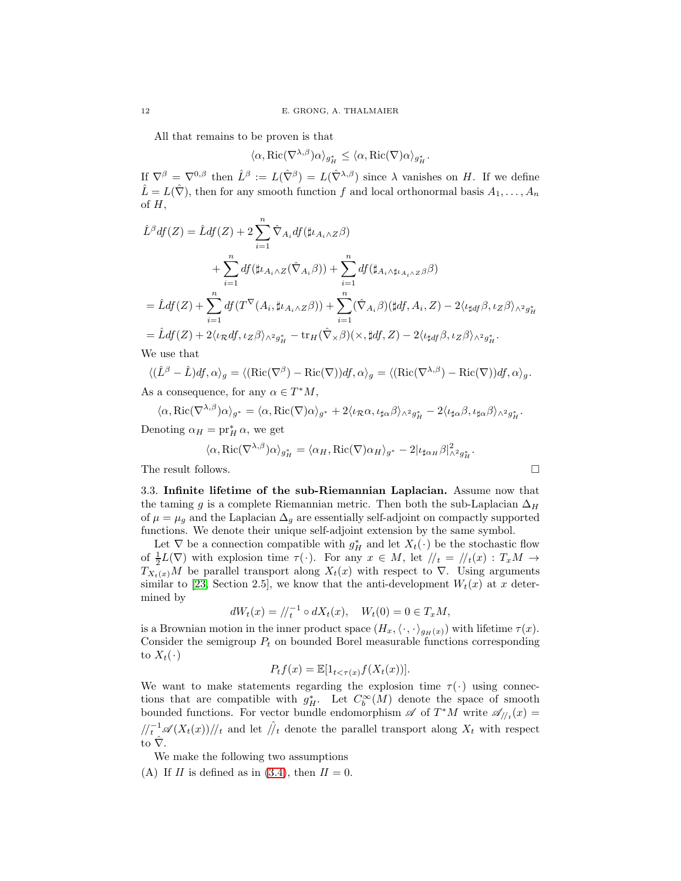All that remains to be proven is that

$$
\langle \alpha, \text{Ric}(\nabla^{\lambda,\beta})\alpha \rangle_{g_H^*} \leq \langle \alpha, \text{Ric}(\nabla)\alpha \rangle_{g_H^*}.
$$

If  $\nabla^{\beta} = \nabla^{0,\beta}$  then  $\hat{L}^{\beta} := L(\hat{\nabla}^{\beta}) = L(\hat{\nabla}^{\lambda,\beta})$  since  $\lambda$  vanishes on H. If we define  $\hat{L} = L(\hat{\nabla})$ , then for any smooth function f and local orthonormal basis  $A_1, \ldots, A_n$ of  $H$ ,

$$
\hat{L}^{\beta}df(Z) = \hat{L}df(Z) + 2\sum_{i=1}^{n} \hat{\nabla}_{A_i} df(\sharp \iota_{A_i \wedge Z} \beta)
$$
  
+ 
$$
\sum_{i=1}^{n} df(\sharp \iota_{A_i \wedge Z}(\hat{\nabla}_{A_i} \beta)) + \sum_{i=1}^{n} df(\sharp_{A_i \wedge \sharp \iota_{A_i \wedge Z} \beta} \beta)
$$
  
= 
$$
\hat{L}df(Z) + \sum_{i=1}^{n} df(T^{\nabla}(A_i, \sharp \iota_{A_i \wedge Z} \beta)) + \sum_{i=1}^{n} (\hat{\nabla}_{A_i} \beta)(\sharp df, A_i, Z) - 2\langle \iota_{\sharp df} \beta, \iota_{Z} \beta \rangle_{\wedge^2 g_H^*}
$$
  
= 
$$
\hat{L}df(Z) + 2\langle \iota_{R}df, \iota_{Z} \beta \rangle_{\wedge^2 g_H^*} - \text{tr}_{H}(\hat{\nabla}_{\times} \beta)(\times, \sharp df, Z) - 2\langle \iota_{\sharp df} \beta, \iota_{Z} \beta \rangle_{\wedge^2 g_H^*}.
$$

We use that

$$
\langle (\hat{L}^{\beta} - \hat{L})df, \alpha \rangle_{g} = \langle (\text{Ric}(\nabla^{\beta}) - \text{Ric}(\nabla))df, \alpha \rangle_{g} = \langle (\text{Ric}(\nabla^{\lambda,\beta}) - \text{Ric}(\nabla))df, \alpha \rangle_{g}.
$$

As a consequence, for any  $\alpha \in T^*M$ ,

$$
\langle \alpha, \text{Ric}(\nabla^{\lambda,\beta})\alpha \rangle_{g^*} = \langle \alpha, \text{Ric}(\nabla)\alpha \rangle_{g^*} + 2\langle \iota_{\mathcal{R}}\alpha, \iota_{\sharp\alpha}\beta \rangle_{\wedge^2 g^*_{H}} - 2\langle \iota_{\sharp\alpha}\beta, \iota_{\sharp\alpha}\beta \rangle_{\wedge^2 g^*_{H}}.
$$

Denoting  $\alpha_H = \text{pr}_H^* \alpha$ , we get

$$
\langle \alpha, \text{Ric}(\nabla^{\lambda,\beta})\alpha \rangle_{g_H^*} = \langle \alpha_H, \text{Ric}(\nabla)\alpha_H \rangle_{g^*} - 2|\iota_{\sharp \alpha_H} \beta|_{\wedge^2 g_H^*}^2.
$$

<span id="page-11-0"></span>The result follows.  $\Box$ 

3.3. Infinite lifetime of the sub-Riemannian Laplacian. Assume now that the taming g is a complete Riemannian metric. Then both the sub-Laplacian  $\Delta_H$ of  $\mu = \mu_g$  and the Laplacian  $\Delta_g$  are essentially self-adjoint on compactly supported functions. We denote their unique self-adjoint extension by the same symbol.

Let  $\nabla$  be a connection compatible with  $g_H^*$  and let  $X_t(\cdot)$  be the stochastic flow of  $\frac{1}{2}L(\nabla)$  with explosion time  $\tau(\cdot)$ . For any  $x \in M$ , let  $\frac{1}{t} = \frac{1}{t}(x) : T_xM \to$  $T_{X_t(x)}M$  be parallel transport along  $X_t(x)$  with respect to  $\nabla$ . Using arguments similar to [\[23,](#page-32-2) Section 2.5], we know that the anti-development  $W_t(x)$  at x determined by

$$
dW_t(x) = / \ell_t^{-1} \circ dX_t(x), \quad W_t(0) = 0 \in T_xM,
$$

is a Brownian motion in the inner product space  $(H_x,\langle\cdot,\cdot\rangle_{g_H(x)})$  with lifetime  $\tau(x)$ . Consider the semigroup  $P_t$  on bounded Borel measurable functions corresponding to  $X_t(\cdot)$ 

$$
P_t f(x) = \mathbb{E}[1_{t < \tau(x)} f(X_t(x))].
$$

We want to make statements regarding the explosion time  $\tau(\cdot)$  using connections that are compatible with  $g_H^*$ . Let  $C_b^{\infty}(M)$  denote the space of smooth bounded functions. For vector bundle endomorphism  $\mathscr A$  of  $T^*M$  write  $\mathscr A_{\bigwedge^t}(x)$  $\sqrt{\frac{t}{t}}\mathscr{A}(X_t(x))/t_t$  and let  $\hat{y}_t$  denote the parallel transport along  $X_t$  with respect to  $\hat{\nabla}$ .

<span id="page-11-1"></span>We make the following two assumptions

(A) If II is defined as in  $(3.4)$ , then  $II = 0$ .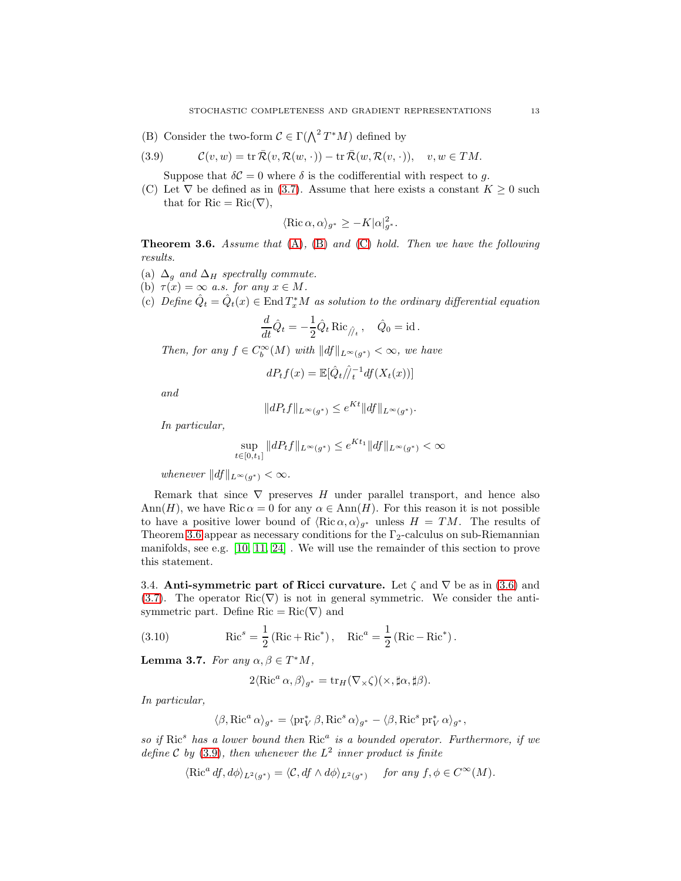<span id="page-12-0"></span>(B) Consider the two-form  $C \in \Gamma(\bigwedge^2 T^*M)$  defined by

(3.9) 
$$
\mathcal{C}(v, w) = \text{tr}\,\bar{\mathcal{R}}(v, \mathcal{R}(w, \cdot)) - \text{tr}\,\bar{\mathcal{R}}(w, \mathcal{R}(v, \cdot)), \quad v, w \in TM.
$$

<span id="page-12-3"></span>Suppose that  $\delta C = 0$  where  $\delta$  is the codifferential with respect to g.

<span id="page-12-1"></span>(C) Let  $\nabla$  be defined as in [\(3.7\)](#page-8-1). Assume that here exists a constant  $K \geq 0$  such that for  $Ric = Ric(\nabla)$ ,

$$
\langle \operatorname{Ric} \alpha, \alpha \rangle_{g^*} \ge -K |\alpha|_{g^*}^2.
$$

<span id="page-12-2"></span>**Theorem 3.6.** Assume that  $(A)$ ,  $(B)$  and  $(C)$  hold. Then we have the following results.

- (a)  $\Delta_q$  and  $\Delta_H$  spectrally commute.
- (b)  $\tau(x) = \infty$  a.s. for any  $x \in M$ .
- (c) Define  $\hat{Q}_t = \hat{Q}_t(x) \in \text{End } T_x^*M$  as solution to the ordinary differential equation

$$
\frac{d}{dt}\hat{Q}_t = -\frac{1}{2}\hat{Q}_t \operatorname{Ric}_{\hat{U}_t}, \quad \hat{Q}_0 = \operatorname{id}.
$$

Then, for any  $f \in C_b^{\infty}(M)$  with  $||df||_{L^{\infty}(g^*)} < \infty$ , we have

$$
dP_t f(x) = \mathbb{E}[\hat{Q}_t / \hat{I}_t^{-1} df(X_t(x))]
$$

and

$$
||dP_tf||_{L^{\infty}(g^*)} \leq e^{Kt}||df||_{L^{\infty}(g^*)}.
$$

In particular,

$$
\sup_{t \in [0,t_1]} \|dP_t f\|_{L^\infty(g^*)} \le e^{Kt_1} \|df\|_{L^\infty(g^*)} < \infty
$$

whenever  $||df||_{L^{\infty}(g^*)} < \infty$ .

Remark that since  $\nabla$  preserves H under parallel transport, and hence also Ann(H), we have Ric  $\alpha = 0$  for any  $\alpha \in Ann(H)$ . For this reason it is not possible to have a positive lower bound of  $\langle \text{Ric }\alpha, \alpha \rangle_{q^*}$  unless  $H = TM$ . The results of Theorem [3.6](#page-12-2) appear as necessary conditions for the  $\Gamma_2$ -calculus on sub-Riemannian manifolds, see e.g. [\[10,](#page-31-5) [11,](#page-31-4) [24\]](#page-32-3) . We will use the remainder of this section to prove this statement.

3.4. Anti-symmetric part of Ricci curvature. Let  $\zeta$  and  $\nabla$  be as in [\(3.6\)](#page-8-4) and [\(3.7\)](#page-8-1). The operator Ric( $\nabla$ ) is not in general symmetric. We consider the antisymmetric part. Define Ric =  $Ric(\nabla)$  and

(3.10) 
$$
Ric^{s} = \frac{1}{2} (Ric + Ric^{*}), \quad Ric^{a} = \frac{1}{2} (Ric - Ric^{*}).
$$

<span id="page-12-4"></span>**Lemma 3.7.** For any  $\alpha, \beta \in T^*M$ ,

$$
2\langle \operatorname{Ric}^a \alpha, \beta \rangle_{g^*} = \operatorname{tr}_H(\nabla \times \zeta)(\times, \sharp \alpha, \sharp \beta).
$$

In particular,

$$
\langle \beta, \text{Ric}^a \, \alpha \rangle_{g^*} = \langle \text{pr}_{V}^* \, \beta, \text{Ric}^s \, \alpha \rangle_{g^*} - \langle \beta, \text{Ric}^s \, \text{pr}_{V}^* \, \alpha \rangle_{g^*},
$$

so if  $Ric^s$  has a lower bound then  $Ric^a$  is a bounded operator. Furthermore, if we define  $C$  by [\(3.9\)](#page-12-3), then whenever the  $L^2$  inner product is finite

$$
\langle \text{Ric}^a \, df, d\phi \rangle_{L^2(g^*)} = \langle \mathcal{C}, df \wedge d\phi \rangle_{L^2(g^*)} \quad \text{for any } f, \phi \in C^\infty(M).
$$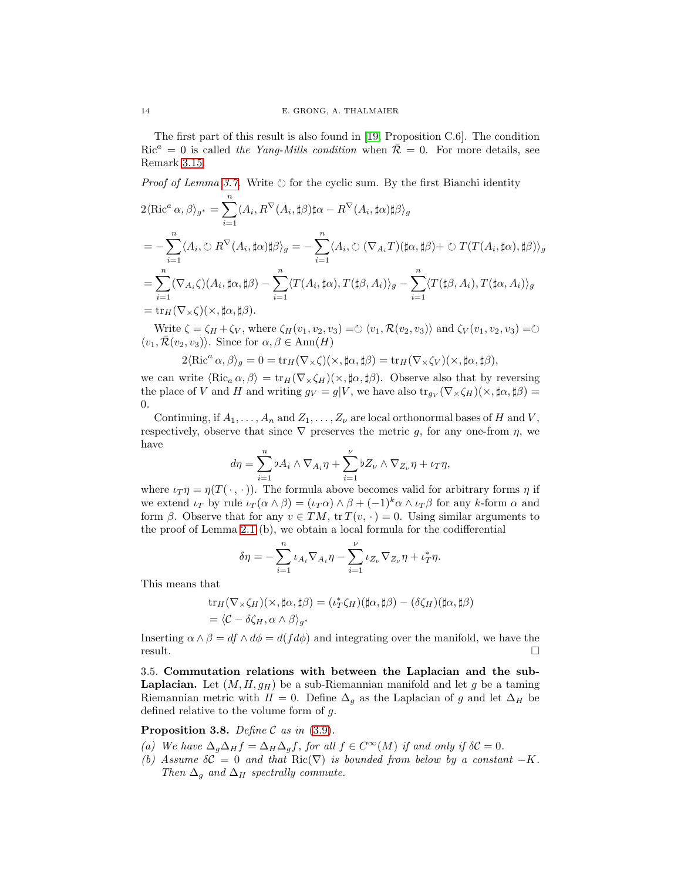The first part of this result is also found in [\[19,](#page-32-11) Proposition C.6]. The condition  $Ric^a = 0$  is called the Yang-Mills condition when  $\mathcal{R} = 0$ . For more details, see Remark 3.15.

*Proof of Lemma [3.7.](#page-12-4)* Write  $\circlearrowright$  for the cyclic sum. By the first Bianchi identity

$$
2\langle \text{Ric}^a \alpha, \beta \rangle_{g^*} = \sum_{i=1}^n \langle A_i, R^{\nabla} (A_i, \sharp \beta) \sharp \alpha - R^{\nabla} (A_i, \sharp \alpha) \sharp \beta \rangle_g
$$
  
= 
$$
- \sum_{i=1}^n \langle A_i, \circlearrowright R^{\nabla} (A_i, \sharp \alpha) \sharp \beta \rangle_g = - \sum_{i=1}^n \langle A_i, \circlearrowright (\nabla_{A_i} T) (\sharp \alpha, \sharp \beta) + \circlearrowright T (T (A_i, \sharp \alpha), \sharp \beta) \rangle_g
$$
  
= 
$$
\sum_{i=1}^n (\nabla_{A_i} \zeta) (A_i, \sharp \alpha, \sharp \beta) - \sum_{i=1}^n \langle T (A_i, \sharp \alpha), T (\sharp \beta, A_i) \rangle_g - \sum_{i=1}^n \langle T (\sharp \beta, A_i), T (\sharp \alpha, A_i) \rangle_g
$$
  
= 
$$
\text{tr}_H (\nabla \times \zeta) (\times, \sharp \alpha, \sharp \beta).
$$

Write  $\zeta = \zeta_H + \zeta_V$ , where  $\zeta_H(v_1, v_2, v_3) = \circlearrowright \langle v_1, \mathcal{R}(v_2, v_3)\rangle$  and  $\zeta_V(v_1, v_2, v_3) = \circlearrowright$  $\langle v_1, \overline{\mathcal{R}}(v_2, v_3) \rangle$ . Since for  $\alpha, \beta \in \text{Ann}(H)$ 

$$
2\langle \text{Ric}^a \alpha, \beta \rangle_g = 0 = \text{tr}_H(\nabla \times \zeta)(\times, \sharp \alpha, \sharp \beta) = \text{tr}_H(\nabla \times \zeta_V)(\times, \sharp \alpha, \sharp \beta),
$$

we can write  $\langle \text{Ric}_a \alpha, \beta \rangle = \text{tr}_H(\nabla_\times \zeta_H)(\times, \sharp \alpha, \sharp \beta)$ . Observe also that by reversing the place of V and H and writing  $g_V = g|V$ , we have also  $\text{tr}_{g_V}(\nabla \times \zeta_H)(\times, \sharp \alpha, \sharp \beta) =$ 0.

Continuing, if  $A_1, \ldots, A_n$  and  $Z_1, \ldots, Z_{\nu}$  are local orthonormal bases of H and V, respectively, observe that since  $\nabla$  preserves the metric g, for any one-from  $\eta$ , we have

$$
d\eta = \sum_{i=1}^n \flat A_i \wedge \nabla_{A_i} \eta + \sum_{i=1}^\nu \flat Z_\nu \wedge \nabla_{Z_\nu} \eta + \iota_T \eta,
$$

where  $\iota_T \eta = \eta(T(\cdot, \cdot))$ . The formula above becomes valid for arbitrary forms  $\eta$  if we extend  $\iota_T$  by rule  $\iota_T(\alpha \wedge \beta) = (\iota_T \alpha) \wedge \beta + (-1)^k \alpha \wedge \iota_T \beta$  for any k-form  $\alpha$  and form  $\beta$ . Observe that for any  $v \in TM$ ,  $\text{tr } T(v, \cdot) = 0$ . Using similar arguments to the proof of Lemma 2.1 (b), we obtain a local formula for the codifferential

$$
\delta \eta = -\sum_{i=1}^n \iota_{A_i} \nabla_{A_i} \eta - \sum_{i=1}^\nu \iota_{Z_\nu} \nabla_{Z_\nu} \eta + \iota_T^* \eta.
$$

This means that

$$
\operatorname{tr}_H(\nabla_\times \zeta_H)(\times, \sharp \alpha, \sharp \beta) = (\iota_T^* \zeta_H)(\sharp \alpha, \sharp \beta) - (\delta \zeta_H)(\sharp \alpha, \sharp \beta)
$$
  
=  $\langle C - \delta \zeta_H, \alpha \wedge \beta \rangle_{g^*}$ 

Inserting  $\alpha \wedge \beta = df \wedge d\phi = d(f d\phi)$  and integrating over the manifold, we have the result. result.  $\Box$ 

3.5. Commutation relations with between the Laplacian and the sub-**Laplacian.** Let  $(M, H, g_H)$  be a sub-Riemannian manifold and let g be a taming Riemannian metric with  $II = 0$ . Define  $\Delta_g$  as the Laplacian of g and let  $\Delta_H$  be defined relative to the volume form of g.

<span id="page-13-0"></span>**Proposition 3.8.** Define C as in  $(3.9)$ .

- (a) We have  $\Delta_g \Delta_H f = \Delta_H \Delta_g f$ , for all  $f \in C^{\infty}(M)$  if and only if  $\delta C = 0$ .
- (b) Assume  $\delta C = 0$  and that Ric( $\nabla$ ) is bounded from below by a constant  $-K$ . Then  $\Delta_g$  and  $\Delta_H$  spectrally commute.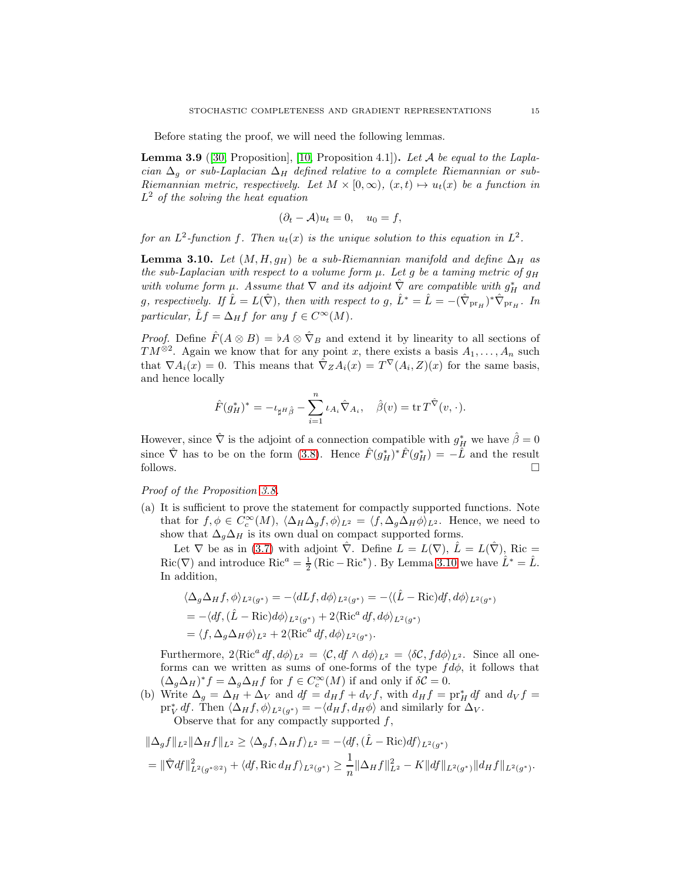Before stating the proof, we will need the following lemmas.

<span id="page-14-1"></span>**Lemma 3.9** ([\[30,](#page-32-14) Proposition], [\[10,](#page-31-5) Proposition 4.1]). Let A be equal to the Laplacian  $\Delta_g$  or sub-Laplacian  $\Delta_H$  defined relative to a complete Riemannian or sub-Riemannian metric, respectively. Let  $M \times [0, \infty)$ ,  $(x, t) \mapsto u_t(x)$  be a function in  $L^2$  of the solving the heat equation

$$
(\partial_t - A)u_t = 0, \quad u_0 = f,
$$

for an  $L^2$ -function f. Then  $u_t(x)$  is the unique solution to this equation in  $L^2$ .

<span id="page-14-0"></span>**Lemma 3.10.** Let  $(M, H, g_H)$  be a sub-Riemannian manifold and define  $\Delta_H$  as the sub-Laplacian with respect to a volume form  $\mu$ . Let g be a taming metric of  $g_H$ with volume form  $\mu$ . Assume that  $\nabla$  and its adjoint  $\hat{\nabla}$  are compatible with  $g_H^*$  and g, respectively. If  $\hat{L} = L(\hat{\nabla})$ , then with respect to g,  $\hat{L}^* = \hat{L} = -(\hat{\nabla}_{\text{pr}_H})^* \hat{\nabla}_{\text{pr}_H}$ . In particular,  $\hat{L}f = \Delta_H f$  for any  $f \in C^{\infty}(M)$ .

*Proof.* Define  $\hat{F}(A \otimes B) = \flat A \otimes \hat{\nabla}_B$  and extend it by linearity to all sections of  $TM^{\otimes 2}$ . Again we know that for any point x, there exists a basis  $A_1, \ldots, A_n$  such that  $\nabla A_i(x) = 0$ . This means that  $\hat{\nabla}_Z A_i(x) = T^{\nabla}(A_i, Z)(x)$  for the same basis, and hence locally

$$
\hat{F}(g_H^*)^* = -\iota_{\sharp^H\hat{\beta}} - \sum_{i=1}^n \iota_{A_i}\hat{\nabla}_{A_i}, \quad \hat{\beta}(v) = \operatorname{tr} T^{\hat{\nabla}}(v, \cdot).
$$

However, since  $\hat{\nabla}$  is the adjoint of a connection compatible with  $g^*_{\vec{H}}$  we have  $\hat{\beta} = 0$ since  $\hat{\nabla}$  has to be on the form [\(3.8\)](#page-10-0). Hence  $\hat{F}(g_H^*)^* \hat{F}(g_H^*) = -\hat{L}$  and the result follows.  $\Box$ 

Proof of the Proposition [3.8.](#page-13-0)

(a) It is sufficient to prove the statement for compactly supported functions. Note that for  $f, \phi \in C_c^{\infty}(M)$ ,  $\langle \Delta_H \Delta_g f, \phi \rangle_{L^2} = \langle f, \Delta_g \Delta_H \phi \rangle_{L^2}$ . Hence, we need to show that  $\Delta_g \Delta_H$  is its own dual on compact supported forms.

Let  $\nabla$  be as in [\(3.7\)](#page-8-1) with adjoint  $\nabla$ . Define  $L = L(\nabla)$ ,  $\hat{L} = L(\nabla)$ , Ric =  $Ric(\nabla)$  and introduce  $Ric^a = \frac{1}{2} (Ric - Ric^*)$ . By Lemma [3.10](#page-14-0) we have  $\hat{L}^* = \hat{L}$ . In addition,

$$
\langle \Delta_g \Delta_H f, \phi \rangle_{L^2(g^*)} = -\langle dLf, d\phi \rangle_{L^2(g^*)} = -\langle (\hat{L} - \text{Ric})df, d\phi \rangle_{L^2(g^*)}
$$
  
=  $-\langle df, (\hat{L} - \text{Ric})d\phi \rangle_{L^2(g^*)} + 2\langle \text{Ric}^a df, d\phi \rangle_{L^2(g^*)}$   
=  $\langle f, \Delta_g \Delta_H \phi \rangle_{L^2} + 2\langle \text{Ric}^a df, d\phi \rangle_{L^2(g^*)}.$ 

Furthermore,  $2\langle \text{Ric}^a \, df, d\phi \rangle_{L^2} = \langle C, df \wedge d\phi \rangle_{L^2} = \langle \delta \mathcal{C}, f d\phi \rangle_{L^2}$ . Since all oneforms can we written as sums of one-forms of the type  $fd\phi$ , it follows that  $(\Delta_g \Delta_H)^* f = \Delta_g \Delta_H f$  for  $f \in C_c^{\infty}(M)$  if and only if  $\delta \mathcal{C} = 0$ .

(b) Write  $\Delta_g = \Delta_H + \Delta_V$  and  $df = d_H f + d_V f$ , with  $d_H f = \text{pr}_H^* df$  and  $d_V f =$  $\operatorname{pr}_{V}^{*} df$ . Then  $\langle \Delta_{H} f, \phi \rangle_{L^{2}(g^{*})} = -\langle d_{H} f, d_{H} \phi \rangle$  and similarly for  $\Delta_{V}$ .

Observe that for any compactly supported  $f$ ,

$$
\|\Delta_g f\|_{L^2} \|\Delta_H f\|_{L^2} \ge \langle \Delta_g f, \Delta_H f \rangle_{L^2} = -\langle df, (\hat{L} - \text{Ric})df \rangle_{L^2(g^*)}
$$
  
=  $\|\hat{\nabla} df\|_{L^2(g^*)}^2 + \langle df, \text{Ric } d_H f \rangle_{L^2(g^*)} \ge \frac{1}{n} \|\Delta_H f\|_{L^2}^2 - K \|df\|_{L^2(g^*)} \|d_H f\|_{L^2(g^*)}.$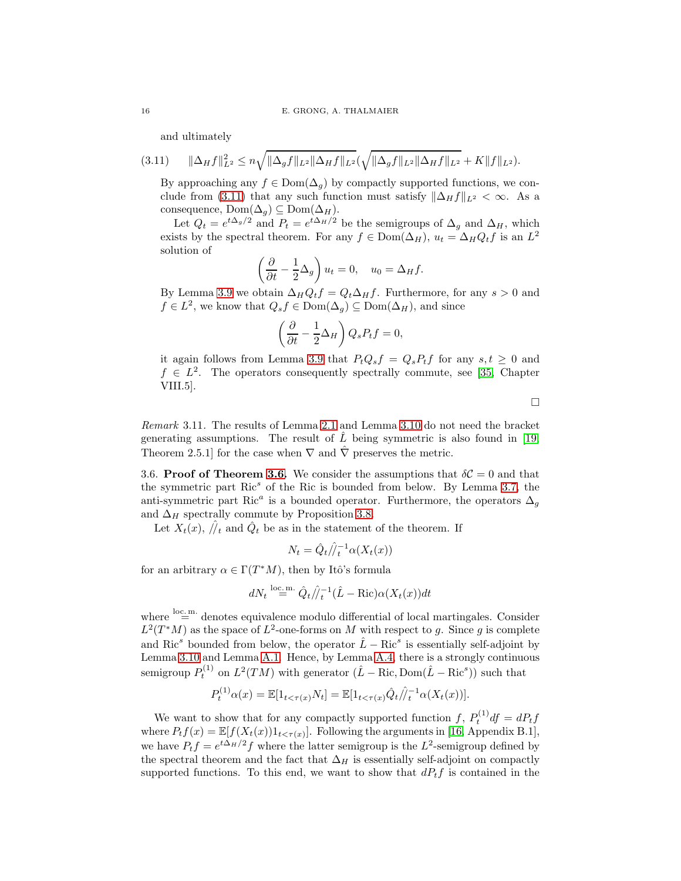<span id="page-15-0"></span>and ultimately

$$
(3.11) \qquad \|\Delta_H f\|_{L^2}^2 \leq n \sqrt{\|\Delta_g f\|_{L^2} \|\Delta_H f\|_{L^2}} (\sqrt{\|\Delta_g f\|_{L^2} \|\Delta_H f\|_{L^2}} + K \|f\|_{L^2}).
$$

By approaching any  $f \in \text{Dom}(\Delta_q)$  by compactly supported functions, we con-clude from [\(3.11\)](#page-15-0) that any such function must satisfy  $\|\Delta_H f\|_{L^2} < \infty$ . As a consequence,  $Dom(\Delta_g) \subseteq Dom(\Delta_H)$ .

Let  $Q_t = e^{t\Delta_g/2}$  and  $P_t = e^{t\Delta_H/2}$  be the semigroups of  $\Delta_g$  and  $\Delta_H$ , which exists by the spectral theorem. For any  $f \in \text{Dom}(\Delta_H)$ ,  $u_t = \Delta_H Q_t f$  is an  $L^2$ solution of

$$
\left(\frac{\partial}{\partial t} - \frac{1}{2}\Delta_g\right)u_t = 0, \quad u_0 = \Delta_H f.
$$

By Lemma [3.9](#page-14-1) we obtain  $\Delta_H Q_t f = Q_t \Delta_H f$ . Furthermore, for any  $s > 0$  and  $f \in L^2$ , we know that  $Q_s f \in \text{Dom}(\Delta_g) \subseteq \text{Dom}(\Delta_H)$ , and since

$$
\left(\frac{\partial}{\partial t} - \frac{1}{2}\Delta_H\right) Q_s P_t f = 0,
$$

it again follows from Lemma [3.9](#page-14-1) that  $P_tQ_sf=Q_sP_tf$  for any  $s,t\geq 0$  and  $f \in L^2$ . The operators consequently spectrally commute, see [\[35,](#page-32-15) Chapter VIII.5].

 $\Box$ 

Remark 3.11. The results of Lemma 2.1 and Lemma [3.10](#page-14-0) do not need the bracket generating assumptions. The result of  $\tilde{L}$  being symmetric is also found in [\[19,](#page-32-11) Theorem 2.5.1] for the case when  $\nabla$  and  $\hat{\nabla}$  preserves the metric.

3.6. Proof of Theorem [3.6.](#page-12-2) We consider the assumptions that  $\delta\mathcal{C}=0$  and that the symmetric part  $Ric^s$  of the Ric is bounded from below. By Lemma [3.7,](#page-12-4) the anti-symmetric part Ric<sup>a</sup> is a bounded operator. Furthermore, the operators  $\Delta_g$ and  $\Delta_H$  spectrally commute by Proposition [3.8.](#page-13-0)

Let  $X_t(x)$ ,  $\hat{y}_t$  and  $\hat{Q}_t$  be as in the statement of the theorem. If

$$
N_t = \hat{Q}_t / \hat{l}_t^{-1} \alpha(X_t(x))
$$

for an arbitrary  $\alpha \in \Gamma(T^*M)$ , then by Itô's formula

$$
dN_t \stackrel{\text{loc.m.}}{=} \hat{Q}_t / \hat{j}_t^{-1} (\hat{L} - \text{Ric}) \alpha(X_t(x)) dt
$$

where  $\stackrel{\text{loc.m.}}{=}$  denotes equivalence modulo differential of local martingales. Consider  $L^2(T^*M)$  as the space of  $L^2$ -one-forms on M with respect to g. Since g is complete and Ric<sup>s</sup> bounded from below, the operator  $\hat{L} - \text{Ric}^s$  is essentially self-adjoint by Lemma [3.10](#page-14-0) and Lemma [A.1.](#page-29-1) Hence, by Lemma [A.4,](#page-30-0) there is a strongly continuous semigroup  $P_t^{(1)}$  on  $L^2(TM)$  with generator  $(\hat{L} - \text{Ric}, \text{Dom}(\hat{L} - \text{Ric}^s))$  such that

$$
P_t^{(1)}\alpha(x) = \mathbb{E}[1_{t < \tau(x)}N_t] = \mathbb{E}[1_{t < \tau(x)}\hat{Q}_t/\hat{I}_t^{-1}\alpha(X_t(x))].
$$

We want to show that for any compactly supported function f,  $P_t^{(1)}$  df =  $dP_t$  f where  $P_t f(x) = \mathbb{E}[f(X_t(x))1_{t < \tau(x)}].$  Following the arguments in [\[16,](#page-32-16) Appendix B.1], we have  $P_t f = e^{t\Delta_H/2} f$  where the latter semigroup is the  $L^2$ -semigroup defined by the spectral theorem and the fact that  $\Delta_H$  is essentially self-adjoint on compactly supported functions. To this end, we want to show that  $dP_tf$  is contained in the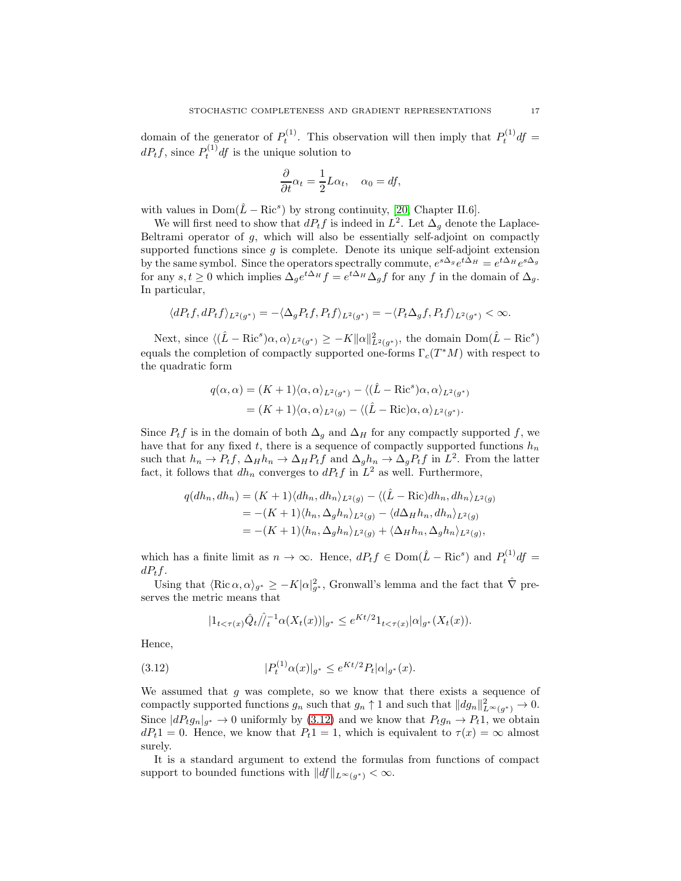domain of the generator of  $P_t^{(1)}$ . This observation will then imply that  $P_t^{(1)}$  df =  $dP_tf$ , since  $P_t^{(1)}df$  is the unique solution to

$$
\frac{\partial}{\partial t}\alpha_t = \frac{1}{2}L\alpha_t, \quad \alpha_0 = df,
$$

with values in  $Dom(\hat{L} - Ric^s)$  by strong continuity, [\[20,](#page-32-17) Chapter II.6].

We will first need to show that  $dP_t f$  is indeed in  $L^2$ . Let  $\Delta_g$  denote the Laplace-Beltrami operator of  $g$ , which will also be essentially self-adjoint on compactly supported functions since  $g$  is complete. Denote its unique self-adjoint extension by the same symbol. Since the operators spectrally commute,  $e^{s\Delta_g}e^{t\Delta_H}=e^{t\Delta_H}e^{s\Delta_g}$ for any  $s, t \geq 0$  which implies  $\Delta_g e^{t\Delta_H} f = e^{t\Delta_H} \Delta_g f$  for any f in the domain of  $\Delta_g$ . In particular,

$$
\langle dP_tf, dP_tf\rangle_{L^2(g^*)}=-\langle \Delta_gP_tf, P_tf\rangle_{L^2(g^*)}=-\langle P_t\Delta_gf, P_tf\rangle_{L^2(g^*)}<\infty.
$$

Next, since  $\langle (\hat{L} - \text{Ric}^s) \alpha, \alpha \rangle_{L^2(g^*)} \ge -K \|\alpha\|_{L^2(g^*)}^2$ , the domain  $\text{Dom}(\hat{L} - \text{Ric}^s)$ equals the completion of compactly supported one-forms  $\Gamma_c(T^*M)$  with respect to the quadratic form

$$
q(\alpha, \alpha) = (K+1)\langle \alpha, \alpha \rangle_{L^2(g^*)} - \langle (\hat{L} - \text{Ric}^s) \alpha, \alpha \rangle_{L^2(g^*)}
$$
  
= 
$$
(K+1)\langle \alpha, \alpha \rangle_{L^2(g)} - \langle (\hat{L} - \text{Ric}) \alpha, \alpha \rangle_{L^2(g^*)}.
$$

Since  $P_t f$  is in the domain of both  $\Delta_g$  and  $\Delta_H$  for any compactly supported f, we have that for any fixed t, there is a sequence of compactly supported functions  $h_n$ such that  $h_n \to P_t f$ ,  $\Delta_H h_n \to \Delta_H P_t f$  and  $\Delta_g h_n \to \Delta_g P_t f$  in  $L^2$ . From the latter fact, it follows that  $dh_n$  converges to  $dP_tf$  in  $L^2$  as well. Furthermore,

$$
q(dh_n, dh_n) = (K+1)\langle dh_n, dh_n \rangle_{L^2(g)} - \langle (\hat{L} - \text{Ric})dh_n, dh_n \rangle_{L^2(g)}
$$
  
= -(K+1)\langle h\_n, \Delta\_g h\_n \rangle\_{L^2(g)} - \langle d\Delta\_H h\_n, dh\_n \rangle\_{L^2(g)}  
= -(K+1)\langle h\_n, \Delta\_g h\_n \rangle\_{L^2(g)} + \langle \Delta\_H h\_n, \Delta\_g h\_n \rangle\_{L^2(g)},

which has a finite limit as  $n \to \infty$ . Hence,  $dP_t f \in \text{Dom}(\hat{L} - \text{Ric}^s)$  and  $P_t^{(1)}df =$  $dP_tf.$ 

Using that  $\langle \text{Ric }\alpha, \alpha \rangle_{g^*} \ge -K|\alpha|^2_{g^*}$ , Gronwall's lemma and the fact that  $\hat{\nabla}$  preserves the metric means that

<span id="page-16-0"></span>
$$
|1_{t<\tau(x)}\hat{Q}_t/\hat{I}_t^{-1}\alpha(X_t(x))|_{g^*} \leq e^{Kt/2}1_{t<\tau(x)}|\alpha|_{g^*}(X_t(x)).
$$

Hence,

(3.12) 
$$
|P_t^{(1)}\alpha(x)|_{g^*} \leq e^{Kt/2}P_t|\alpha|_{g^*}(x).
$$

We assumed that  $g$  was complete, so we know that there exists a sequence of compactly supported functions  $g_n$  such that  $g_n \uparrow 1$  and such that  $||dg_n||_{L^{\infty}(g^*)}^2 \to 0$ . Since  $|dP_t g_n|_{g^*} \to 0$  uniformly by [\(3.12\)](#page-16-0) and we know that  $P_t g_n \to P_t 1$ , we obtain  $dP_t1 = 0$ . Hence, we know that  $P_t1 = 1$ , which is equivalent to  $\tau(x) = \infty$  almost surely.

It is a standard argument to extend the formulas from functions of compact support to bounded functions with  $||df||_{L^{\infty}(g^*)} < \infty$ .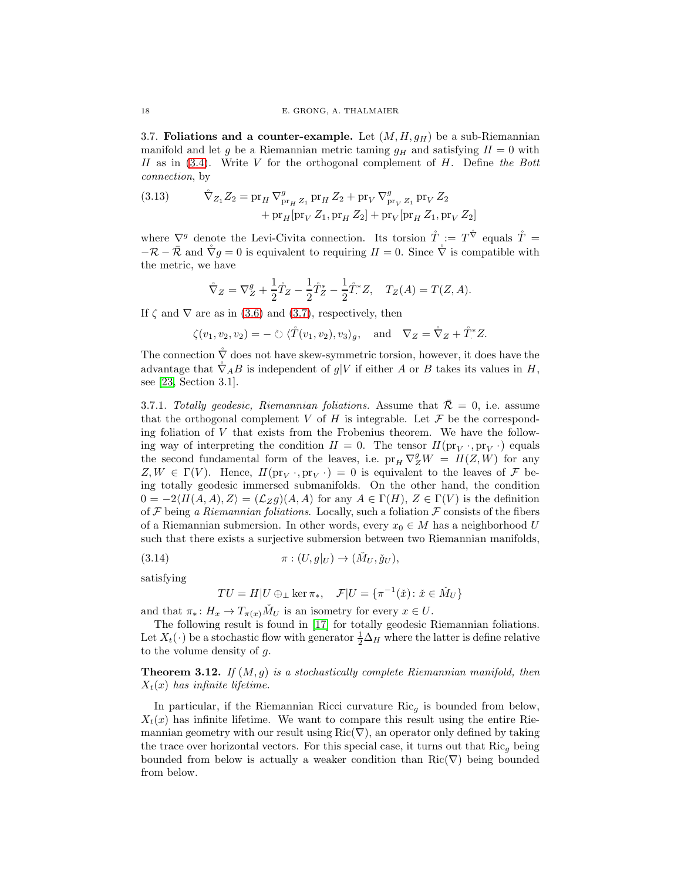<span id="page-17-0"></span>3.7. Foliations and a counter-example. Let  $(M, H, g_H)$  be a sub-Riemannian manifold and let g be a Riemannian metric taming  $g_H$  and satisfying  $II = 0$  with II as in  $(3.4)$ . Write V for the orthogonal complement of H. Define the Bott connection, by

<span id="page-17-2"></span>(3.13) 
$$
\tilde{\nabla}_{Z_1} Z_2 = \text{pr}_H \nabla_{\text{pr}_H Z_1}^g \text{pr}_H Z_2 + \text{pr}_V \nabla_{\text{pr}_V Z_1}^g \text{pr}_V Z_2 + \text{pr}_V [\text{pr}_H Z_1, \text{pr}_V Z_2] + \text{pr}_V [\text{pr}_H Z_1, \text{pr}_V Z_2]
$$

where  $\nabla^g$  denote the Levi-Civita connection. Its torsion  $\mathring{T} := T^{\mathring{\nabla}}$  equals  $\mathring{T} =$  $-{\cal R}-\bar{\cal R}$  and  $\mathring{\nabla} g=0$  is equivalent to requiring  $II=0$ . Since  $\mathring{\nabla}$  is compatible with the metric, we have

$$
\mathring{\nabla}_Z = \nabla_Z^g + \frac{1}{2}\mathring{T}_Z - \frac{1}{2}\mathring{T}_Z^* - \frac{1}{2}\mathring{T}_Z^*Z, \quad T_Z(A) = T(Z, A).
$$

If  $\zeta$  and  $\nabla$  are as in [\(3.6\)](#page-8-4) and [\(3.7\)](#page-8-1), respectively, then

 $\zeta(v_1, v_2, v_2) = - \circlearrowright \langle \mathring{T}(v_1, v_2), v_3 \rangle_g, \text{ and } \nabla_Z = \mathring{\nabla}_Z + \mathring{T}^*Z.$ 

The connection  $\check{\nabla}$  does not have skew-symmetric torsion, however, it does have the advantage that  $\tilde{\nabla}_A B$  is independent of g|V if either A or B takes its values in H, see [\[23,](#page-32-2) Section 3.1].

<span id="page-17-1"></span>3.7.1. Totally geodesic, Riemannian foliations. Assume that  $\overline{\mathcal{R}} = 0$ , i.e. assume that the orthogonal complement V of H is integrable. Let  $\mathcal F$  be the corresponding foliation of V that exists from the Frobenius theorem. We have the following way of interpreting the condition  $II = 0$ . The tensor  $II(\text{pr}_V \cdot, \text{pr}_V \cdot)$  equals the second fundamental form of the leaves, i.e.  $pr_H \nabla_Z^g W = II(Z, W)$  for any  $Z, W \in \Gamma(V)$ . Hence,  $H(\text{pr}_V, \text{pr}_V) = 0$  is equivalent to the leaves of  $\mathcal F$  being totally geodesic immersed submanifolds. On the other hand, the condition  $0 = -2\langle H(A, A), Z\rangle = (\mathcal{L}_Z g)(A, A)$  for any  $A \in \Gamma(H), Z \in \Gamma(V)$  is the definition of  $\mathcal F$  being a Riemannian foliations. Locally, such a foliation  $\mathcal F$  consists of the fibers of a Riemannian submersion. In other words, every  $x_0 \in M$  has a neighborhood U such that there exists a surjective submersion between two Riemannian manifolds,

(3.14) 
$$
\pi: (U, g|_U) \to (\check{M}_U, \check{g}_U),
$$

satisfying

$$
TU = H|U \oplus \perp \ker \pi_*, \quad \mathcal{F}|U = \{ \pi^{-1}(\check{x}) \colon \check{x} \in \check{M}_U \}
$$

and that  $\pi_* : H_x \to T_{\pi(x)} \check{M}_U$  is an isometry for every  $x \in U$ .

The following result is found in [\[17\]](#page-32-5) for totally geodesic Riemannian foliations. Let  $X_t(\cdot)$  be a stochastic flow with generator  $\frac{1}{2}\Delta_H$  where the latter is define relative to the volume density of g.

**Theorem 3.12.** If  $(M, g)$  is a stochastically complete Riemannian manifold, then  $X_t(x)$  has infinite lifetime.

In particular, if the Riemannian Ricci curvature  $Ric_q$  is bounded from below,  $X_t(x)$  has infinite lifetime. We want to compare this result using the entire Riemannian geometry with our result using  $\text{Ric}(\nabla)$ , an operator only defined by taking the trace over horizontal vectors. For this special case, it turns out that  $\text{Ric}_g$  being bounded from below is actually a weaker condition than  $\text{Ric}(\nabla)$  being bounded from below.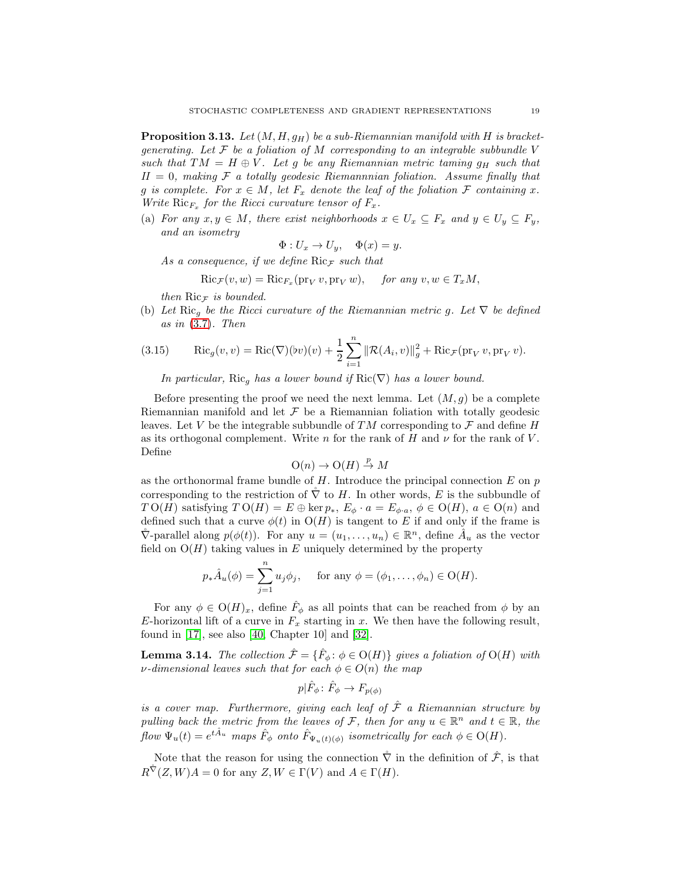<span id="page-18-0"></span>**Proposition 3.13.** Let  $(M, H, g_H)$  be a sub-Riemannian manifold with H is bracketgenerating. Let  $\mathcal F$  be a foliation of M corresponding to an integrable subbundle V such that  $TM = H \oplus V$ . Let g be any Riemannian metric taming  $g_H$  such that  $II = 0$ , making  $F$  a totally geodesic Riemannnian foliation. Assume finally that g is complete. For  $x \in M$ , let  $F_x$  denote the leaf of the foliation F containing x. Write  $\text{Ric}_{F_x}$  for the Ricci curvature tensor of  $F_x$ .

(a) For any  $x, y \in M$ , there exist neighborhoods  $x \in U_x \subseteq F_x$  and  $y \in U_y \subseteq F_y$ , and an isometry

$$
\Phi: U_x \to U_y, \quad \Phi(x) = y.
$$

As a consequence, if we define  $\text{Ric}_{\mathcal{F}}$  such that

$$
Ric_{\mathcal{F}}(v, w) = Ric_{F_x}(\text{pr}_V v, \text{pr}_V w), \quad \text{for any } v, w \in T_xM,
$$

then  $Ric_{\mathcal{F}}$  is bounded.

(b) Let Ric<sub>g</sub> be the Ricci curvature of the Riemannian metric g. Let  $\nabla$  be defined as in  $(3.7)$ . Then

<span id="page-18-1"></span>(3.15) 
$$
Ric_g(v, v) = Ric(\nabla)(bv)(v) + \frac{1}{2} \sum_{i=1}^n ||\mathcal{R}(A_i, v)||_g^2 + Ric_{\mathcal{F}}(\text{pr}_V v, \text{pr}_V v).
$$

In particular, Ric<sub>g</sub> has a lower bound if Ric( $\nabla$ ) has a lower bound.

Before presenting the proof we need the next lemma. Let  $(M, g)$  be a complete Riemannian manifold and let  $\mathcal F$  be a Riemannian foliation with totally geodesic leaves. Let V be the integrable subbundle of TM corresponding to  $\mathcal F$  and define H as its orthogonal complement. Write n for the rank of H and  $\nu$  for the rank of V. Define

$$
\mathrm{O}(n) \to \mathrm{O}(H) \overset{p}{\to} M
$$

as the orthonormal frame bundle of  $H$ . Introduce the principal connection  $E$  on  $p$ corresponding to the restriction of  $\tilde{\nabla}$  to H. In other words, E is the subbundle of  $TO(H)$  satisfying  $TO(H) = E \oplus \ker p_*, E_{\phi} \cdot a = E_{\phi \cdot a}, \phi \in O(H), a \in O(n)$  and defined such that a curve  $\phi(t)$  in  $O(H)$  is tangent to E if and only if the frame is  $\hat{\nabla}$ -parallel along  $p(\phi(t))$ . For any  $u = (u_1, \ldots, u_n) \in \mathbb{R}^n$ , define  $\hat{A}_u$  as the vector field on  $O(H)$  taking values in E uniquely determined by the property

$$
p_*\hat{A}_u(\phi) = \sum_{j=1}^n u_j \phi_j
$$
, for any  $\phi = (\phi_1, \dots, \phi_n) \in O(H)$ .

For any  $\phi \in O(H)_x$ , define  $\hat{F}_{\phi}$  as all points that can be reached from  $\phi$  by an E-horizontal lift of a curve in  $F_x$  starting in x. We then have the following result, found in  $[17]$ , see also  $[40,$  Chapter 10 and  $[32]$ .

**Lemma 3.14.** The collection  $\hat{\mathcal{F}} = {\hat{F}_{\phi}: \phi \in O(H)}$  gives a foliation of  $O(H)$  with  $\nu$ -dimensional leaves such that for each  $\phi \in O(n)$  the map

$$
p|\hat{F}_{\phi} \colon \hat{F}_{\phi} \to F_{p(\phi)}
$$

is a cover map. Furthermore, giving each leaf of  $\hat{\mathcal{F}}$  a Riemannian structure by pulling back the metric from the leaves of F, then for any  $u \in \mathbb{R}^n$  and  $t \in \mathbb{R}$ , the  $flow \Psi_u(t) = e^{t\hat{A}_u}$  maps  $\hat{F}_{\phi}$  onto  $\hat{F}_{\Psi_u(t)(\phi)}$  isometrically for each  $\phi \in O(H)$ .

Note that the reason for using the connection  $\tilde{\nabla}$  in the definition of  $\tilde{\mathcal{F}}$ , is that  $R^{\hat{\nabla}}(Z, W)A = 0$  for any  $Z, W \in \Gamma(V)$  and  $A \in \Gamma(H)$ .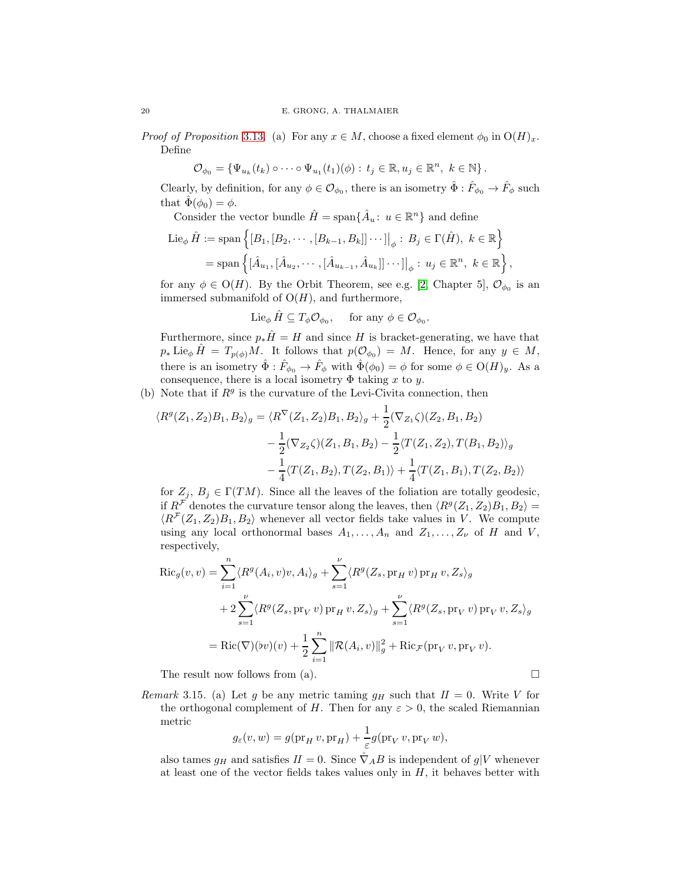*Proof of Proposition* [3.13](#page-18-0). (a) For any  $x \in M$ , choose a fixed element  $\phi_0$  in  $O(H)_x$ . Define

$$
\mathcal{O}_{\phi_0} = \{ \Psi_{u_k}(t_k) \circ \cdots \circ \Psi_{u_1}(t_1)(\phi) : t_j \in \mathbb{R}, u_j \in \mathbb{R}^n, k \in \mathbb{N} \}.
$$

Clearly, by definition, for any  $\phi \in \mathcal{O}_{\phi_0}$ , there is an isometry  $\hat{\Phi} : \hat{F}_{\phi_0} \to \hat{F}_{\phi}$  such that  $\hat{\Phi}(\phi_0) = \phi$ .

Consider the vector bundle  $\hat{H} = \text{span}\{\hat{A}_u : u \in \mathbb{R}^n\}$  and define

Lie<sub>φ</sub> 
$$
\hat{H}
$$
 := span  $\{ [B_1, [B_2, \cdots, [B_{k-1}, B_k]] \cdots] |_{φ} : B_j \in \Gamma(\hat{H}), k \in \mathbb{R} \}$   
= span  $\{ [\hat{A}_{u_1}, [\hat{A}_{u_2}, \cdots, [\hat{A}_{u_{k-1}}, \hat{A}_{u_k}]] \cdots] |_{φ} : u_j \in \mathbb{R}^n, k \in \mathbb{R} \}$ ,

for any  $\phi \in O(H)$ . By the Orbit Theorem, see e.g. [\[2,](#page-31-10) Chapter 5],  $\mathcal{O}_{\phi_0}$  is an immersed submanifold of  $O(H)$ , and furthermore,

 $\text{Lie}_{\phi} \hat{H} \subseteq T_{\phi} \mathcal{O}_{\phi_0}, \quad \text{ for any } \phi \in \mathcal{O}_{\phi_0}.$ 

Furthermore, since  $p_*\hat{H} = H$  and since H is bracket-generating, we have that  $p_* \operatorname{Lie}_{\phi} \hat{H} = T_{p(\phi)}M$ . It follows that  $p(\mathcal{O}_{\phi_0}) = M$ . Hence, for any  $y \in M$ , there is an isometry  $\hat{\Phi} : \hat{F}_{\phi_0} \to \hat{F}_{\phi}$  with  $\hat{\Phi}(\phi_0) = \phi$  for some  $\phi \in O(H)_y$ . As a consequence, there is a local isometry  $\Phi$  taking x to y.

(b) Note that if  $R<sup>g</sup>$  is the curvature of the Levi-Civita connection, then

$$
\langle R^{g}(Z_1, Z_2)B_1, B_2 \rangle_g = \langle R^{\nabla}(Z_1, Z_2)B_1, B_2 \rangle_g + \frac{1}{2} (\nabla_{Z_1} \zeta)(Z_2, B_1, B_2) - \frac{1}{2} (\nabla_{Z_2} \zeta)(Z_1, B_1, B_2) - \frac{1}{2} \langle T(Z_1, Z_2), T(B_1, B_2) \rangle_g - \frac{1}{4} \langle T(Z_1, B_2), T(Z_2, B_1) \rangle + \frac{1}{4} \langle T(Z_1, B_1), T(Z_2, B_2) \rangle
$$

for  $Z_i, B_i \in \Gamma(TM)$ . Since all the leaves of the foliation are totally geodesic, if  $R^{\mathcal{F}}$  denotes the curvature tensor along the leaves, then  $\langle R^g(Z_1, Z_2)B_1, B_2 \rangle =$  $\langle R^{\mathcal{F}}(Z_1, Z_2)B_1, B_2 \rangle$  whenever all vector fields take values in V. We compute using any local orthonormal bases  $A_1, \ldots, A_n$  and  $Z_1, \ldots, Z_{\nu}$  of H and V, respectively,

$$
\operatorname{Ric}_{g}(v, v) = \sum_{i=1}^{n} \langle R^{g}(A_{i}, v)v, A_{i} \rangle_{g} + \sum_{s=1}^{\nu} \langle R^{g}(Z_{s}, \operatorname{pr}_{H} v) \operatorname{pr}_{H} v, Z_{s} \rangle_{g}
$$
  
+ 
$$
2 \sum_{s=1}^{\nu} \langle R^{g}(Z_{s}, \operatorname{pr}_{V} v) \operatorname{pr}_{H} v, Z_{s} \rangle_{g} + \sum_{s=1}^{\nu} \langle R^{g}(Z_{s}, \operatorname{pr}_{V} v) \operatorname{pr}_{V} v, Z_{s} \rangle_{g}
$$
  
= 
$$
\operatorname{Ric}(\nabla)(bv)(v) + \frac{1}{2} \sum_{i=1}^{n} ||\mathcal{R}(A_{i}, v)||_{g}^{2} + \operatorname{Ric}_{\mathcal{F}}(\operatorname{pr}_{V} v, \operatorname{pr}_{V} v).
$$

The result now follows from (a).  $\Box$ 

Remark 3.15. (a) Let g be any metric taming  $g_H$  such that  $H = 0$ . Write V for the orthogonal complement of H. Then for any  $\varepsilon > 0$ , the scaled Riemannian metric

$$
g_{\varepsilon}(v, w) = g(\operatorname{pr}_{H} v, \operatorname{pr}_{H}) + \frac{1}{\varepsilon} g(\operatorname{pr}_{V} v, \operatorname{pr}_{V} w),
$$

also tames  $g_H$  and satisfies  $II = 0$ . Since  $\tilde{\nabla}_A B$  is independent of  $g|V$  whenever at least one of the vector fields takes values only in  $H$ , it behaves better with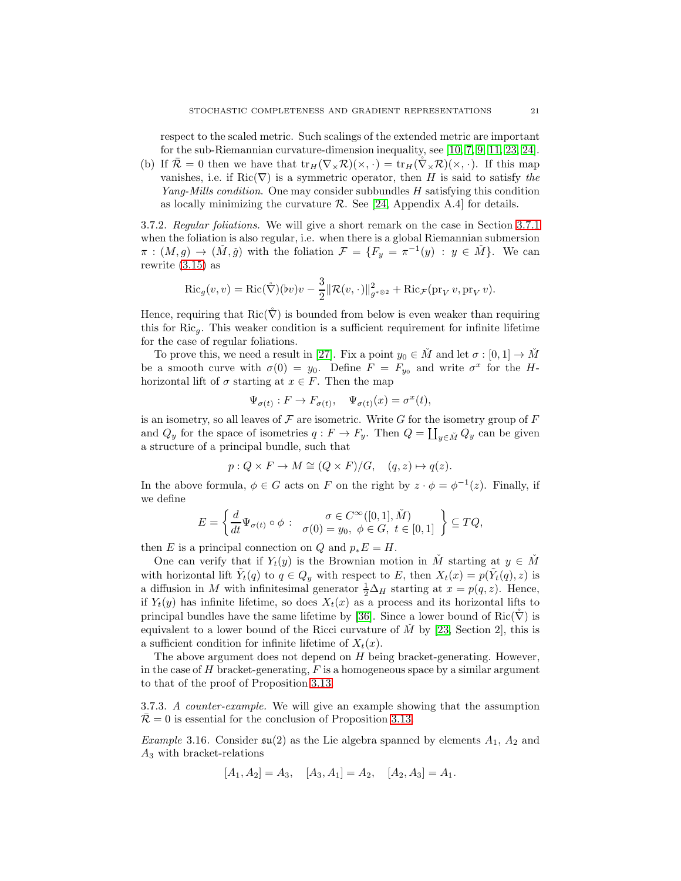respect to the scaled metric. Such scalings of the extended metric are important for the sub-Riemannian curvature-dimension inequality, see [\[10,](#page-31-5) [7,](#page-31-2) [9,](#page-31-3) [11,](#page-31-4) [23,](#page-32-2) [24\]](#page-32-3).

(b) If  $\overline{\mathcal{R}} = 0$  then we have that  $tr_H(\nabla_\times \mathcal{R})(\times, \cdot) = tr_H(\nabla_\times \mathcal{R})(\times, \cdot)$ . If this map vanishes, i.e. if Ric( $\nabla$ ) is a symmetric operator, then H is said to satisfy the Yang-Mills condition. One may consider subbundles H satisfying this condition as locally minimizing the curvature  $\mathcal{R}$ . See [\[24,](#page-32-3) Appendix A.4] for details.

3.7.2. Regular foliations. We will give a short remark on the case in Section [3.7.1](#page-17-1) when the foliation is also regular, i.e. when there is a global Riemannian submersion  $\pi$  :  $(M, g) \to (\check{M}, \check{g})$  with the foliation  $\mathcal{F} = \{F_y = \pi^{-1}(y) : y \in \check{M}\}\)$ . We can rewrite [\(3.15\)](#page-18-1) as

$$
\operatorname{Ric}_g(v,v) = \operatorname{Ric}(\mathring{\nabla})(bv)v - \frac{3}{2} \|\mathcal{R}(v,\cdot)\|_{g^{*\otimes 2}}^2 + \operatorname{Ric}_{\mathcal{F}}(\operatorname{pr}_V v, \operatorname{pr}_V v).
$$

Hence, requiring that  $\text{Ric}(\nabla)$  is bounded from below is even weaker than requiring this for  $Ric_q$ . This weaker condition is a sufficient requirement for infinite lifetime for the case of regular foliations.

To prove this, we need a result in [\[27\]](#page-32-20). Fix a point  $y_0 \in M$  and let  $\sigma : [0, 1] \to M$ be a smooth curve with  $\sigma(0) = y_0$ . Define  $F = F_{y_0}$  and write  $\sigma^x$  for the Hhorizontal lift of  $\sigma$  starting at  $x \in F$ . Then the map

$$
\Psi_{\sigma(t)}: F \to F_{\sigma(t)}, \quad \Psi_{\sigma(t)}(x) = \sigma^x(t),
$$

is an isometry, so all leaves of  $\mathcal F$  are isometric. Write  $G$  for the isometry group of  $F$ and  $Q_y$  for the space of isometries  $q : F \to F_y$ . Then  $Q = \coprod_{y \in \tilde{M}} Q_y$  can be given a structure of a principal bundle, such that

$$
p: Q \times F \to M \cong (Q \times F)/G, \quad (q, z) \mapsto q(z).
$$

In the above formula,  $\phi \in G$  acts on F on the right by  $z \cdot \phi = \phi^{-1}(z)$ . Finally, if we define

$$
E = \left\{ \frac{d}{dt} \Psi_{\sigma(t)} \circ \phi \; : \; \begin{array}{c} \sigma \in C^{\infty}([0,1], \check{M}) \\ \sigma(0) = y_0, \; \phi \in G, \; t \in [0,1] \end{array} \right\} \subseteq TQ,
$$

then E is a principal connection on Q and  $p_*E = H$ .

One can verify that if  $Y_t(y)$  is the Brownian motion in M starting at  $y \in M$ with horizontal lift  $\tilde{Y}_t(q)$  to  $q \in Q_y$  with respect to E, then  $X_t(x) = p(\tilde{Y}_t(q), z)$  is a diffusion in M with infinitesimal generator  $\frac{1}{2}\Delta_H$  starting at  $x = p(q, z)$ . Hence, if  $Y_t(y)$  has infinite lifetime, so does  $X_t(x)$  as a process and its horizontal lifts to principal bundles have the same lifetime by [\[36\]](#page-32-21). Since a lower bound of Ric( $\hat{\nabla}$ ) is equivalent to a lower bound of the Ricci curvature of  $M$  by [\[23,](#page-32-2) Section 2], this is a sufficient condition for infinite lifetime of  $X_t(x)$ .

The above argument does not depend on  $H$  being bracket-generating. However, in the case of  $H$  bracket-generating,  $F$  is a homogeneous space by a similar argument to that of the proof of Proposition [3.13.](#page-18-0)

3.7.3. A counter-example. We will give an example showing that the assumption  $\mathcal{R} = 0$  is essential for the conclusion of Proposition [3.13.](#page-18-0)

*Example* 3.16. Consider  $\mathfrak{su}(2)$  as the Lie algebra spanned by elements  $A_1$ ,  $A_2$  and  $A_3$  with bracket-relations

$$
[A_1, A_2] = A_3, \quad [A_3, A_1] = A_2, \quad [A_2, A_3] = A_1.
$$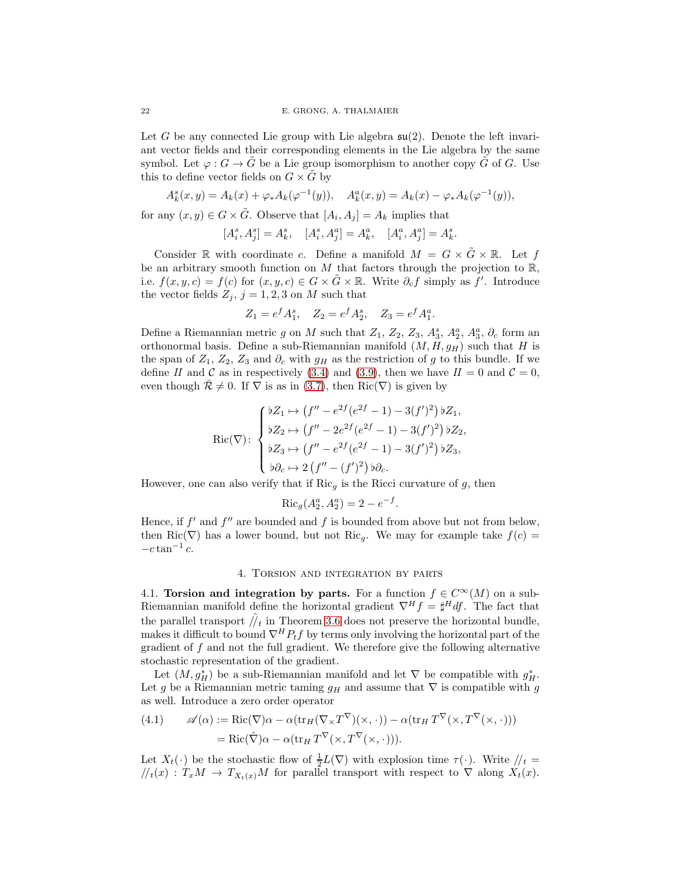Let G be any connected Lie group with Lie algebra  $\mathfrak{su}(2)$ . Denote the left invariant vector fields and their corresponding elements in the Lie algebra by the same symbol. Let  $\varphi : G \to \tilde{G}$  be a Lie group isomorphism to another copy  $\tilde{G}$  of G. Use this to define vector fields on  $G \times \tilde{G}$  by

$$
A_k^s(x, y) = A_k(x) + \varphi_* A_k(\varphi^{-1}(y)), \quad A_k^a(x, y) = A_k(x) - \varphi_* A_k(\varphi^{-1}(y)),
$$

for any  $(x, y) \in G \times \tilde{G}$ . Observe that  $[A_i, A_j] = A_k$  implies that

$$
[A_i^s, A_j^s] = A_k^s, \quad [A_i^s, A_j^a] = A_k^a, \quad [A_i^a, A_j^a] = A_k^s.
$$

Consider R with coordinate c. Define a manifold  $M = G \times \tilde{G} \times \mathbb{R}$ . Let f be an arbitrary smooth function on M that factors through the projection to  $\mathbb{R}$ , i.e.  $f(x, y, c) = f(c)$  for  $(x, y, c) \in G \times \tilde{G} \times \mathbb{R}$ . Write  $\partial_c f$  simply as f'. Introduce the vector fields  $Z_j$ ,  $j = 1, 2, 3$  on M such that

$$
Z_1 = e^f A_1^s, \quad Z_2 = e^f A_2^s, \quad Z_3 = e^f A_1^a.
$$

Define a Riemannian metric g on M such that  $Z_1$ ,  $Z_2$ ,  $Z_3$ ,  $A_3^s$ ,  $A_2^a$ ,  $A_3^a$ ,  $\partial_c$  form an orthonormal basis. Define a sub-Riemannian manifold  $(M, H, g_H)$  such that H is the span of  $Z_1$ ,  $Z_2$ ,  $Z_3$  and  $\partial_c$  with  $g_H$  as the restriction of g to this bundle. If we define II and C as in respectively [\(3.4\)](#page-8-3) and [\(3.9\)](#page-12-3), then we have  $II = 0$  and  $C = 0$ , even though  $\mathcal{R} \neq 0$ . If  $\nabla$  is as in [\(3.7\)](#page-8-1), then Ric( $\nabla$ ) is given by

$$
\text{Ric}(\nabla): \begin{cases} \n bZ_1 \mapsto (f'' - e^{2f}(e^{2f} - 1) - 3(f')^2) \, bZ_1, \\ \n bZ_2 \mapsto (f'' - 2e^{2f}(e^{2f} - 1) - 3(f')^2) \, bZ_2, \\ \n bZ_3 \mapsto (f'' - e^{2f}(e^{2f} - 1) - 3(f')^2) \, bZ_3, \\ \n b\partial_c \mapsto 2\left(f'' - (f')^2\right) \, b\partial_c. \n\end{cases}
$$

However, one can also verify that if  $Ric<sub>g</sub>$  is the Ricci curvature of g, then

$$
\operatorname{Ric}_g(A_2^a, A_2^a) = 2 - e^{-f}.
$$

Hence, if  $f'$  and  $f''$  are bounded and f is bounded from above but not from below, then Ric( $\nabla$ ) has a lower bound, but not Ric<sub>g</sub>. We may for example take  $f(c)$  $-c \tan^{-1} c$ .

## 4. Torsion and integration by parts

<span id="page-21-0"></span>4.1. Torsion and integration by parts. For a function  $f \in C^{\infty}(M)$  on a sub-Riemannian manifold define the horizontal gradient  $\nabla^H f = \sharp^H df$ . The fact that the parallel transport  $\hat{N}_t$  in Theorem [3.6](#page-12-2) does not preserve the horizontal bundle, makes it difficult to bound  $\nabla^H P_t f$  by terms only involving the horizontal part of the gradient of  $f$  and not the full gradient. We therefore give the following alternative stochastic representation of the gradient.

Let  $(M, g^*_H)$  be a sub-Riemannian manifold and let  $\nabla$  be compatible with  $g^*_H$ . Let g be a Riemannian metric taming  $g_H$  and assume that  $\nabla$  is compatible with g as well. Introduce a zero order operator

(4.1) 
$$
\mathscr{A}(\alpha) := \text{Ric}(\nabla)\alpha - \alpha(\text{tr}_H(\nabla_\times T^\nabla)(\times, \cdot)) - \alpha(\text{tr}_H T^\nabla(\times, T^\nabla(\times, \cdot)))
$$

$$
= \text{Ric}(\hat{\nabla})\alpha - \alpha(\text{tr}_H T^\nabla(\times, T^\nabla(\times, \cdot))).
$$

Let  $X_t(\cdot)$  be the stochastic flow of  $\frac{1}{2}L(\nabla)$  with explosion time  $\tau(\cdot)$ . Write  $\frac{1}{t} =$  $/ \! /_t(x) : T_xM \to T_{X_t(x)}M$  for parallel transport with respect to  $\nabla$  along  $X_t(x)$ .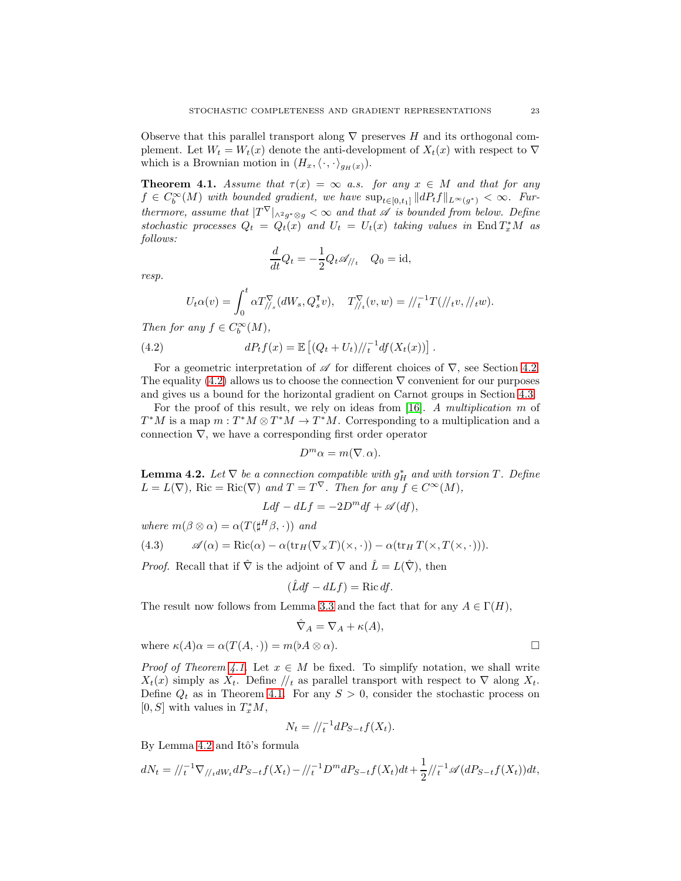Observe that this parallel transport along  $\nabla$  preserves H and its orthogonal complement. Let  $W_t = W_t(x)$  denote the anti-development of  $X_t(x)$  with respect to  $\nabla$ which is a Brownian motion in  $(H_x,\langle \cdot,\cdot \rangle_{g_H(x)})$ .

<span id="page-22-1"></span>**Theorem 4.1.** Assume that  $\tau(x) = \infty$  a.s. for any  $x \in M$  and that for any  $f \in C_b^{\infty}(M)$  with bounded gradient, we have  $\sup_{t \in [0,t_1]} ||dP_tf||_{L^{\infty}(g^*)} < \infty$ . Furthermore, assume that  $|T^{\nabla}|_{\wedge^2 g^*\otimes g} < \infty$  and that  $\mathscr A$  is bounded from below. Define stochastic processes  $Q_t = Q_t(x)$  and  $U_t = U_t(x)$  taking values in End  $T_x^*M$  as follows:

<span id="page-22-0"></span>
$$
\frac{d}{dt}Q_t = -\frac{1}{2}Q_t \mathscr{A}_{/\!/t} \quad Q_0 = \mathrm{id},
$$

resp.

$$
U_t \alpha(v) = \int_0^t \alpha T_{//s}^{\nabla} (dW_s, Q_s^{\mathsf{T}} v), \quad T_{//t}^{\nabla} (v, w) = //_t^{-1} T(//_t v, //_t w).
$$

Then for any  $f \in C_b^{\infty}(M)$ ,

(4.2) 
$$
dP_t f(x) = \mathbb{E} \left[ (Q_t + U_t) / \frac{1}{t} df(X_t(x)) \right].
$$

For a geometric interpretation of  $\mathscr A$  for different choices of  $\nabla$ , see Section [4.2.](#page-23-0) The equality [\(4.2\)](#page-22-0) allows us to choose the connection  $\nabla$  convenient for our purposes and gives us a bound for the horizontal gradient on Carnot groups in Section [4.3.](#page-24-0)

For the proof of this result, we rely on ideas from [\[16\]](#page-32-16). A multiplication m of  $T^*M$  is a map  $m: T^*M \otimes T^*M \to T^*M$ . Corresponding to a multiplication and a connection  $\nabla$ , we have a corresponding first order operator

$$
D^m \alpha = m(\nabla \cdot \alpha).
$$

<span id="page-22-2"></span>**Lemma 4.2.** Let  $\nabla$  be a connection compatible with  $g_H^*$  and with torsion T. Define  $L = L(\nabla)$ , Ric = Ric( $\nabla$ ) and  $T = T^{\vee}$ . Then for any  $f \in C^{\infty}(M)$ ,

$$
Ldf - dLf = -2D^m df + \mathscr{A}(df),
$$

where  $m(\beta \otimes \alpha) = \alpha(T(\sharp^H \beta, \cdot))$  and

<span id="page-22-3"></span>(4.3) 
$$
\mathscr{A}(\alpha) = \text{Ric}(\alpha) - \alpha(\text{tr}_H(\nabla_\times T)(\times, \cdot)) - \alpha(\text{tr}_H T(\times, T(\times, \cdot))).
$$

*Proof.* Recall that if  $\hat{\nabla}$  is the adjoint of  $\nabla$  and  $\hat{L} = L(\hat{\nabla})$ , then

$$
(\hat{L}df - dLf) = \text{Ric}\,df.
$$

The result now follows from Lemma [3.3](#page-6-4) and the fact that for any  $A \in \Gamma(H)$ ,

$$
\hat{\nabla}_A = \nabla_A + \kappa(A),
$$

where  $\kappa(A)\alpha = \alpha(T(A,\cdot)) = m(\flat A \otimes \alpha)$ .

*Proof of Theorem [4.1.](#page-22-1)* Let  $x \in M$  be fixed. To simplify notation, we shall write  $X_t(x)$  simply as  $X_t$ . Define  $\frac{1}{t}$  as parallel transport with respect to  $\nabla$  along  $X_t$ . Define  $Q_t$  as in Theorem [4.1.](#page-22-1) For any  $S > 0$ , consider the stochastic process on [0, S] with values in  $T_x^*M$ ,

$$
N_t = / \langle t^{-1} dP_{S-t} f(X_t).
$$

By Lemma [4.2](#page-22-2) and Itô's formula

$$
dN_t = ||t_1|^{-1} \nabla_{//_t} dW_t dP_{S-t} f(X_t) - ||t_1|^{-1} D^m dP_{S-t} f(X_t) dt + \frac{1}{2} ||t_1|^{-1} \mathscr{A} (dP_{S-t} f(X_t)) dt,
$$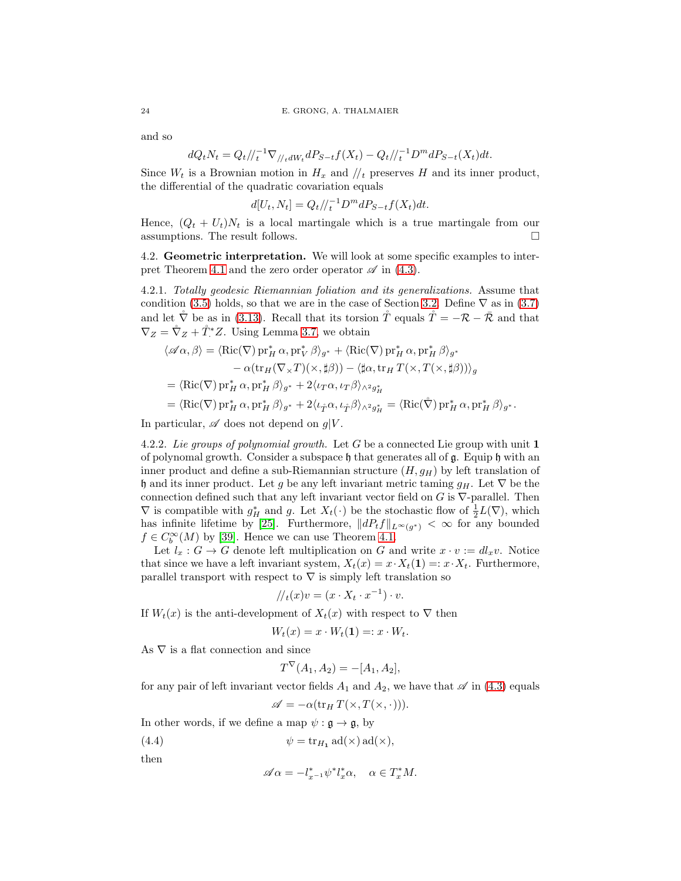and so

$$
dQ_t N_t = Q_t / \langle l_t^{-1} \nabla_{/l_t} dW_t dP_{S-t} f(X_t) - Q_t / \langle l_t^{-1} D^m dP_{S-t}(X_t) dt.
$$

Since  $W_t$  is a Brownian motion in  $H_x$  and  $\mu$  preserves H and its inner product, the differential of the quadratic covariation equals

$$
d[U_t, N_t] = Q_t/\!/_{t}^{-1} D^m dP_{S-t} f(X_t) dt.
$$

Hence,  $(Q_t + U_t)N_t$  is a local martingale which is a true martingale from our assumptions. The result follows.  $\hfill \square$ 

<span id="page-23-0"></span>4.2. Geometric interpretation. We will look at some specific examples to inter-pret Theorem [4.1](#page-22-1) and the zero order operator  $\mathscr A$  in [\(4.3\)](#page-22-3).

4.2.1. Totally geodesic Riemannian foliation and its generalizations. Assume that condition [\(3.5\)](#page-8-2) holds, so that we are in the case of Section [3.2.](#page-8-5) Define  $\nabla$  as in [\(3.7\)](#page-8-1) and let  $\tilde{\nabla}$  be as in [\(3.13\)](#page-17-2). Recall that its torsion  $\tilde{T}$  equals  $\tilde{T} = -\mathcal{R} - \bar{\mathcal{R}}$  and that  $\nabla_Z = \mathring{\nabla}_Z + \mathring{T}^*Z$ . Using Lemma [3.7,](#page-12-4) we obtain

$$
\langle \mathscr{A}\alpha, \beta \rangle = \langle \text{Ric}(\nabla) \text{ pr}_H^* \alpha, \text{pr}_V^* \beta \rangle_{g^*} + \langle \text{Ric}(\nabla) \text{ pr}_H^* \alpha, \text{pr}_H^* \beta \rangle_{g^*} \n- \alpha(\text{tr}_H(\nabla_\times T)(\times, \sharp \beta)) - \langle \sharp \alpha, \text{tr}_H T(\times, T(\times, \sharp \beta)) \rangle_g \n= \langle \text{Ric}(\nabla) \text{ pr}_H^* \alpha, \text{pr}_H^* \beta \rangle_{g^*} + 2 \langle \iota_T \alpha, \iota_T \beta \rangle_{\wedge^2 g_H^*} \n= \langle \text{Ric}(\nabla) \text{ pr}_H^* \alpha, \text{pr}_H^* \beta \rangle_{g^*} + 2 \langle \iota_{\hat{T}} \alpha, \iota_{\hat{T}} \beta \rangle_{\wedge^2 g_H^*} = \langle \text{Ric}(\mathring{\nabla}) \text{ pr}_H^* \alpha, \text{pr}_H^* \beta \rangle_{g^*}.
$$

In particular,  $\mathscr A$  does not depend on  $q|V$ .

4.2.2. Lie groups of polynomial growth. Let G be a connected Lie group with unit  $\mathbf 1$ of polynomal growth. Consider a subspace  $\mathfrak h$  that generates all of  $\mathfrak g$ . Equip  $\mathfrak h$  with an inner product and define a sub-Riemannian structure  $(H, g_H)$  by left translation of h and its inner product. Let g be any left invariant metric taming  $g_H$ . Let  $\nabla$  be the connection defined such that any left invariant vector field on  $G$  is  $\nabla$ -parallel. Then  $\nabla$  is compatible with  $g_H^*$  and g. Let  $X_t(\cdot)$  be the stochastic flow of  $\frac{1}{2}L(\nabla)$ , which has infinite lifetime by [\[25\]](#page-32-22). Furthermore,  $||dP_tf||_{L^{\infty}(g^*)} < \infty$  for any bounded  $f \in C_b^{\infty}(M)$  by [\[39\]](#page-32-23). Hence we can use Theorem [4.1.](#page-22-1)

Let  $l_x : G \to G$  denote left multiplication on G and write  $x \cdot v := dl_x v$ . Notice that since we have a left invariant system,  $X_t(x) = x \cdot X_t(1) =: x \cdot X_t$ . Furthermore, parallel transport with respect to  $\nabla$  is simply left translation so

$$
/\!/_{t}(x)v = (x \cdot X_{t} \cdot x^{-1}) \cdot v.
$$

If  $W_t(x)$  is the anti-development of  $X_t(x)$  with respect to  $\nabla$  then

$$
W_t(x) = x \cdot W_t(\mathbf{1}) =: x \cdot W_t.
$$

As  $\nabla$  is a flat connection and since

$$
T^{\nabla}(A_1, A_2) = -[A_1, A_2],
$$

for any pair of left invariant vector fields  $A_1$  and  $A_2$ , we have that  $\mathscr A$  in [\(4.3\)](#page-22-3) equals

$$
\mathscr{A} = -\alpha(\operatorname{tr}_H T(\times, T(\times, \cdot))).
$$

In other words, if we define a map  $\psi : \mathfrak{g} \to \mathfrak{g}$ , by

(4.4) 
$$
\psi = \text{tr}_{H_1} \text{ ad}(\times) \text{ ad}(\times),
$$

then

<span id="page-23-1"></span>
$$
\mathscr{A}\alpha = -l_{x^{-1}}^*\psi^*l_x^*\alpha, \quad \alpha \in T_x^*M.
$$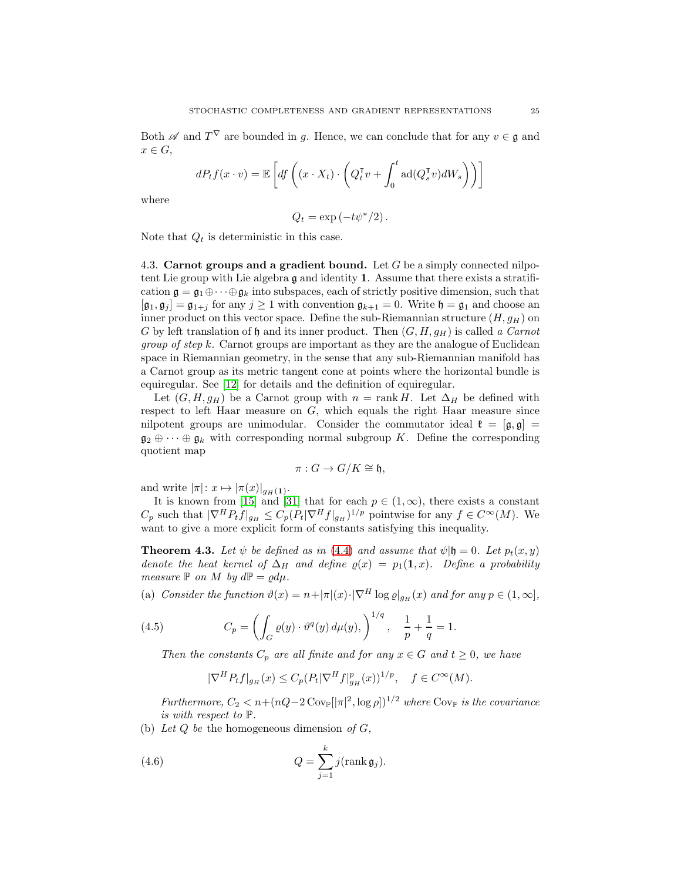Both  $\mathscr A$  and  $T^{\nabla}$  are bounded in g. Hence, we can conclude that for any  $v \in \mathfrak g$  and  $x \in G$ ,

$$
dP_t f(x \cdot v) = \mathbb{E}\left[ df \left( (x \cdot X_t) \cdot \left( Q_t^\mathsf{T} v + \int_0^t \mathrm{ad}(Q_s^\mathsf{T} v) dW_s \right) \right) \right]
$$

where

$$
Q_t = \exp(-t\psi^*/2).
$$

Note that  $Q_t$  is deterministic in this case.

<span id="page-24-0"></span>4.3. Carnot groups and a gradient bound. Let  $G$  be a simply connected nilpotent Lie group with Lie algebra  $\mathfrak g$  and identity 1. Assume that there exists a stratification  $\mathfrak{g} = \mathfrak{g}_1 \oplus \cdots \oplus \mathfrak{g}_k$  into subspaces, each of strictly positive dimension, such that  $[\mathfrak{g}_1, \mathfrak{g}_j] = \mathfrak{g}_{1+j}$  for any  $j \geq 1$  with convention  $\mathfrak{g}_{k+1} = 0$ . Write  $\mathfrak{h} = \mathfrak{g}_1$  and choose an inner product on this vector space. Define the sub-Riemannian structure  $(H, g_H)$  on G by left translation of h and its inner product. Then  $(G, H, g_H)$  is called a Carnot *group of step k.* Carnot groups are important as they are the analogue of Euclidean space in Riemannian geometry, in the sense that any sub-Riemannian manifold has a Carnot group as its metric tangent cone at points where the horizontal bundle is equiregular. See [\[12\]](#page-31-11) for details and the definition of equiregular.

Let  $(G, H, g_H)$  be a Carnot group with  $n = \text{rank } H$ . Let  $\Delta_H$  be defined with respect to left Haar measure on  $G$ , which equals the right Haar measure since nilpotent groups are unimodular. Consider the commutator ideal  $\mathfrak{k} = [\mathfrak{g}, \mathfrak{g}] =$  $\mathfrak{g}_2 \oplus \cdots \oplus \mathfrak{g}_k$  with corresponding normal subgroup K. Define the corresponding quotient map

$$
\pi: G \to G/K \cong \mathfrak{h},
$$

and write  $|\pi|: x \mapsto |\pi(x)|_{g_H(\mathbf{1})}.$ 

It is known from [\[15\]](#page-32-7) and [\[31\]](#page-32-6) that for each  $p \in (1,\infty)$ , there exists a constant  $C_p$  such that  $|\nabla^H P_t f|_{g_H} \leq C_p (P_t |\nabla^H f|_{g_H})^{1/p}$  pointwise for any  $f \in C^{\infty}(M)$ . We want to give a more explicit form of constants satisfying this inequality.

<span id="page-24-3"></span>**Theorem 4.3.** Let  $\psi$  be defined as in [\(4.4\)](#page-23-1) and assume that  $\psi$ |**h** = 0. Let  $p_t(x, y)$ denote the heat kernel of  $\Delta_H$  and define  $\rho(x) = p_1(1, x)$ . Define a probability measure  $\mathbb P$  on M by  $d\mathbb P = \varrho d\mu$ .

(a) Consider the function  $\vartheta(x) = n + |\pi|(x) \cdot |\nabla^H \log \varrho|_{g_H}(x)$  and for any  $p \in (1, \infty)$ ,

(4.5) 
$$
C_p = \left( \int_G \varrho(y) \cdot \vartheta^q(y) \, d\mu(y) \right)^{1/q}, \quad \frac{1}{p} + \frac{1}{q} = 1.
$$

Then the constants  $C_p$  are all finite and for any  $x \in G$  and  $t \geq 0$ , we have

<span id="page-24-2"></span><span id="page-24-1"></span>
$$
|\nabla^H P_t f|_{g_H}(x) \le C_p (P_t |\nabla^H f|_{g_H}^p(x))^{1/p}, \quad f \in C^\infty(M).
$$

Furthermore,  $C_2 < n+(nQ-2 \text{Cov}_{\mathbb{P}}[|\pi|^2, \log \rho])^{1/2}$  where  $\text{Cov}_{\mathbb{P}}$  is the covariance is with respect to P.

(b) Let  $Q$  be the homogeneous dimension of  $G$ ,

(4.6) 
$$
Q = \sum_{j=1}^{k} j(\text{rank } \mathfrak{g}_j).
$$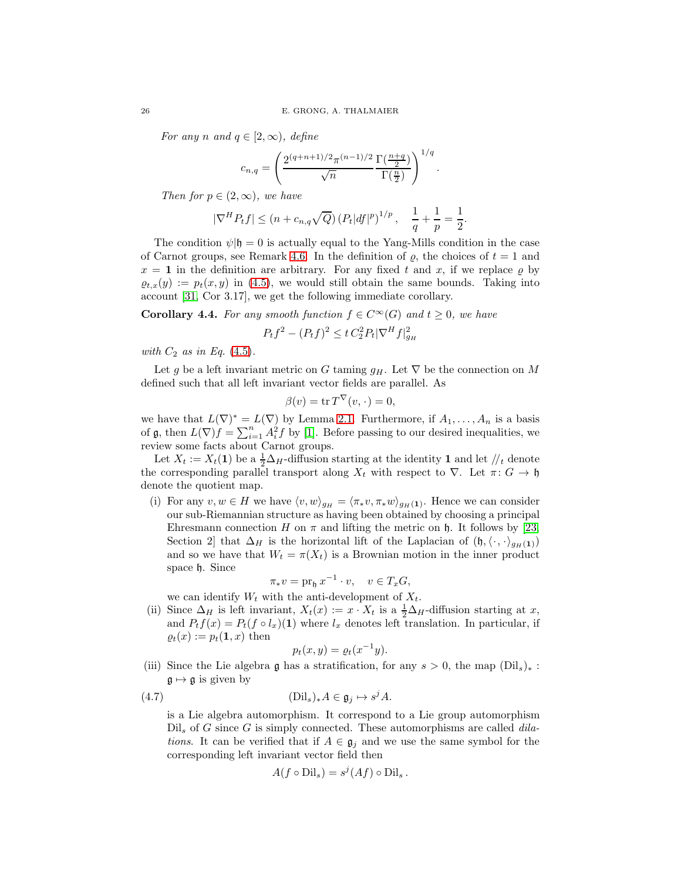For any n and  $q \in [2,\infty)$ , define

$$
c_{n,q} = \left(\frac{2^{(q+n+1)/2}\pi^{(n-1)/2}}{\sqrt{n}} \frac{\Gamma(\frac{n+q}{2})}{\Gamma(\frac{n}{2})}\right)^{1/q}.
$$

Then for  $p \in (2,\infty)$ , we have

$$
|\nabla^H P_t f| \le (n + c_{n,q} \sqrt{Q}) (P_t |df|^p)^{1/p}, \quad \frac{1}{q} + \frac{1}{p} = \frac{1}{2}.
$$

The condition  $\psi$ |h = 0 is actually equal to the Yang-Mills condition in the case of Carnot groups, see Remark [4.6.](#page-28-0) In the definition of  $\rho$ , the choices of  $t = 1$  and  $x = 1$  in the definition are arbitrary. For any fixed t and x, if we replace  $\varrho$  by  $\rho_{t,x}(y) := p_t(x, y)$  in [\(4.5\)](#page-24-1), we would still obtain the same bounds. Taking into account [\[31,](#page-32-6) Cor 3.17], we get the following immediate corollary.

**Corollary 4.4.** For any smooth function  $f \in C^{\infty}(G)$  and  $t \geq 0$ , we have

$$
P_t f^2 - (P_t f)^2 \le t C_2^2 P_t |\nabla^H f|_{g_H}^2
$$

with  $C_2$  as in Eq. [\(4.5\)](#page-24-1).

Let g be a left invariant metric on G taming  $g_H$ . Let  $\nabla$  be the connection on M defined such that all left invariant vector fields are parallel. As

$$
\beta(v) = \operatorname{tr} T^{\vee}(v, \cdot) = 0,
$$

we have that  $L(\nabla)^* = L(\nabla)$  by Lemma 2.1. Furthermore, if  $A_1, \ldots, A_n$  is a basis of **g**, then  $L(\nabla)f = \sum_{i=1}^{n} A_i^2 f$  by [\[1\]](#page-31-12). Before passing to our desired inequalities, we review some facts about Carnot groups.

Let  $X_t := X_t(1)$  be a  $\frac{1}{2}\Delta_H$ -diffusion starting at the identity 1 and let  $\frac{1}{t}$  denote the corresponding parallel transport along  $X_t$  with respect to  $\nabla$ . Let  $\pi: G \to \mathfrak{h}$ denote the quotient map.

(i) For any  $v, w \in H$  we have  $\langle v, w \rangle_{g_H} = \langle \pi_* v, \pi_* w \rangle_{g_H(1)}$ . Hence we can consider our sub-Riemannian structure as having been obtained by choosing a principal Ehresmann connection H on  $\pi$  and lifting the metric on h. It follows by [\[23,](#page-32-2) Section 2] that  $\Delta_H$  is the horizontal lift of the Laplacian of  $(\mathfrak{h}, \langle \cdot, \cdot \rangle_{g_H(1)})$ and so we have that  $W_t = \pi(X_t)$  is a Brownian motion in the inner product space h. Since

$$
\pi_* v = \operatorname{pr}_{\mathfrak{h}} x^{-1} \cdot v, \quad v \in T_x G,
$$

we can identify  $W_t$  with the anti-development of  $X_t$ .

(ii) Since  $\Delta_H$  is left invariant,  $X_t(x) := x \cdot X_t$  is a  $\frac{1}{2}\Delta_H$ -diffusion starting at x, and  $P_t f(x) = P_t(f \circ l_x)(1)$  where  $l_x$  denotes left translation. In particular, if  $\rho_t(x) := p_t(1, x)$  then

$$
p_t(x, y) = \varrho_t(x^{-1}y).
$$

<span id="page-25-0"></span>(iii) Since the Lie algebra g has a stratification, for any  $s > 0$ , the map  $(\text{Dil}_s)_*$ :  $\mathfrak{g} \mapsto \mathfrak{g}$  is given by

(4.7) 
$$
(\text{Dil}_s)_*A \in \mathfrak{g}_j \mapsto s^j A.
$$

is a Lie algebra automorphism. It correspond to a Lie group automorphism  $Dil<sub>s</sub>$  of G since G is simply connected. These automorphisms are called *dila*tions. It can be verified that if  $A \in \mathfrak{g}_i$  and we use the same symbol for the corresponding left invariant vector field then

$$
A(f \circ \text{Dil}_s) = s^j(Af) \circ \text{Dil}_s.
$$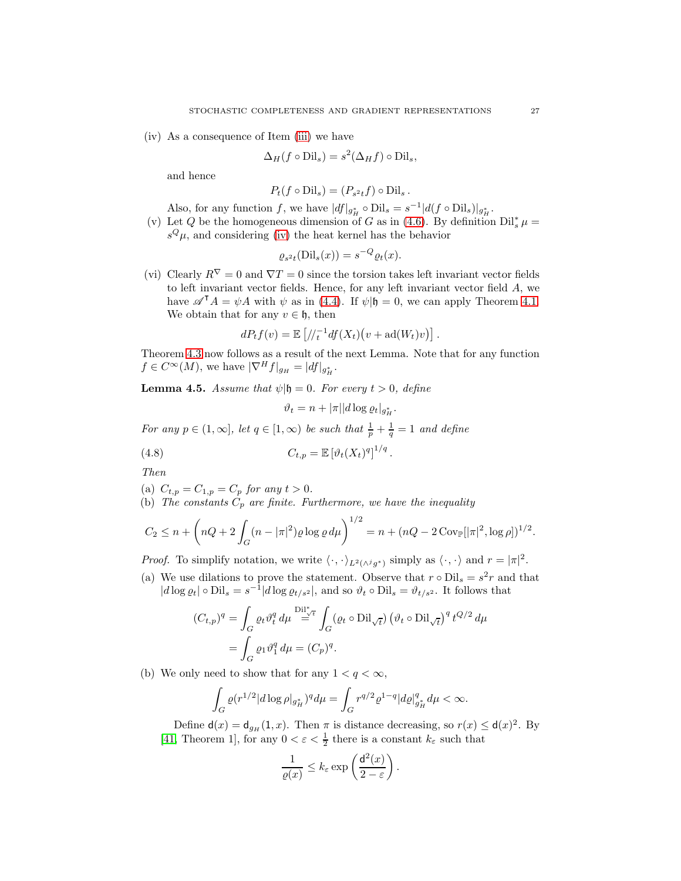<span id="page-26-0"></span>(iv) As a consequence of Item [\(iii\)](#page-25-0) we have

$$
\Delta_H(f \circ \text{Dil}_s) = s^2(\Delta_H f) \circ \text{Dil}_s,
$$

and hence

$$
P_t(f \circ \text{Dil}_s) = (P_{s^2t}f) \circ \text{Dil}_s.
$$

Also, for any function f, we have  $|df|_{g_H^*} \circ \text{Dil}_s = s^{-1} |d(f \circ \text{Dil}_s)|_{g_H^*}$ .

<span id="page-26-1"></span>(v) Let Q be the homogeneous dimension of G as in [\(4.6\)](#page-24-2). By definition  $\text{Dil}_s^*\mu =$  $s^{Q}\mu$ , and considering [\(iv\)](#page-26-0) the heat kernel has the behavior

$$
\varrho_{s^2t}(\text{Dil}_s(x)) = s^{-Q} \varrho_t(x).
$$

<span id="page-26-2"></span>(vi) Clearly  $R^{\nabla} = 0$  and  $\nabla T = 0$  since the torsion takes left invariant vector fields to left invariant vector fields. Hence, for any left invariant vector field A, we have  $\mathscr{A}^{\mathsf{T}}A = \psi A$  with  $\psi$  as in [\(4.4\)](#page-23-1). If  $\psi | \mathfrak{h} = 0$ , we can apply Theorem [4.1.](#page-22-1) We obtain that for any  $v \in \mathfrak{h}$ , then

$$
dP_tf(v) = \mathbb{E}\left[\frac{1}{t} \cdot d f(X_t)(v + \mathrm{ad}(W_t)v)\right].
$$

Theorem [4.3](#page-24-3) now follows as a result of the next Lemma. Note that for any function  $f \in C^{\infty}(M)$ , we have  $|\nabla^H f|_{g_H} = |df|_{g_H^*}$ .

**Lemma 4.5.** Assume that  $\psi|\mathfrak{h} = 0$ . For every  $t > 0$ , define

$$
\vartheta_t = n + |\pi||d\log \varrho_t|_{g_H^*}.
$$

.

For any  $p \in (1,\infty]$ , let  $q \in [1,\infty)$  be such that  $\frac{1}{p} + \frac{1}{q} = 1$  and define

(4.8) 
$$
C_{t,p} = \mathbb{E}\left[\vartheta_t(X_t)^q\right]^{1/q}
$$

Then

- (a)  $C_{t,p} = C_{1,p} = C_p$  for any  $t > 0$ .
- (b) The constants  $C_p$  are finite. Furthermore, we have the inequality

$$
C_2 \le n + \left( nQ + 2 \int_G (n - |\pi|^2) \varrho \log \varrho d\mu \right)^{1/2} = n + (nQ - 2 \operatorname{Cov}_{\mathbb{P}}[|\pi|^2, \log \rho])^{1/2}.
$$

*Proof.* To simplify notation, we write  $\langle \cdot, \cdot \rangle_{L^2(\wedge^j g^*)}$  simply as  $\langle \cdot, \cdot \rangle$  and  $r = |\pi|^2$ .

(a) We use dilations to prove the statement. Observe that  $r \circ \text{Dil}_s = s^2 r$  and that  $|d \log \varrho_t| \circ \text{Dil}_s = s^{-1}|d \log \varrho_{t/s^2}|$ , and so  $\vartheta_t \circ \text{Dil}_s = \vartheta_{t/s^2}$ . It follows that

$$
(C_{t,p})^q = \int_G \varrho_t \vartheta_t^q d\mu \stackrel{\text{Dil}_{\sqrt{t}}^*}{=} \int_G (\varrho_t \circ \text{Dil}_{\sqrt{t}}) (\vartheta_t \circ \text{Dil}_{\sqrt{t}})^q t^{Q/2} d\mu
$$

$$
= \int_G \varrho_1 \vartheta_1^q d\mu = (C_p)^q.
$$

(b) We only need to show that for any  $1 < q < \infty$ ,

$$
\int_G \varrho (r^{1/2} |d\log \rho|_{g^*_H})^q d\mu = \int_G r^{q/2} \varrho^{1-q} |d\varrho|_{g^*_H}^q d\mu < \infty.
$$

Define  $d(x) = d_{g_H}(1, x)$ . Then  $\pi$  is distance decreasing, so  $r(x) \leq d(x)^2$ . By [\[41,](#page-33-2) Theorem 1], for any  $0 < \varepsilon < \frac{1}{2}$  there is a constant  $k_{\varepsilon}$  such that

$$
\frac{1}{\varrho(x)}\leq k_\varepsilon\exp\left(\frac{\mathsf{d}^2(x)}{2-\varepsilon}\right).
$$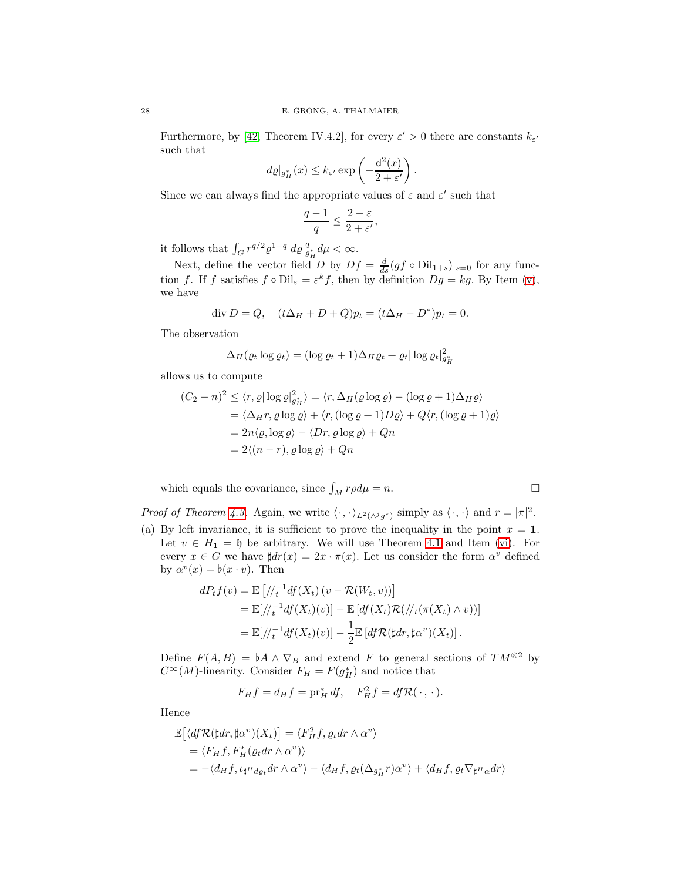Furthermore, by [\[42,](#page-33-3) Theorem IV.4.2], for every  $\varepsilon' > 0$  there are constants  $k_{\varepsilon'}$ such that

$$
|d\varrho|_{g^*_H}(x) \leq k_{\varepsilon'} \exp\left(-\frac{\mathsf{d}^2(x)}{2+\varepsilon'}\right).
$$

Since we can always find the appropriate values of  $\varepsilon$  and  $\varepsilon'$  such that

$$
\frac{q-1}{q} \le \frac{2-\varepsilon}{2+\varepsilon'},
$$

it follows that  $\int_G r^{q/2} \varrho^{1-q} |d\varrho|_{g_H^*}^q d\mu < \infty$ .

Next, define the vector field D by  $Df = \frac{d}{ds}(gf \circ \text{Dil}_{1+s})|_{s=0}$  for any function f. If f satisfies  $f \circ \text{Dil}_{\varepsilon} = \varepsilon^k f$ , then by definition  $Dg = kg$ . By Item [\(v\)](#page-26-1), we have

$$
\text{div } D = Q, \quad (t\Delta_H + D + Q)p_t = (t\Delta_H - D^*)p_t = 0.
$$

The observation

$$
\Delta_H(\varrho_t \log \varrho_t) = (\log \varrho_t + 1)\Delta_H \varrho_t + \varrho_t |\log \varrho_t|_{g_H^2}^2
$$

allows us to compute

$$
(C_2 - n)^2 \leq \langle r, \varrho | \log \varrho |_{g_H^*}^2 \rangle = \langle r, \Delta_H(\varrho \log \varrho) - (\log \varrho + 1) \Delta_H \varrho \rangle
$$
  
=  $\langle \Delta_H r, \varrho \log \varrho \rangle + \langle r, (\log \varrho + 1) D \varrho \rangle + Q \langle r, (\log \varrho + 1) \varrho \rangle$   
=  $2n \langle \varrho, \log \varrho \rangle - \langle Dr, \varrho \log \varrho \rangle + Qn$   
=  $2 \langle (n - r), \varrho \log \varrho \rangle + Qn$ 

which equals the covariance, since  $\int_M r \rho d\mu = n$ .

$$
\Box
$$

*Proof of Theorem [4.3.](#page-24-3)* Again, we write  $\langle \cdot, \cdot \rangle_{L^2(\wedge^j g^*)}$  simply as  $\langle \cdot, \cdot \rangle$  and  $r = |\pi|^2$ . (a) By left invariance, it is sufficient to prove the inequality in the point  $x = 1$ .

Let  $v \in H_1 = \mathfrak{h}$  be arbitrary. We will use Theorem [4.1](#page-22-1) and Item [\(vi\)](#page-26-2). For every  $x \in G$  we have  $\sharp dr(x) = 2x \cdot \pi(x)$ . Let us consider the form  $\alpha^v$  defined by  $\alpha^v(x) = \flat(x \cdot v)$ . Then

$$
dP_t f(v) = \mathbb{E}\left[\frac{1}{t} \frac{df(X_t)(v - \mathcal{R}(W_t, v))}{dt}\right]
$$
  
=  $\mathbb{E}[\frac{1}{t} \frac{df(X_t)(v)}{dt}] - \mathbb{E}\left[\frac{df(X_t)\mathcal{R}(\frac{1}{t}(\pi(X_t) \wedge v))}{dt}\right]$   
=  $\mathbb{E}[\frac{1}{t} \frac{df(X_t)(v)}{dt}] - \frac{1}{2} \mathbb{E}\left[\frac{df \mathcal{R}(\sharp dr, \sharp \alpha^v)(X_t)}{dt}\right].$ 

Define  $F(A, B) = \mathfrak{b}A \wedge \nabla_B$  and extend F to general sections of  $TM^{\otimes 2}$  by  $C^{\infty}(M)$ -linearity. Consider  $F_H = F(g_H^*)$  and notice that

$$
F_H f = d_H f = \operatorname{pr}_H^* df, \quad F_H^2 f = df \mathcal{R}(\cdot, \cdot).
$$

Hence

$$
\mathbb{E}\left[\langle df\mathcal{R}(\sharp dr, \sharp \alpha^v)(X_t)\right] = \langle F_H^2 f, \varrho_t dr \wedge \alpha^v \rangle
$$
  
=  $\langle F_H f, F_H^*(\varrho_t dr \wedge \alpha^v)\rangle$   
=  $-\langle d_H f, \iota_{\sharp^H d\varrho_t} dr \wedge \alpha^v \rangle - \langle d_H f, \varrho_t (\Delta_{g_H^*} r) \alpha^v \rangle + \langle d_H f, \varrho_t \nabla_{\sharp^H \alpha} dr \rangle$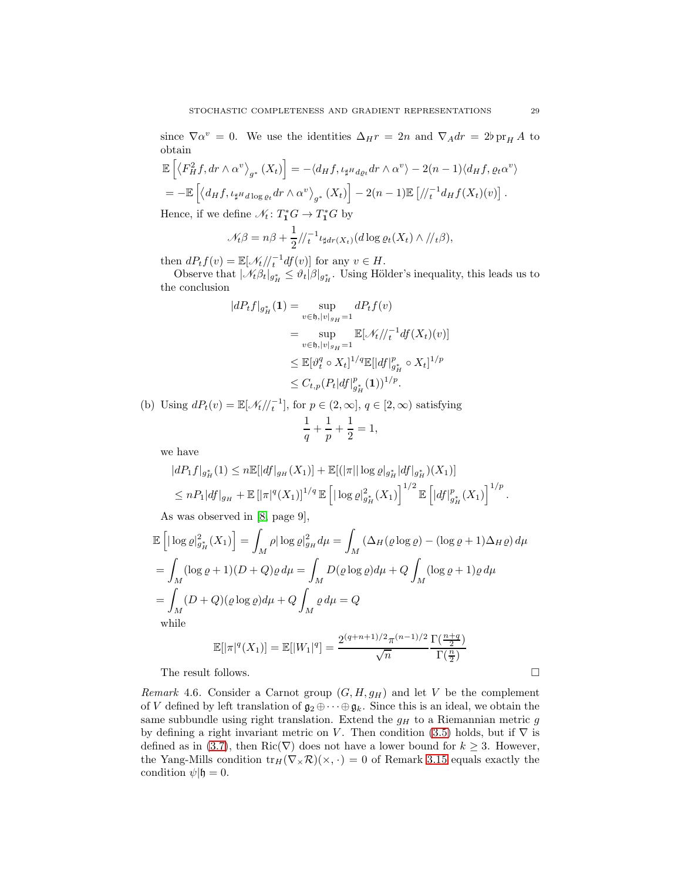since  $\nabla \alpha^v = 0$ . We use the identities  $\Delta_H r = 2n$  and  $\nabla_A dr = 2\nabla_H A$  to obtain

$$
\mathbb{E}\left[\left\langle F_H^2 f, dr \wedge \alpha^v \right\rangle_{g^*} (X_t)\right] = -\langle d_H f, \iota_{\sharp^H d_{\varrho_t}} dr \wedge \alpha^v \rangle - 2(n-1) \langle d_H f, \varrho_t \alpha^v \rangle
$$
  
= 
$$
-\mathbb{E}\left[\langle d_H f, \iota_{\sharp^H d \log \varrho_t} dr \wedge \alpha^v \rangle_{g^*} (X_t)\right] - 2(n-1) \mathbb{E}\left[\frac{\langle \xi, \xi \rangle_{g^* d_{\varrho_t}}}{\langle \xi, \xi \rangle_{g^* d_{\varrho_t}}}\right].
$$

Hence, if we define  $\mathcal{N}_t \colon T^*_1G \to T^*_1G$  by

$$
\mathcal{N}_t \beta = n\beta + \frac{1}{2} / \langle t^{-1} \iota_{\sharp dr(X_t)}(d \log \varrho_t(X_t) \wedge / \langle t \beta \rangle),
$$

then  $dP_tf(v) = \mathbb{E}[\mathcal{N}_t/\mathcal{N}_t^{-1}df(v)]$  for any  $v \in H$ .

Observe that  $|\mathcal{N}_t \beta_t|_{g^*_H} \leq \vartheta_t |\beta|_{g^*_H}$ . Using Hölder's inequality, this leads us to the conclusion

$$
|dP_t f|_{g_H^*}(\mathbf{1}) = \sup_{v \in \mathfrak{h}, |v|_{g_H} = 1} dP_t f(v)
$$
  
= 
$$
\sup_{v \in \mathfrak{h}, |v|_{g_H} = 1} \mathbb{E}[\mathcal{N}_t //_t^{-1} df(X_t)(v)]
$$
  

$$
\leq \mathbb{E}[\vartheta_t^q \circ X_t]^{1/q} \mathbb{E}[|df|_{g_H^*}^p \circ X_t]^{1/p}
$$
  

$$
\leq C_{t,p} (P_t |df|_{g_H^*}^p(\mathbf{1}))^{1/p}.
$$

(b) Using  $dP_t(v) = \mathbb{E}[\mathcal{N}_t/\mathcal{N}_t^{-1}]$ , for  $p \in (2,\infty]$ ,  $q \in [2,\infty)$  satisfying 1  $\frac{1}{q} + \frac{1}{p}$  $\frac{1}{p} + \frac{1}{2}$  $\frac{1}{2} = 1$ ,

we have

$$
|dP_1 f|_{g_H^*}(1) \leq n \mathbb{E}[|df|_{g_H}(X_1)] + \mathbb{E}[ (|\pi| |\log \varrho|_{g_H^*}|df|_{g_H^*})(X_1)]
$$
  

$$
\leq n P_1 |df|_{g_H} + \mathbb{E}[|\pi|^q(X_1)]^{1/q} \mathbb{E}[ |\log \varrho|_{g_H^*}^2(X_1) ]^{1/2} \mathbb{E}[ |df|_{g_H^*}^p(X_1) ]^{1/p}.
$$

As was observed in [\[8,](#page-31-13) page 9],

$$
\mathbb{E}\left[\left|\log \varrho\right|_{g_H^*}^2(X_1)\right] = \int_M \rho |\log \varrho|_{g_H}^2 d\mu = \int_M \left(\Delta_H(\varrho \log \varrho) - (\log \varrho + 1)\Delta_H \varrho\right) d\mu
$$

$$
= \int_M (\log \varrho + 1)(D + Q)\varrho d\mu = \int_M D(\varrho \log \varrho) d\mu + Q \int_M (\log \varrho + 1)\varrho d\mu
$$

$$
= \int_M (D + Q)(\varrho \log \varrho) d\mu + Q \int_M \varrho d\mu = Q
$$
while
$$
\mathbb{E}[||g(Y_1)||] = \mathbb{E}[||Y_1||_g^q] = 2^{(q+n+1)/2}\pi^{(n-1)/2} \Gamma(\frac{n+q}{2})
$$

$$
\mathbb{E}[|\pi|^q(X_1)] = \mathbb{E}[|W_1|^q] = \frac{2^{(q+n+1)/2}\pi^{(n-1)/2}}{\sqrt{n}} \frac{\Gamma(\frac{n+q}{2})}{\Gamma(\frac{n}{2})}
$$

The result follows.  $\hfill \square$ 

<span id="page-28-0"></span>Remark 4.6. Consider a Carnot group  $(G, H, g_H)$  and let V be the complement of V defined by left translation of  $\mathfrak{g}_2 \oplus \cdots \oplus \mathfrak{g}_k$ . Since this is an ideal, we obtain the same subbundle using right translation. Extend the  $g_H$  to a Riemannian metric  $g$ by defining a right invariant metric on V. Then condition [\(3.5\)](#page-8-2) holds, but if  $\nabla$  is defined as in [\(3.7\)](#page-8-1), then Ric( $\nabla$ ) does not have a lower bound for  $k \geq 3$ . However, the Yang-Mills condition  $tr_H(\nabla_\times \mathcal{R})(\times, \cdot) = 0$  of Remark 3.15 equals exactly the condition  $\psi | \mathfrak{h} = 0$ .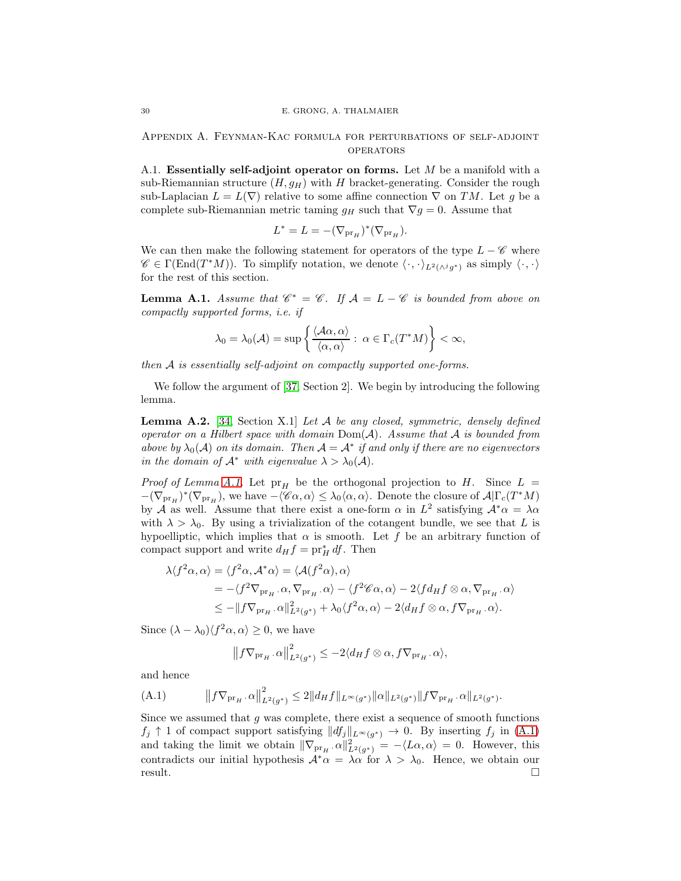<span id="page-29-0"></span>Appendix A. Feynman-Kac formula for perturbations of self-adjoint **OPERATORS** 

A.1. Essentially self-adjoint operator on forms. Let  $M$  be a manifold with a sub-Riemannian structure  $(H, g_H)$  with H bracket-generating. Consider the rough sub-Laplacian  $L = L(\nabla)$  relative to some affine connection  $\nabla$  on TM. Let g be a complete sub-Riemannian metric taming  $g_H$  such that  $\nabla g = 0$ . Assume that

$$
L^* = L = -(\nabla_{\mathrm{pr}_H})^*(\nabla_{\mathrm{pr}_H}).
$$

We can then make the following statement for operators of the type  $L - \mathscr{C}$  where  $\mathscr{C} \in \Gamma(\text{End}(T^*M)).$  To simplify notation, we denote  $\langle \cdot, \cdot \rangle_{L^2(\wedge^j g^*)}$  as simply  $\langle \cdot, \cdot \rangle$ for the rest of this section.

<span id="page-29-1"></span>**Lemma A.1.** Assume that  $\mathscr{C}^* = \mathscr{C}$ . If  $\mathcal{A} = L - \mathscr{C}$  is bounded from above on compactly supported forms, i.e. if

$$
\lambda_0 = \lambda_0(\mathcal{A}) = \sup \left\{ \frac{\langle \mathcal{A}\alpha, \alpha \rangle}{\langle \alpha, \alpha \rangle} : \ \alpha \in \Gamma_c(T^*M) \right\} < \infty,
$$

then A is essentially self-adjoint on compactly supported one-forms.

We follow the argument of [\[37,](#page-32-10) Section 2]. We begin by introducing the following lemma.

**Lemma A.2.** [\[34,](#page-32-24) Section X.1] Let A be any closed, symmetric, densely defined operator on a Hilbert space with domain  $Dom(A)$ . Assume that A is bounded from above by  $\lambda_0(\mathcal{A})$  on its domain. Then  $\mathcal{A} = \mathcal{A}^*$  if and only if there are no eigenvectors in the domain of  $\mathcal{A}^*$  with eigenvalue  $\lambda > \lambda_0(\mathcal{A})$ .

*Proof of Lemma [A.1.](#page-29-1)* Let  $pr_H$  be the orthogonal projection to H. Since  $L =$  $-(\nabla_{\text{pr}_H})^*(\nabla_{\text{pr}_H}),$  we have  $-\langle \mathscr{C}\alpha, \alpha \rangle \leq \lambda_0 \langle \alpha, \alpha \rangle$ . Denote the closure of  $\mathcal{A}|\Gamma_c(T^*M)$ by A as well. Assume that there exist a one-form  $\alpha$  in  $L^2$  satisfying  $\mathcal{A}^*\alpha = \lambda \alpha$ with  $\lambda > \lambda_0$ . By using a trivialization of the cotangent bundle, we see that L is hypoelliptic, which implies that  $\alpha$  is smooth. Let f be an arbitrary function of compact support and write  $d_H f = \text{pr}_H^* df$ . Then

$$
\lambda \langle f^2 \alpha, \alpha \rangle = \langle f^2 \alpha, \mathcal{A}^* \alpha \rangle = \langle \mathcal{A}(f^2 \alpha), \alpha \rangle
$$
  
= -\langle f^2 \nabla\_{\text{pr}\_H} . \alpha, \nabla\_{\text{pr}\_H} . \alpha \rangle - \langle f^2 \mathcal{C} \alpha, \alpha \rangle - 2 \langle f d\_H f \otimes \alpha, \nabla\_{\text{pr}\_H} . \alpha \rangle  
\le -\| f \nabla\_{\text{pr}\_H} . \alpha \|\_{L^2(g^\*)}^2 + \lambda\_0 \langle f^2 \alpha, \alpha \rangle - 2 \langle d\_H f \otimes \alpha, f \nabla\_{\text{pr}\_H} . \alpha \rangle.

Since  $(\lambda - \lambda_0) \langle f^2 \alpha, \alpha \rangle \geq 0$ , we have

<span id="page-29-2"></span>
$$
||f\nabla_{\mathrm{pr}_{H}}\cdot\alpha||_{L^{2}(g^{*})}^{2} \leq -2\langle d_{H}f \otimes \alpha, f\nabla_{\mathrm{pr}_{H}}\cdot\alpha\rangle,
$$

and hence

(A.1) 
$$
\|f\nabla_{\mathrm{pr}_{H}}\cdot\alpha\|_{L^{2}(g^{*})}^{2} \leq 2\|d_{H}f\|_{L^{\infty}(g^{*})}\|\alpha\|_{L^{2}(g^{*})}\|f\nabla_{\mathrm{pr}_{H}}\cdot\alpha\|_{L^{2}(g^{*})}.
$$

Since we assumed that  $g$  was complete, there exist a sequence of smooth functions  $f_j \uparrow 1$  of compact support satisfying  $||df_j||_{L^{\infty}(g^*)} \to 0$ . By inserting  $f_j$  in [\(A.1\)](#page-29-2) and taking the limit we obtain  $\|\nabla_{\text{pr}_H} \cdot \alpha\|_{L^2(g^*)}^2 = -\langle L\alpha, \alpha \rangle = 0$ . However, this contradicts our initial hypothesis  $\mathcal{A}^*\alpha = \lambda \alpha$  for  $\lambda > \lambda_0$ . Hence, we obtain our result. result.  $\Box$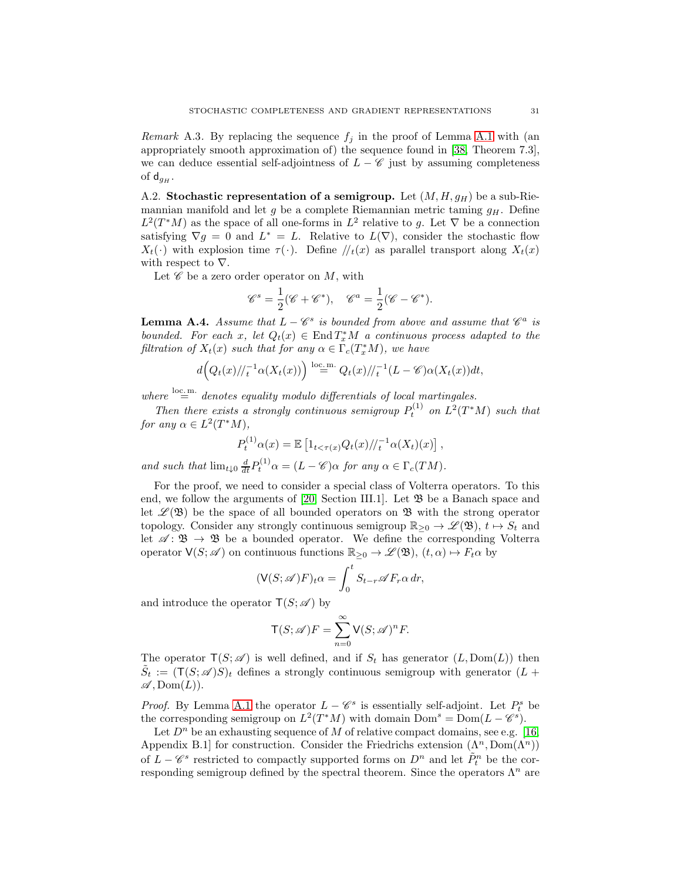*Remark* A.3. By replacing the sequence  $f_i$  in the proof of Lemma [A.1](#page-29-1) with (an appropriately smooth approximation of) the sequence found in [\[38,](#page-32-9) Theorem 7.3], we can deduce essential self-adjointness of  $L - \mathscr{C}$  just by assuming completeness of  $\mathsf{d}_{qH}$ .

A.2. Stochastic representation of a semigroup. Let  $(M, H, g_H)$  be a sub-Riemannian manifold and let g be a complete Riemannian metric taming  $g_H$ . Define  $L^2(T^*M)$  as the space of all one-forms in  $L^2$  relative to g. Let  $\nabla$  be a connection satisfying  $\nabla g = 0$  and  $L^* = L$ . Relative to  $L(\nabla)$ , consider the stochastic flow  $X_t(\cdot)$  with explosion time  $\tau(\cdot)$ . Define  $\ell_t(x)$  as parallel transport along  $X_t(x)$ with respect to  $\nabla$ .

Let  $\mathscr C$  be a zero order operator on M, with

$$
\mathscr{C}^s = \frac{1}{2}(\mathscr{C} + \mathscr{C}^*), \quad \mathscr{C}^a = \frac{1}{2}(\mathscr{C} - \mathscr{C}^*).
$$

<span id="page-30-0"></span>**Lemma A.4.** Assume that  $L - \mathscr{C}^s$  is bounded from above and assume that  $\mathscr{C}^a$  is bounded. For each x, let  $Q_t(x) \in \text{End } T_x^*M$  a continuous process adapted to the filtration of  $X_t(x)$  such that for any  $\alpha \in \Gamma_c(T^*_x M)$ , we have

$$
d\Big(Q_t(x)/\!/_{t}^{-1}\alpha(X_t(x))\Big) \stackrel{\text{loc.m.}}{=} Q_t(x)/\!/_{t}^{-1}(L-\mathscr{C})\alpha(X_t(x))dt,
$$

where  $\sum_{n=1}^{\infty}$  denotes equality modulo differentials of local martingales.

Then there exists a strongly continuous semigroup  $P_t^{(1)}$  on  $L^2(T^*M)$  such that for any  $\alpha \in L^2(T^*M)$ ,

$$
P_t^{(1)} \alpha(x) = \mathbb{E} \left[ 1_{t < \tau(x)} Q_t(x) / \tau^{-1} \alpha(X_t)(x) \right],
$$

and such that  $\lim_{t\downarrow 0} \frac{d}{dt} P_t^{(1)} \alpha = (L - \mathscr{C}) \alpha$  for any  $\alpha \in \Gamma_c(TM)$ .

For the proof, we need to consider a special class of Volterra operators. To this end, we follow the arguments of [\[20,](#page-32-17) Section III.1]. Let  $\mathfrak{B}$  be a Banach space and let  $\mathscr{L}(\mathfrak{B})$  be the space of all bounded operators on  $\mathfrak{B}$  with the strong operator topology. Consider any strongly continuous semigroup  $\mathbb{R}_{\geq 0} \to \mathscr{L}(\mathfrak{B}), t \mapsto S_t$  and let  $\mathscr{A} \colon \mathfrak{B} \to \mathfrak{B}$  be a bounded operator. We define the corresponding Volterra operator  $\mathsf{V}(S; \mathscr{A})$  on continuous functions  $\mathbb{R}_{\geq 0} \to \mathscr{L}(\mathfrak{B}), (t, \alpha) \mapsto F_t \alpha$  by

$$
(\mathsf{V}(S; \mathscr{A})F)_t \alpha = \int_0^t S_{t-r} \mathscr{A} F_r \alpha \, dr,
$$

and introduce the operator  $\mathsf{T}(S; \mathscr{A})$  by

$$
\mathsf{T}(S; \mathscr{A})F = \sum_{n=0}^{\infty} \mathsf{V}(S; \mathscr{A})^n F.
$$

The operator  $T(S; \mathscr{A})$  is well defined, and if  $S_t$  has generator  $(L, Dom(L))$  then  $\tilde{S}_t := (\mathsf{T}(S; \mathscr{A})S)_t$  defines a strongly continuous semigroup with generator  $(L +$  $\mathscr{A}, \mathrm{Dom}(L)$ .

*Proof.* By Lemma [A.1](#page-29-1) the operator  $L - \mathscr{C}^s$  is essentially self-adjoint. Let  $P_t^s$  be the corresponding semigroup on  $L^2(T^*M)$  with domain  $Dom^s = Dom(L - \mathcal{C}^s)$ .

Let  $D^n$  be an exhausting sequence of M of relative compact domains, see e.g. [\[16,](#page-32-16) Appendix B.1] for construction. Consider the Friedrichs extension  $(\Lambda^n, \text{Dom}(\Lambda^n))$ of  $L - \mathscr{C}^s$  restricted to compactly supported forms on  $D^n$  and let  $\tilde{P}_t^n$  be the corresponding semigroup defined by the spectral theorem. Since the operators  $\Lambda^n$  are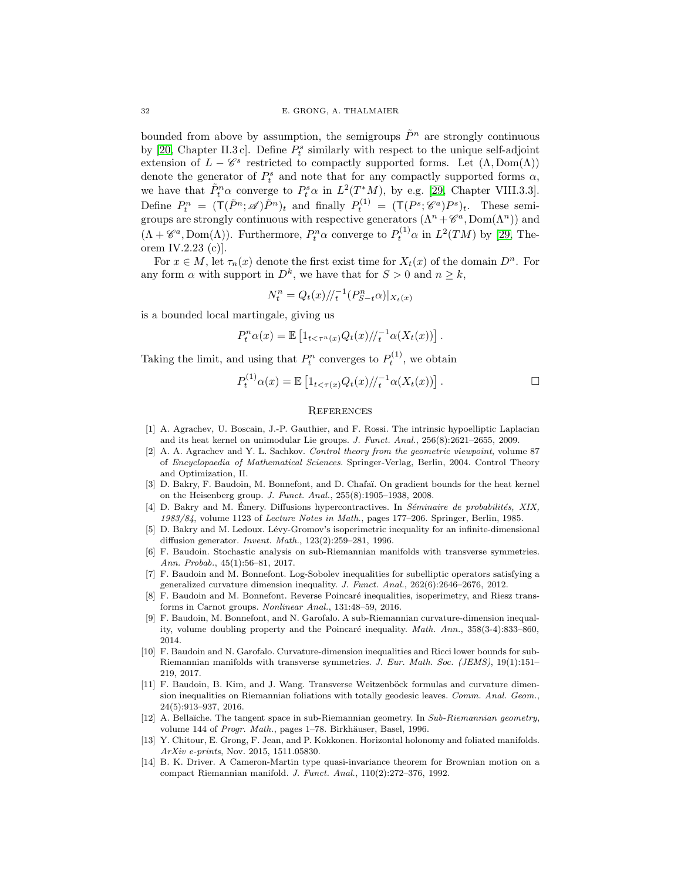bounded from above by assumption, the semigroups  $\tilde{P}^n$  are strongly continuous by [\[20,](#page-32-17) Chapter II.3 c]. Define  $P_t^s$  similarly with respect to the unique self-adjoint extension of  $L - \mathscr{C}^s$  restricted to compactly supported forms. Let  $(\Lambda, \text{Dom}(\Lambda))$ denote the generator of  $P_t^s$  and note that for any compactly supported forms  $\alpha$ , we have that  $\tilde{P}_t^n \alpha$  converge to  $P_t^s \alpha$  in  $L^2(T^*M)$ , by e.g. [\[29,](#page-32-25) Chapter VIII.3.3]. Define  $P_t^n = (\mathsf{T}(\tilde{P}^n; \mathscr{A})\tilde{P}^n)_t$  and finally  $P_t^{(1)} = (\mathsf{T}(P^s; \mathscr{C}^a)P^s)_t$ . These semigroups are strongly continuous with respective generators  $(\Lambda^n + \mathscr{C}^a, \text{Dom}(\Lambda^n))$  and  $(\Lambda + \mathscr{C}^a, \text{Dom}(\Lambda))$ . Furthermore,  $P_t^n \alpha$  converge to  $P_t^{(1)} \alpha$  in  $L^2(TM)$  by [\[29,](#page-32-25) Theorem IV.2.23 (c)].

For  $x \in M$ , let  $\tau_n(x)$  denote the first exist time for  $X_t(x)$  of the domain  $D^n$ . For any form  $\alpha$  with support in  $D^k$ , we have that for  $S > 0$  and  $n \geq k$ ,

$$
N_t^n = Q_t(x) / \frac{1}{t} \left( P_{S-t}^n \alpha \right) |_{X_t(x)}
$$

is a bounded local martingale, giving us

$$
P_t^n \alpha(x) = \mathbb{E} \left[ 1_{t < \tau^n(x)} Q_t(x) / \tau^{1} \alpha(X_t(x)) \right].
$$

Taking the limit, and using that  $P_t^n$  converges to  $P_t^{(1)}$ , we obtain

$$
P_t^{(1)} \alpha(x) = \mathbb{E} \left[ 1_{t < \tau(x)} Q_t(x) / \tau^{-1} \alpha(X_t(x)) \right].
$$

## **REFERENCES**

- <span id="page-31-12"></span>[1] A. Agrachev, U. Boscain, J.-P. Gauthier, and F. Rossi. The intrinsic hypoelliptic Laplacian and its heat kernel on unimodular Lie groups. J. Funct. Anal., 256(8):2621–2655, 2009.
- <span id="page-31-10"></span>[2] A. A. Agrachev and Y. L. Sachkov. Control theory from the geometric viewpoint, volume 87 of Encyclopaedia of Mathematical Sciences. Springer-Verlag, Berlin, 2004. Control Theory and Optimization, II.
- <span id="page-31-6"></span>[3] D. Bakry, F. Baudoin, M. Bonnefont, and D. Chafaï. On gradient bounds for the heat kernel on the Heisenberg group. J. Funct. Anal., 255(8):1905–1938, 2008.
- <span id="page-31-0"></span>[4] D. Bakry and M. Émery. Diffusions hypercontractives. In Séminaire de probabilités, XIX, 1983/84, volume 1123 of Lecture Notes in Math., pages 177–206. Springer, Berlin, 1985.
- <span id="page-31-1"></span>[5] D. Bakry and M. Ledoux. Lévy-Gromov's isoperimetric inequality for an infinite-dimensional diffusion generator. Invent. Math., 123(2):259–281, 1996.
- <span id="page-31-9"></span>[6] F. Baudoin. Stochastic analysis on sub-Riemannian manifolds with transverse symmetries. Ann. Probab., 45(1):56–81, 2017.
- <span id="page-31-2"></span>[7] F. Baudoin and M. Bonnefont. Log-Sobolev inequalities for subelliptic operators satisfying a generalized curvature dimension inequality. J. Funct. Anal., 262(6):2646–2676, 2012.
- <span id="page-31-13"></span>[8] F. Baudoin and M. Bonnefont. Reverse Poincaré inequalities, isoperimetry, and Riesz transforms in Carnot groups. Nonlinear Anal., 131:48–59, 2016.
- <span id="page-31-3"></span>[9] F. Baudoin, M. Bonnefont, and N. Garofalo. A sub-Riemannian curvature-dimension inequality, volume doubling property and the Poincaré inequality. Math. Ann., 358(3-4):833-860, 2014.
- <span id="page-31-5"></span>[10] F. Baudoin and N. Garofalo. Curvature-dimension inequalities and Ricci lower bounds for sub-Riemannian manifolds with transverse symmetries. J. Eur. Math. Soc. (JEMS), 19(1):151– 219, 2017.
- <span id="page-31-4"></span>[11] F. Baudoin, B. Kim, and J. Wang. Transverse Weitzenböck formulas and curvature dimension inequalities on Riemannian foliations with totally geodesic leaves. Comm. Anal. Geom., 24(5):913–937, 2016.
- <span id="page-31-11"></span>[12] A. Bellaïche. The tangent space in sub-Riemannian geometry. In Sub-Riemannian geometry, volume 144 of Progr. Math., pages 1–78. Birkhäuser, Basel, 1996.
- <span id="page-31-8"></span>[13] Y. Chitour, E. Grong, F. Jean, and P. Kokkonen. Horizontal holonomy and foliated manifolds. ArXiv e-prints, Nov. 2015, 1511.05830.
- <span id="page-31-7"></span>[14] B. K. Driver. A Cameron-Martin type quasi-invariance theorem for Brownian motion on a compact Riemannian manifold. J. Funct. Anal., 110(2):272–376, 1992.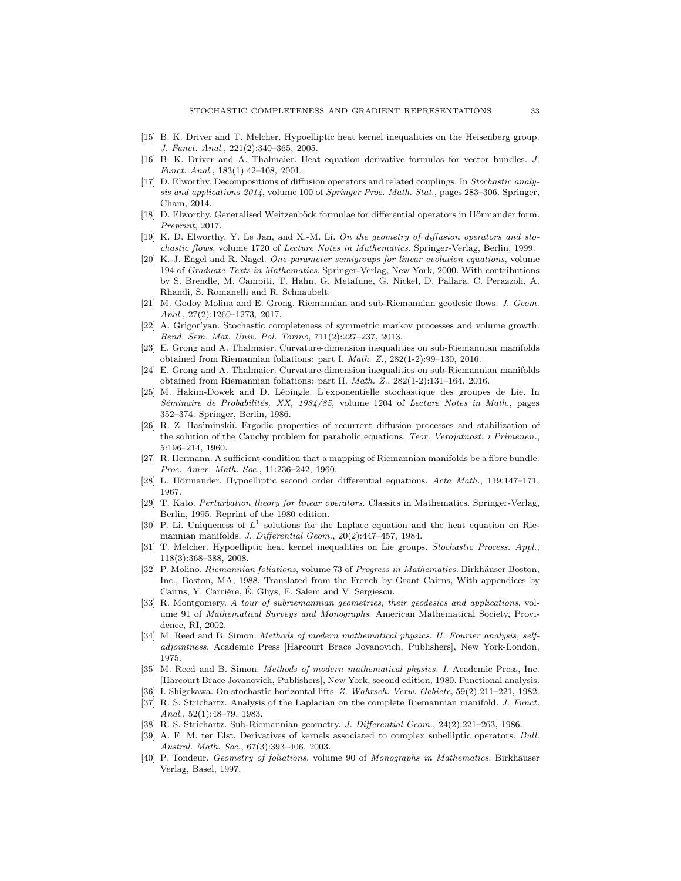- <span id="page-32-16"></span><span id="page-32-7"></span>[15] B. K. Driver and T. Melcher. Hypoelliptic heat kernel inequalities on the Heisenberg group. J. Funct. Anal., 221(2):340–365, 2005.
- [16] B. K. Driver and A. Thalmaier. Heat equation derivative formulas for vector bundles. J. Funct. Anal., 183(1):42–108, 2001.
- <span id="page-32-5"></span>[17] D. Elworthy. Decompositions of diffusion operators and related couplings. In Stochastic analysis and applications 2014, volume 100 of Springer Proc. Math. Stat., pages 283–306. Springer, Cham, 2014.
- <span id="page-32-13"></span>[18] D. Elworthy. Generalised Weitzenböck formulae for differential operators in Hörmander form. Preprint, 2017.
- <span id="page-32-11"></span>[19] K. D. Elworthy, Y. Le Jan, and X.-M. Li. On the geometry of diffusion operators and stochastic flows, volume 1720 of Lecture Notes in Mathematics. Springer-Verlag, Berlin, 1999.
- <span id="page-32-17"></span>[20] K.-J. Engel and R. Nagel. One-parameter semigroups for linear evolution equations, volume 194 of Graduate Texts in Mathematics. Springer-Verlag, New York, 2000. With contributions by S. Brendle, M. Campiti, T. Hahn, G. Metafune, G. Nickel, D. Pallara, C. Perazzoli, A. Rhandi, S. Romanelli and R. Schnaubelt.
- <span id="page-32-12"></span>[21] M. Godoy Molina and E. Grong. Riemannian and sub-Riemannian geodesic flows. J. Geom. Anal., 27(2):1260–1273, 2017.
- <span id="page-32-0"></span>[22] A. Grigor'yan. Stochastic completeness of symmetric markov processes and volume growth. Rend. Sem. Mat. Univ. Pol. Torino, 711(2):227–237, 2013.
- <span id="page-32-2"></span>[23] E. Grong and A. Thalmaier. Curvature-dimension inequalities on sub-Riemannian manifolds obtained from Riemannian foliations: part I. Math. Z., 282(1-2):99–130, 2016.
- <span id="page-32-3"></span>[24] E. Grong and A. Thalmaier. Curvature-dimension inequalities on sub-Riemannian manifolds obtained from Riemannian foliations: part II. Math. Z., 282(1-2):131–164, 2016.
- <span id="page-32-22"></span>[25] M. Hakim-Dowek and D. L´epingle. L'exponentielle stochastique des groupes de Lie. In Séminaire de Probabilités, XX, 1984/85, volume 1204 of Lecture Notes in Math., pages 352–374. Springer, Berlin, 1986.
- <span id="page-32-1"></span>[26] R. Z. Has'minskiĭ. Ergodic properties of recurrent diffusion processes and stabilization of the solution of the Cauchy problem for parabolic equations. Teor. Verojatnost. i Primenen., 5:196–214, 1960.
- <span id="page-32-20"></span>[27] R. Hermann. A sufficient condition that a mapping of Riemannian manifolds be a fibre bundle. Proc. Amer. Math. Soc., 11:236–242, 1960.
- <span id="page-32-25"></span><span id="page-32-4"></span>[28] L. Hörmander. Hypoelliptic second order differential equations. Acta Math., 119:147-171, 1967.
- [29] T. Kato. Perturbation theory for linear operators. Classics in Mathematics. Springer-Verlag, Berlin, 1995. Reprint of the 1980 edition.
- <span id="page-32-14"></span>[30] P. Li. Uniqueness of  $L^1$  solutions for the Laplace equation and the heat equation on Riemannian manifolds. J. Differential Geom., 20(2):447–457, 1984.
- <span id="page-32-6"></span>[31] T. Melcher. Hypoelliptic heat kernel inequalities on Lie groups. Stochastic Process. Appl., 118(3):368–388, 2008.
- <span id="page-32-19"></span>P. Molino. Riemannian foliations, volume 73 of Progress in Mathematics. Birkhäuser Boston, Inc., Boston, MA, 1988. Translated from the French by Grant Cairns, With appendices by Cairns, Y. Carrière, É. Ghys, E. Salem and V. Sergiescu.
- <span id="page-32-8"></span>[33] R. Montgomery. A tour of subriemannian geometries, their geodesics and applications, volume 91 of Mathematical Surveys and Monographs. American Mathematical Society, Providence, RI, 2002.
- <span id="page-32-24"></span>[34] M. Reed and B. Simon. Methods of modern mathematical physics. II. Fourier analysis, selfadjointness. Academic Press [Harcourt Brace Jovanovich, Publishers], New York-London, 1975.
- <span id="page-32-15"></span>[35] M. Reed and B. Simon. Methods of modern mathematical physics. I. Academic Press, Inc. [Harcourt Brace Jovanovich, Publishers], New York, second edition, 1980. Functional analysis.
- <span id="page-32-21"></span><span id="page-32-10"></span>[36] I. Shigekawa. On stochastic horizontal lifts. Z. Wahrsch. Verw. Gebiete, 59(2):211–221, 1982. [37] R. S. Strichartz. Analysis of the Laplacian on the complete Riemannian manifold. J. Funct.
- <span id="page-32-9"></span>Anal., 52(1):48–79, 1983.
- <span id="page-32-23"></span>[38] R. S. Strichartz. Sub-Riemannian geometry. J. Differential Geom., 24(2):221–263, 1986.
- [39] A. F. M. ter Elst. Derivatives of kernels associated to complex subelliptic operators. Bull. Austral. Math. Soc., 67(3):393–406, 2003.
- <span id="page-32-18"></span>[40] P. Tondeur. Geometry of foliations, volume 90 of Monographs in Mathematics. Birkhäuser Verlag, Basel, 1997.